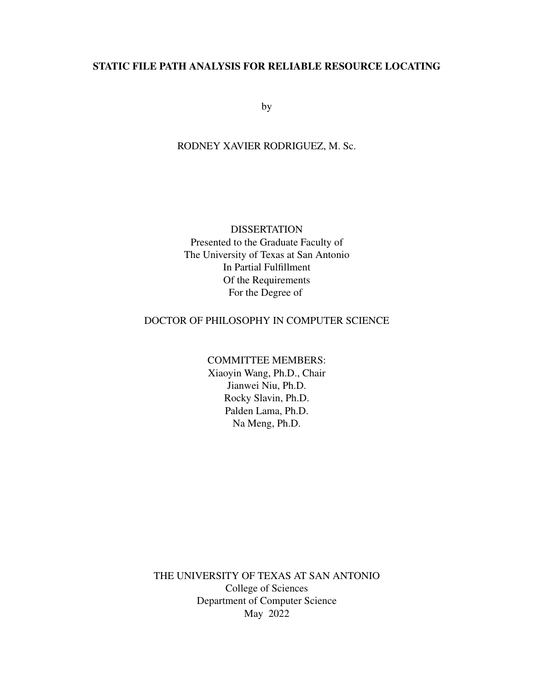### <span id="page-0-0"></span>STATIC FILE PATH ANALYSIS FOR RELIABLE RESOURCE LOCATING

by

# RODNEY XAVIER RODRIGUEZ, M. Sc.

# DISSERTATION Presented to the Graduate Faculty of The University of Texas at San Antonio In Partial Fulfillment Of the Requirements For the Degree of

### DOCTOR OF PHILOSOPHY IN COMPUTER SCIENCE

# COMMITTEE MEMBERS: Xiaoyin Wang, Ph.D., Chair Jianwei Niu, Ph.D. Rocky Slavin, Ph.D. Palden Lama, Ph.D. Na Meng, Ph.D.

THE UNIVERSITY OF TEXAS AT SAN ANTONIO College of Sciences Department of Computer Science May 2022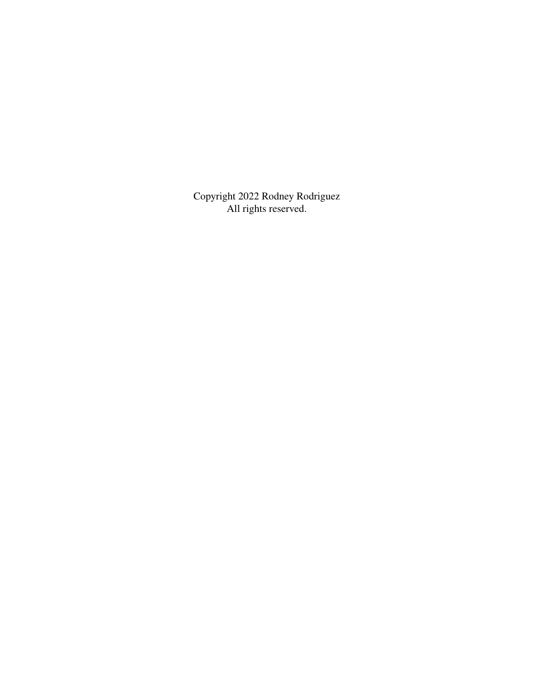Copyright 2022 Rodney Rodriguez All rights reserved.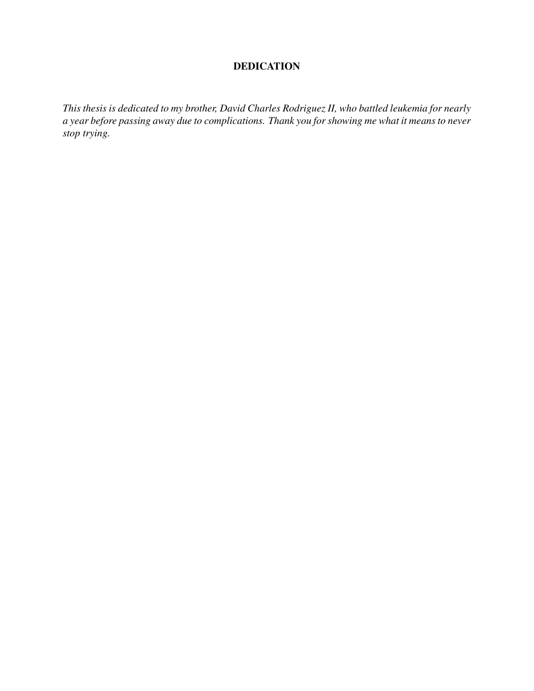# DEDICATION

*This thesis is dedicated to my brother, David Charles Rodriguez II, who battled leukemia for nearly a year before passing away due to complications. Thank you for showing me what it means to never stop trying.*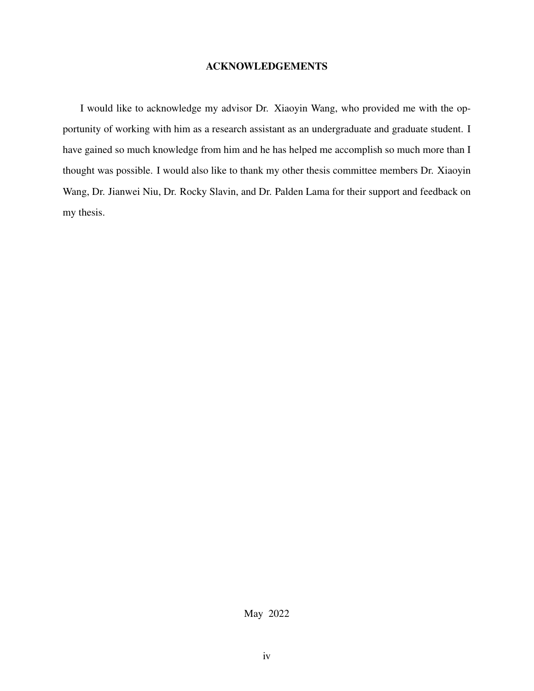#### ACKNOWLEDGEMENTS

I would like to acknowledge my advisor Dr. Xiaoyin Wang, who provided me with the opportunity of working with him as a research assistant as an undergraduate and graduate student. I have gained so much knowledge from him and he has helped me accomplish so much more than I thought was possible. I would also like to thank my other thesis committee members Dr. Xiaoyin Wang, Dr. Jianwei Niu, Dr. Rocky Slavin, and Dr. Palden Lama for their support and feedback on my thesis.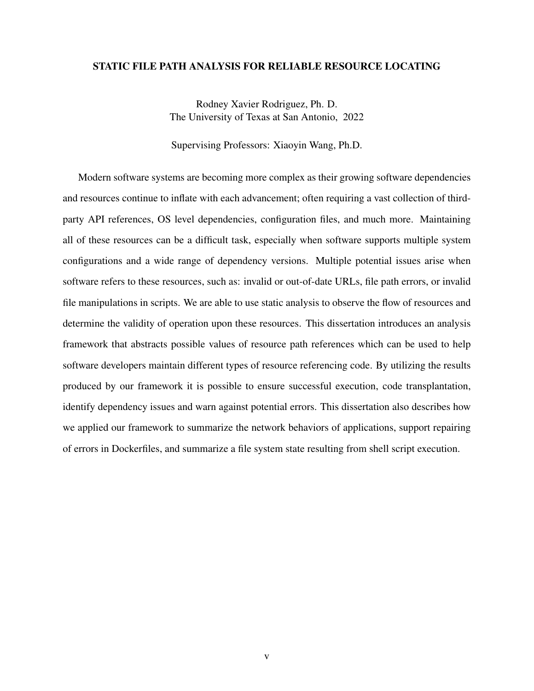#### STATIC FILE PATH ANALYSIS FOR RELIABLE RESOURCE LOCATING

Rodney Xavier Rodriguez, Ph. D. The University of Texas at San Antonio, 2022

Supervising Professors: Xiaoyin Wang, Ph.D.

Modern software systems are becoming more complex as their growing software dependencies and resources continue to inflate with each advancement; often requiring a vast collection of thirdparty API references, OS level dependencies, configuration files, and much more. Maintaining all of these resources can be a difficult task, especially when software supports multiple system configurations and a wide range of dependency versions. Multiple potential issues arise when software refers to these resources, such as: invalid or out-of-date URLs, file path errors, or invalid file manipulations in scripts. We are able to use static analysis to observe the flow of resources and determine the validity of operation upon these resources. This dissertation introduces an analysis framework that abstracts possible values of resource path references which can be used to help software developers maintain different types of resource referencing code. By utilizing the results produced by our framework it is possible to ensure successful execution, code transplantation, identify dependency issues and warn against potential errors. This dissertation also describes how we applied our framework to summarize the network behaviors of applications, support repairing of errors in Dockerfiles, and summarize a file system state resulting from shell script execution.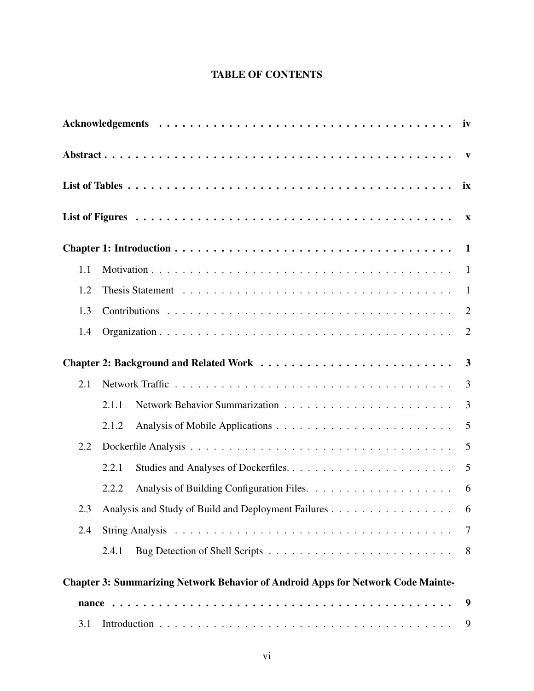# TABLE OF CONTENTS

<span id="page-5-0"></span>

| 1.1 |                                                                                         |                |
|-----|-----------------------------------------------------------------------------------------|----------------|
| 1.2 |                                                                                         |                |
| 1.3 |                                                                                         | $\overline{2}$ |
| 1.4 |                                                                                         |                |
|     |                                                                                         |                |
| 2.1 |                                                                                         | 3              |
|     | 2.1.1                                                                                   | 3              |
|     | 2.1.2                                                                                   | 5              |
| 2.2 |                                                                                         | 5              |
|     | 2.2.1                                                                                   | 5              |
|     | 2.2.2                                                                                   |                |
| 2.3 | Analysis and Study of Build and Deployment Failures                                     | 6              |
| 2.4 |                                                                                         | 7              |
|     | 2.4.1                                                                                   | 8              |
|     | <b>Chapter 3: Summarizing Network Behavior of Android Apps for Network Code Mainte-</b> |                |
|     |                                                                                         | 9              |
| 3.1 |                                                                                         | 9              |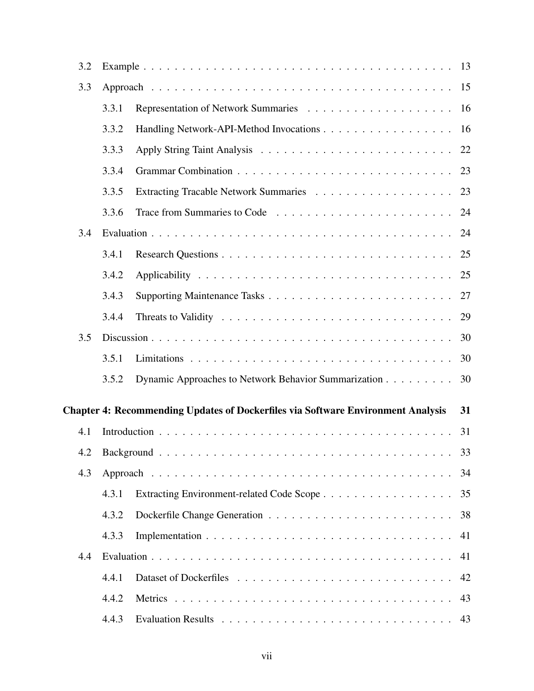| 3.2 |       |                                                                                         |    |
|-----|-------|-----------------------------------------------------------------------------------------|----|
| 3.3 |       |                                                                                         | 15 |
|     | 3.3.1 |                                                                                         |    |
|     | 3.3.2 | Handling Network-API-Method Invocations 16                                              |    |
|     | 3.3.3 |                                                                                         | 22 |
|     | 3.3.4 |                                                                                         | 23 |
|     | 3.3.5 |                                                                                         | 23 |
|     | 3.3.6 |                                                                                         | 24 |
| 3.4 |       |                                                                                         | 24 |
|     | 3.4.1 |                                                                                         | 25 |
|     | 3.4.2 |                                                                                         | 25 |
|     | 3.4.3 |                                                                                         | 27 |
|     | 3.4.4 |                                                                                         | 29 |
| 3.5 |       |                                                                                         | 30 |
|     | 3.5.1 |                                                                                         | 30 |
|     | 3.5.2 | Dynamic Approaches to Network Behavior Summarization                                    | 30 |
|     |       | <b>Chapter 4: Recommending Updates of Dockerfiles via Software Environment Analysis</b> | 31 |
| 4.1 |       |                                                                                         | 31 |
|     |       |                                                                                         | 33 |
| 4.3 |       |                                                                                         | 34 |
|     | 4.3.1 |                                                                                         | 35 |
|     | 4.3.2 |                                                                                         | 38 |
|     | 4.3.3 |                                                                                         | 41 |
| 4.4 |       |                                                                                         | 41 |
|     | 4.4.1 |                                                                                         | 42 |
|     | 4.4.2 |                                                                                         | 43 |
|     | 4.4.3 |                                                                                         |    |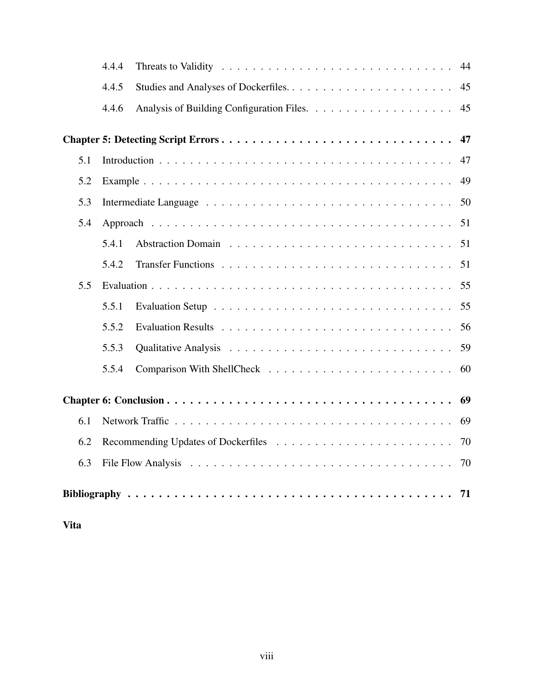|     | 4.4.4 | 44 |
|-----|-------|----|
|     | 4.4.5 | 45 |
|     | 4.4.6 | 45 |
|     |       | 47 |
| 5.1 |       | 47 |
| 5.2 |       | 49 |
| 5.3 |       | 50 |
| 5.4 |       | 51 |
|     | 5.4.1 |    |
|     | 5.4.2 | 51 |
| 5.5 |       |    |
|     | 5.5.1 | 55 |
|     | 5.5.2 | 56 |
|     | 5.5.3 | 59 |
|     | 5.5.4 | 60 |
|     |       | 69 |
| 6.1 |       | 69 |
| 6.2 |       | 70 |
| 6.3 |       | 70 |
|     |       | 71 |

[Vita](#page-80-0)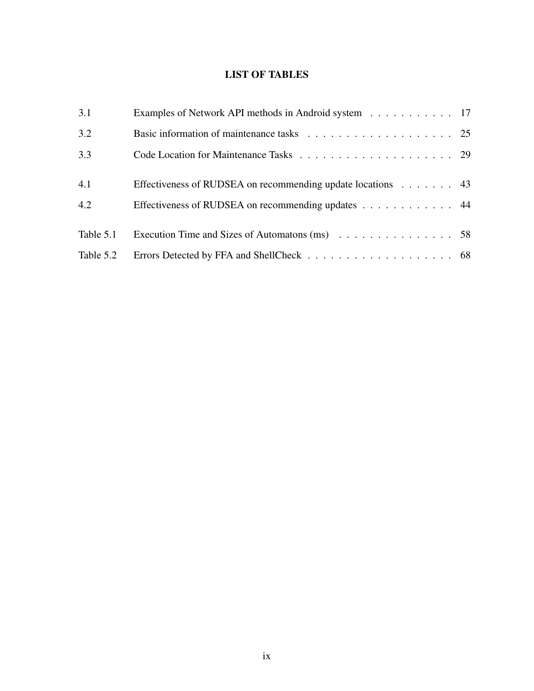# LIST OF TABLES

<span id="page-8-0"></span>

| 3.1       | Examples of Network API methods in Android system 17        |  |
|-----------|-------------------------------------------------------------|--|
| 3.2       |                                                             |  |
| 3.3       |                                                             |  |
| 4.1       | Effectiveness of RUDSEA on recommending update locations 43 |  |
| 4.2       | Effectiveness of RUDSEA on recommending updates 44          |  |
| Table 5.1 | Execution Time and Sizes of Automatons (ms) 58              |  |
| Table 5.2 |                                                             |  |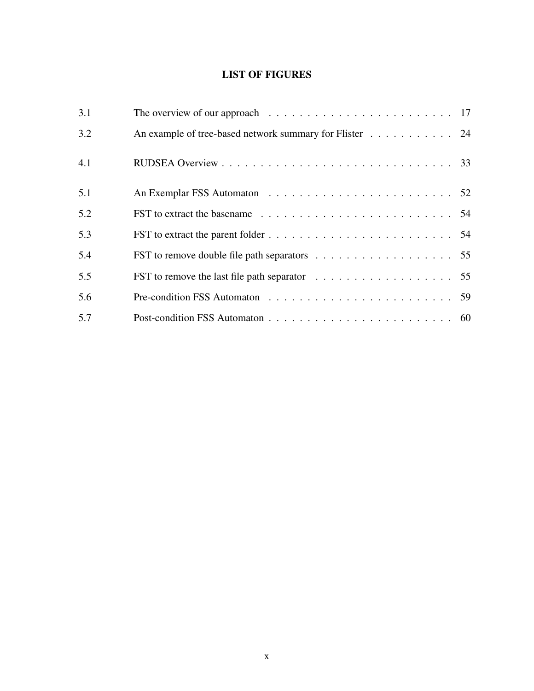# LIST OF FIGURES

| 3.1 | The overview of our approach $\ldots \ldots \ldots \ldots \ldots \ldots \ldots \ldots \ldots 17$ |  |
|-----|--------------------------------------------------------------------------------------------------|--|
| 3.2 | An example of tree-based network summary for Flister 24                                          |  |
| 4.1 |                                                                                                  |  |
| 5.1 |                                                                                                  |  |
| 5.2 |                                                                                                  |  |
| 5.3 |                                                                                                  |  |
| 5.4 |                                                                                                  |  |
| 5.5 | FST to remove the last file path separator $\ldots \ldots \ldots \ldots \ldots \ldots 55$        |  |
| 5.6 |                                                                                                  |  |
| 5.7 |                                                                                                  |  |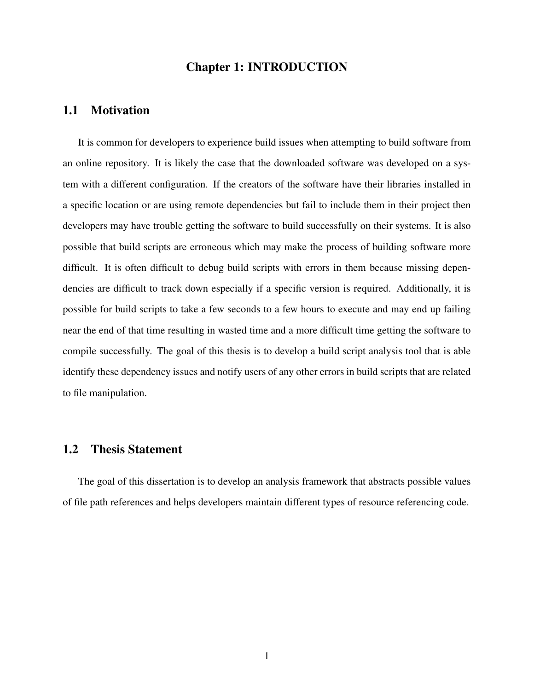### Chapter 1: INTRODUCTION

### <span id="page-10-1"></span><span id="page-10-0"></span>1.1 Motivation

It is common for developers to experience build issues when attempting to build software from an online repository. It is likely the case that the downloaded software was developed on a system with a different configuration. If the creators of the software have their libraries installed in a specific location or are using remote dependencies but fail to include them in their project then developers may have trouble getting the software to build successfully on their systems. It is also possible that build scripts are erroneous which may make the process of building software more difficult. It is often difficult to debug build scripts with errors in them because missing dependencies are difficult to track down especially if a specific version is required. Additionally, it is possible for build scripts to take a few seconds to a few hours to execute and may end up failing near the end of that time resulting in wasted time and a more difficult time getting the software to compile successfully. The goal of this thesis is to develop a build script analysis tool that is able identify these dependency issues and notify users of any other errors in build scripts that are related to file manipulation.

### <span id="page-10-2"></span>1.2 Thesis Statement

The goal of this dissertation is to develop an analysis framework that abstracts possible values of file path references and helps developers maintain different types of resource referencing code.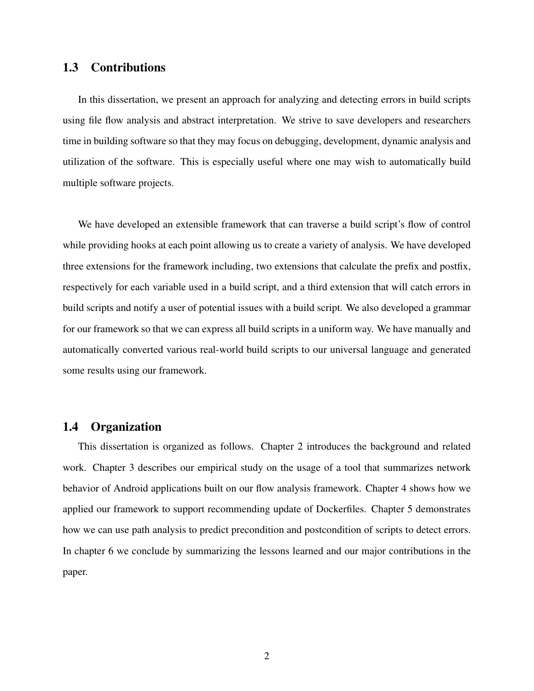# <span id="page-11-0"></span>1.3 Contributions

In this dissertation, we present an approach for analyzing and detecting errors in build scripts using file flow analysis and abstract interpretation. We strive to save developers and researchers time in building software so that they may focus on debugging, development, dynamic analysis and utilization of the software. This is especially useful where one may wish to automatically build multiple software projects.

We have developed an extensible framework that can traverse a build script's flow of control while providing hooks at each point allowing us to create a variety of analysis. We have developed three extensions for the framework including, two extensions that calculate the prefix and postfix, respectively for each variable used in a build script, and a third extension that will catch errors in build scripts and notify a user of potential issues with a build script. We also developed a grammar for our framework so that we can express all build scripts in a uniform way. We have manually and automatically converted various real-world build scripts to our universal language and generated some results using our framework.

# <span id="page-11-1"></span>1.4 Organization

This dissertation is organized as follows. Chapter 2 introduces the background and related work. Chapter 3 describes our empirical study on the usage of a tool that summarizes network behavior of Android applications built on our flow analysis framework. Chapter 4 shows how we applied our framework to support recommending update of Dockerfiles. Chapter 5 demonstrates how we can use path analysis to predict precondition and postcondition of scripts to detect errors. In chapter 6 we conclude by summarizing the lessons learned and our major contributions in the paper.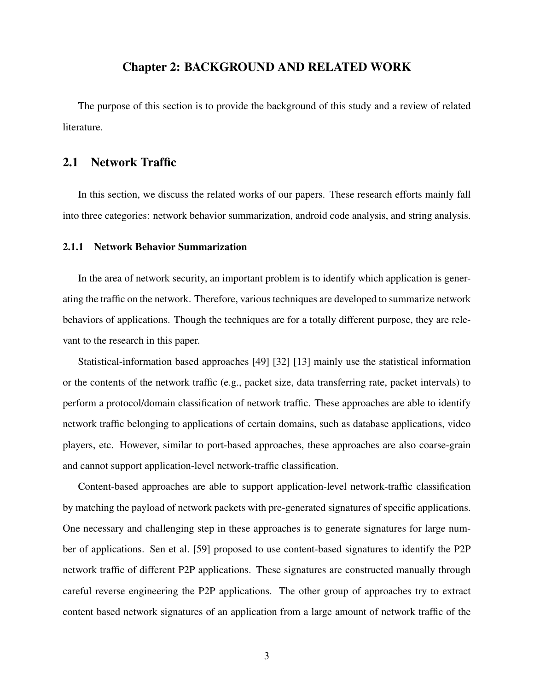## Chapter 2: BACKGROUND AND RELATED WORK

<span id="page-12-0"></span>The purpose of this section is to provide the background of this study and a review of related literature.

# <span id="page-12-1"></span>2.1 Network Traffic

In this section, we discuss the related works of our papers. These research efforts mainly fall into three categories: network behavior summarization, android code analysis, and string analysis.

### <span id="page-12-2"></span>2.1.1 Network Behavior Summarization

In the area of network security, an important problem is to identify which application is generating the traffic on the network. Therefore, various techniques are developed to summarize network behaviors of applications. Though the techniques are for a totally different purpose, they are relevant to the research in this paper.

Statistical-information based approaches [\[49\]](#page-85-0) [\[32\]](#page-83-0) [\[13\]](#page-81-0) mainly use the statistical information or the contents of the network traffic (e.g., packet size, data transferring rate, packet intervals) to perform a protocol/domain classification of network traffic. These approaches are able to identify network traffic belonging to applications of certain domains, such as database applications, video players, etc. However, similar to port-based approaches, these approaches are also coarse-grain and cannot support application-level network-traffic classification.

Content-based approaches are able to support application-level network-traffic classification by matching the payload of network packets with pre-generated signatures of specific applications. One necessary and challenging step in these approaches is to generate signatures for large number of applications. Sen et al. [\[59\]](#page-86-0) proposed to use content-based signatures to identify the P2P network traffic of different P2P applications. These signatures are constructed manually through careful reverse engineering the P2P applications. The other group of approaches try to extract content based network signatures of an application from a large amount of network traffic of the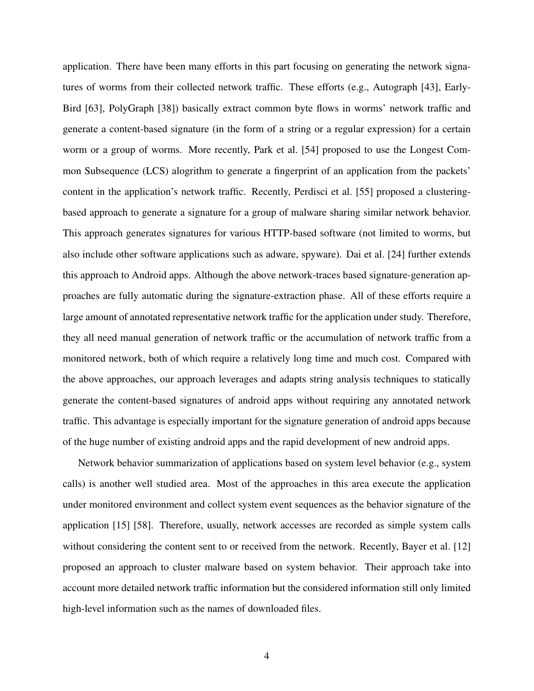application. There have been many efforts in this part focusing on generating the network signatures of worms from their collected network traffic. These efforts (e.g., Autograph [\[43\]](#page-84-0), Early-Bird [\[63\]](#page-87-0), PolyGraph [\[38\]](#page-84-1)) basically extract common byte flows in worms' network traffic and generate a content-based signature (in the form of a string or a regular expression) for a certain worm or a group of worms. More recently, Park et al. [\[54\]](#page-85-1) proposed to use the Longest Common Subsequence (LCS) alogrithm to generate a fingerprint of an application from the packets' content in the application's network traffic. Recently, Perdisci et al. [\[55\]](#page-86-1) proposed a clusteringbased approach to generate a signature for a group of malware sharing similar network behavior. This approach generates signatures for various HTTP-based software (not limited to worms, but also include other software applications such as adware, spyware). Dai et al. [\[24\]](#page-82-0) further extends this approach to Android apps. Although the above network-traces based signature-generation approaches are fully automatic during the signature-extraction phase. All of these efforts require a large amount of annotated representative network traffic for the application under study. Therefore, they all need manual generation of network traffic or the accumulation of network traffic from a monitored network, both of which require a relatively long time and much cost. Compared with the above approaches, our approach leverages and adapts string analysis techniques to statically generate the content-based signatures of android apps without requiring any annotated network traffic. This advantage is especially important for the signature generation of android apps because of the huge number of existing android apps and the rapid development of new android apps.

Network behavior summarization of applications based on system level behavior (e.g., system calls) is another well studied area. Most of the approaches in this area execute the application under monitored environment and collect system event sequences as the behavior signature of the application [\[15\]](#page-81-1) [\[58\]](#page-86-2). Therefore, usually, network accesses are recorded as simple system calls without considering the content sent to or received from the network. Recently, Bayer et al. [\[12\]](#page-81-2) proposed an approach to cluster malware based on system behavior. Their approach take into account more detailed network traffic information but the considered information still only limited high-level information such as the names of downloaded files.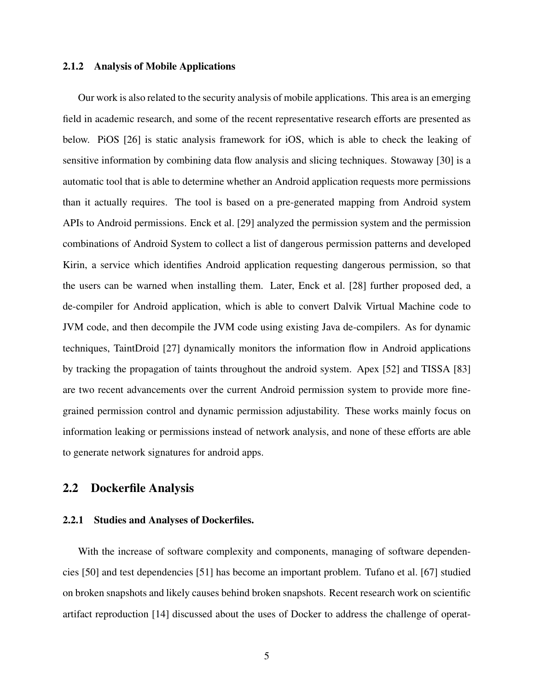### <span id="page-14-0"></span>2.1.2 Analysis of Mobile Applications

Our work is also related to the security analysis of mobile applications. This area is an emerging field in academic research, and some of the recent representative research efforts are presented as below. PiOS [\[26\]](#page-82-1) is static analysis framework for iOS, which is able to check the leaking of sensitive information by combining data flow analysis and slicing techniques. Stowaway [\[30\]](#page-83-1) is a automatic tool that is able to determine whether an Android application requests more permissions than it actually requires. The tool is based on a pre-generated mapping from Android system APIs to Android permissions. Enck et al. [\[29\]](#page-83-2) analyzed the permission system and the permission combinations of Android System to collect a list of dangerous permission patterns and developed Kirin, a service which identifies Android application requesting dangerous permission, so that the users can be warned when installing them. Later, Enck et al. [\[28\]](#page-82-2) further proposed ded, a de-compiler for Android application, which is able to convert Dalvik Virtual Machine code to JVM code, and then decompile the JVM code using existing Java de-compilers. As for dynamic techniques, TaintDroid [\[27\]](#page-82-3) dynamically monitors the information flow in Android applications by tracking the propagation of taints throughout the android system. Apex [\[52\]](#page-85-2) and TISSA [\[83\]](#page-89-0) are two recent advancements over the current Android permission system to provide more finegrained permission control and dynamic permission adjustability. These works mainly focus on information leaking or permissions instead of network analysis, and none of these efforts are able to generate network signatures for android apps.

# <span id="page-14-1"></span>2.2 Dockerfile Analysis

#### <span id="page-14-2"></span>2.2.1 Studies and Analyses of Dockerfiles.

With the increase of software complexity and components, managing of software dependencies [\[50\]](#page-85-3) and test dependencies [\[51\]](#page-85-4) has become an important problem. Tufano et al. [\[67\]](#page-87-1) studied on broken snapshots and likely causes behind broken snapshots. Recent research work on scientific artifact reproduction [\[14\]](#page-81-3) discussed about the uses of Docker to address the challenge of operat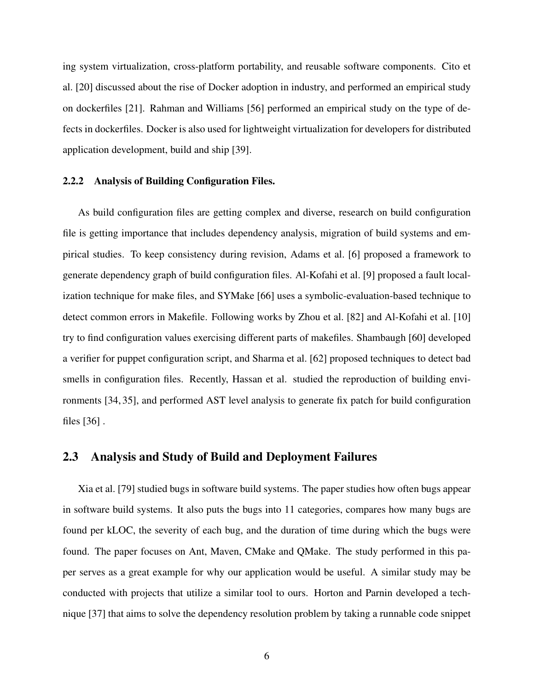ing system virtualization, cross-platform portability, and reusable software components. Cito et al. [\[20\]](#page-82-4) discussed about the rise of Docker adoption in industry, and performed an empirical study on dockerfiles [\[21\]](#page-82-5). Rahman and Williams [\[56\]](#page-86-3) performed an empirical study on the type of defects in dockerfiles. Docker is also used for lightweight virtualization for developers for distributed application development, build and ship [\[39\]](#page-84-2).

#### <span id="page-15-0"></span>2.2.2 Analysis of Building Configuration Files.

As build configuration files are getting complex and diverse, research on build configuration file is getting importance that includes dependency analysis, migration of build systems and empirical studies. To keep consistency during revision, Adams et al. [\[6\]](#page-80-1) proposed a framework to generate dependency graph of build configuration files. Al-Kofahi et al. [\[9\]](#page-80-2) proposed a fault localization technique for make files, and SYMake [\[66\]](#page-87-2) uses a symbolic-evaluation-based technique to detect common errors in Makefile. Following works by Zhou et al. [\[82\]](#page-89-1) and Al-Kofahi et al. [\[10\]](#page-80-3) try to find configuration values exercising different parts of makefiles. Shambaugh [\[60\]](#page-86-4) developed a verifier for puppet configuration script, and Sharma et al. [\[62\]](#page-86-5) proposed techniques to detect bad smells in configuration files. Recently, Hassan et al. studied the reproduction of building environments [\[34,](#page-83-3) [35\]](#page-83-4), and performed AST level analysis to generate fix patch for build configuration files [\[36\]](#page-83-5) .

# <span id="page-15-1"></span>2.3 Analysis and Study of Build and Deployment Failures

Xia et al. [\[79\]](#page-88-0) studied bugs in software build systems. The paper studies how often bugs appear in software build systems. It also puts the bugs into 11 categories, compares how many bugs are found per kLOC, the severity of each bug, and the duration of time during which the bugs were found. The paper focuses on Ant, Maven, CMake and QMake. The study performed in this paper serves as a great example for why our application would be useful. A similar study may be conducted with projects that utilize a similar tool to ours. Horton and Parnin developed a technique [\[37\]](#page-84-3) that aims to solve the dependency resolution problem by taking a runnable code snippet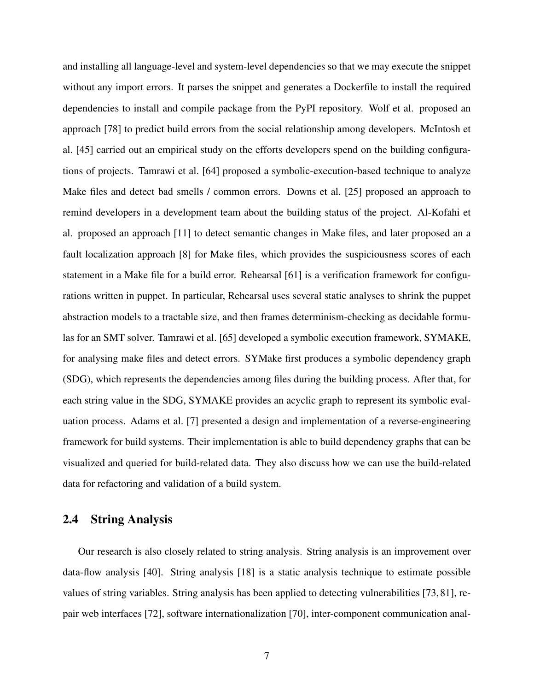and installing all language-level and system-level dependencies so that we may execute the snippet without any import errors. It parses the snippet and generates a Dockerfile to install the required dependencies to install and compile package from the PyPI repository. Wolf et al. proposed an approach [\[78\]](#page-88-1) to predict build errors from the social relationship among developers. McIntosh et al. [\[45\]](#page-84-4) carried out an empirical study on the efforts developers spend on the building configurations of projects. Tamrawi et al. [\[64\]](#page-87-3) proposed a symbolic-execution-based technique to analyze Make files and detect bad smells / common errors. Downs et al. [\[25\]](#page-82-6) proposed an approach to remind developers in a development team about the building status of the project. Al-Kofahi et al. proposed an approach [\[11\]](#page-81-4) to detect semantic changes in Make files, and later proposed an a fault localization approach [\[8\]](#page-80-4) for Make files, which provides the suspiciousness scores of each statement in a Make file for a build error. Rehearsal [\[61\]](#page-86-6) is a verification framework for configurations written in puppet. In particular, Rehearsal uses several static analyses to shrink the puppet abstraction models to a tractable size, and then frames determinism-checking as decidable formulas for an SMT solver. Tamrawi et al. [\[65\]](#page-87-4) developed a symbolic execution framework, SYMAKE, for analysing make files and detect errors. SYMake first produces a symbolic dependency graph (SDG), which represents the dependencies among files during the building process. After that, for each string value in the SDG, SYMAKE provides an acyclic graph to represent its symbolic evaluation process. Adams et al. [\[7\]](#page-80-5) presented a design and implementation of a reverse-engineering framework for build systems. Their implementation is able to build dependency graphs that can be visualized and queried for build-related data. They also discuss how we can use the build-related data for refactoring and validation of a build system.

### <span id="page-16-0"></span>2.4 String Analysis

Our research is also closely related to string analysis. String analysis is an improvement over data-flow analysis [\[40\]](#page-84-5). String analysis [\[18\]](#page-81-5) is a static analysis technique to estimate possible values of string variables. String analysis has been applied to detecting vulnerabilities [\[73,](#page-88-2) [81\]](#page-89-2), repair web interfaces [\[72\]](#page-88-3), software internationalization [\[70\]](#page-87-5), inter-component communication anal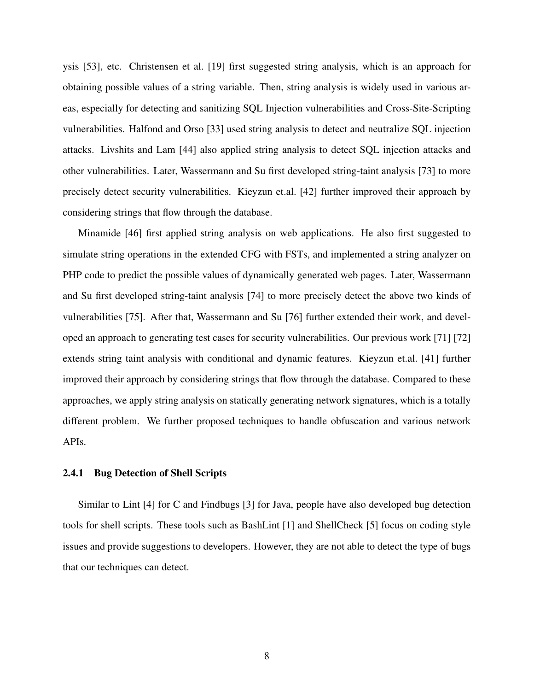ysis [\[53\]](#page-85-5), etc. Christensen et al. [\[19\]](#page-81-6) first suggested string analysis, which is an approach for obtaining possible values of a string variable. Then, string analysis is widely used in various areas, especially for detecting and sanitizing SQL Injection vulnerabilities and Cross-Site-Scripting vulnerabilities. Halfond and Orso [\[33\]](#page-83-6) used string analysis to detect and neutralize SQL injection attacks. Livshits and Lam [\[44\]](#page-84-6) also applied string analysis to detect SQL injection attacks and other vulnerabilities. Later, Wassermann and Su first developed string-taint analysis [\[73\]](#page-88-2) to more precisely detect security vulnerabilities. Kieyzun et.al. [\[42\]](#page-84-7) further improved their approach by considering strings that flow through the database.

Minamide [\[46\]](#page-85-6) first applied string analysis on web applications. He also first suggested to simulate string operations in the extended CFG with FSTs, and implemented a string analyzer on PHP code to predict the possible values of dynamically generated web pages. Later, Wassermann and Su first developed string-taint analysis [\[74\]](#page-88-4) to more precisely detect the above two kinds of vulnerabilities [\[75\]](#page-88-5). After that, Wassermann and Su [\[76\]](#page-88-6) further extended their work, and developed an approach to generating test cases for security vulnerabilities. Our previous work [\[71\]](#page-88-7) [\[72\]](#page-88-3) extends string taint analysis with conditional and dynamic features. Kieyzun et.al. [\[41\]](#page-84-8) further improved their approach by considering strings that flow through the database. Compared to these approaches, we apply string analysis on statically generating network signatures, which is a totally different problem. We further proposed techniques to handle obfuscation and various network APIs.

### <span id="page-17-0"></span>2.4.1 Bug Detection of Shell Scripts

Similar to Lint [\[4\]](#page-80-6) for C and Findbugs [\[3\]](#page-80-7) for Java, people have also developed bug detection tools for shell scripts. These tools such as BashLint [\[1\]](#page-80-8) and ShellCheck [\[5\]](#page-80-9) focus on coding style issues and provide suggestions to developers. However, they are not able to detect the type of bugs that our techniques can detect.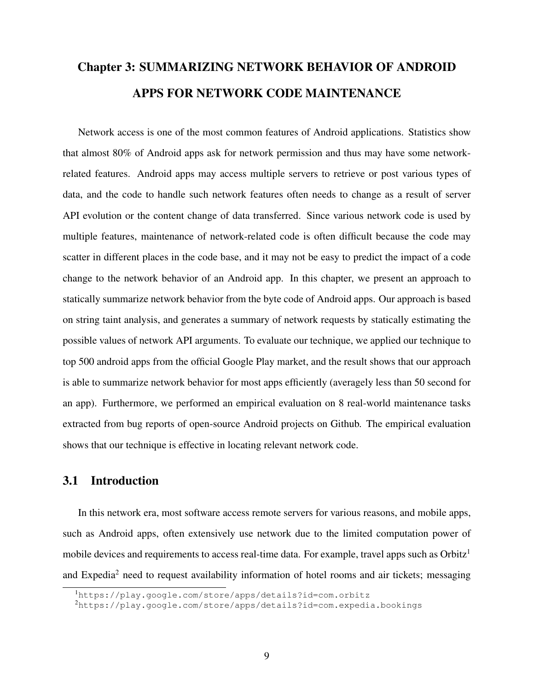# <span id="page-18-0"></span>Chapter 3: SUMMARIZING NETWORK BEHAVIOR OF ANDROID APPS FOR NETWORK CODE MAINTENANCE

Network access is one of the most common features of Android applications. Statistics show that almost 80% of Android apps ask for network permission and thus may have some networkrelated features. Android apps may access multiple servers to retrieve or post various types of data, and the code to handle such network features often needs to change as a result of server API evolution or the content change of data transferred. Since various network code is used by multiple features, maintenance of network-related code is often difficult because the code may scatter in different places in the code base, and it may not be easy to predict the impact of a code change to the network behavior of an Android app. In this chapter, we present an approach to statically summarize network behavior from the byte code of Android apps. Our approach is based on string taint analysis, and generates a summary of network requests by statically estimating the possible values of network API arguments. To evaluate our technique, we applied our technique to top 500 android apps from the official Google Play market, and the result shows that our approach is able to summarize network behavior for most apps efficiently (averagely less than 50 second for an app). Furthermore, we performed an empirical evaluation on 8 real-world maintenance tasks extracted from bug reports of open-source Android projects on Github. The empirical evaluation shows that our technique is effective in locating relevant network code.

# <span id="page-18-1"></span>3.1 Introduction

In this network era, most software access remote servers for various reasons, and mobile apps, such as Android apps, often extensively use network due to the limited computation power of mobile devices and requirements to access real-time data. For example, travel apps such as  $Orbitz<sup>1</sup>$  $Orbitz<sup>1</sup>$  $Orbitz<sup>1</sup>$ and Expedia<sup>[2](#page-18-3)</sup> need to request availability information of hotel rooms and air tickets; messaging

<span id="page-18-2"></span><sup>1</sup><https://play.google.com/store/apps/details?id=com.orbitz>

<span id="page-18-3"></span><sup>2</sup><https://play.google.com/store/apps/details?id=com.expedia.bookings>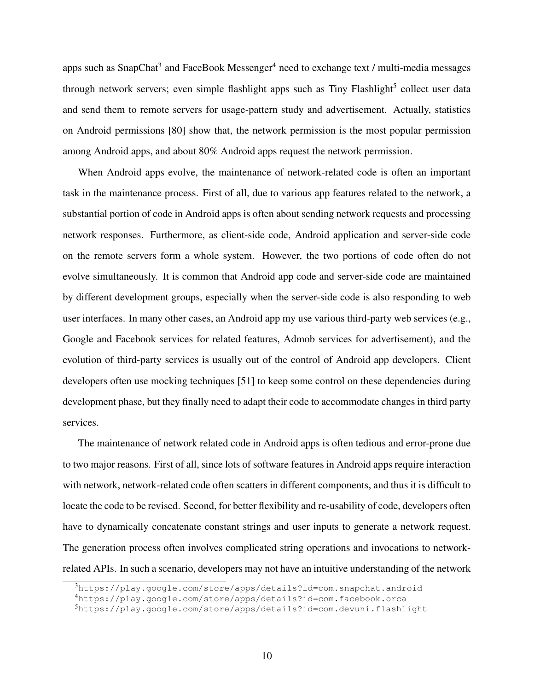apps such as SnapChat<sup>[3](#page-19-0)</sup> and FaceBook Messenger<sup>[4](#page-19-1)</sup> need to exchange text / multi-media messages through network servers; even simple flashlight apps such as Tiny Flashlight<sup>[5](#page-19-2)</sup> collect user data and send them to remote servers for usage-pattern study and advertisement. Actually, statistics on Android permissions [\[80\]](#page-89-3) show that, the network permission is the most popular permission among Android apps, and about 80% Android apps request the network permission.

When Android apps evolve, the maintenance of network-related code is often an important task in the maintenance process. First of all, due to various app features related to the network, a substantial portion of code in Android apps is often about sending network requests and processing network responses. Furthermore, as client-side code, Android application and server-side code on the remote servers form a whole system. However, the two portions of code often do not evolve simultaneously. It is common that Android app code and server-side code are maintained by different development groups, especially when the server-side code is also responding to web user interfaces. In many other cases, an Android app my use various third-party web services (e.g., Google and Facebook services for related features, Admob services for advertisement), and the evolution of third-party services is usually out of the control of Android app developers. Client developers often use mocking techniques [\[51\]](#page-85-4) to keep some control on these dependencies during development phase, but they finally need to adapt their code to accommodate changes in third party services.

The maintenance of network related code in Android apps is often tedious and error-prone due to two major reasons. First of all, since lots of software features in Android apps require interaction with network, network-related code often scatters in different components, and thus it is difficult to locate the code to be revised. Second, for better flexibility and re-usability of code, developers often have to dynamically concatenate constant strings and user inputs to generate a network request. The generation process often involves complicated string operations and invocations to networkrelated APIs. In such a scenario, developers may not have an intuitive understanding of the network

<span id="page-19-0"></span><sup>3</sup><https://play.google.com/store/apps/details?id=com.snapchat.android>

<span id="page-19-1"></span><sup>4</sup><https://play.google.com/store/apps/details?id=com.facebook.orca>

<span id="page-19-2"></span><sup>5</sup><https://play.google.com/store/apps/details?id=com.devuni.flashlight>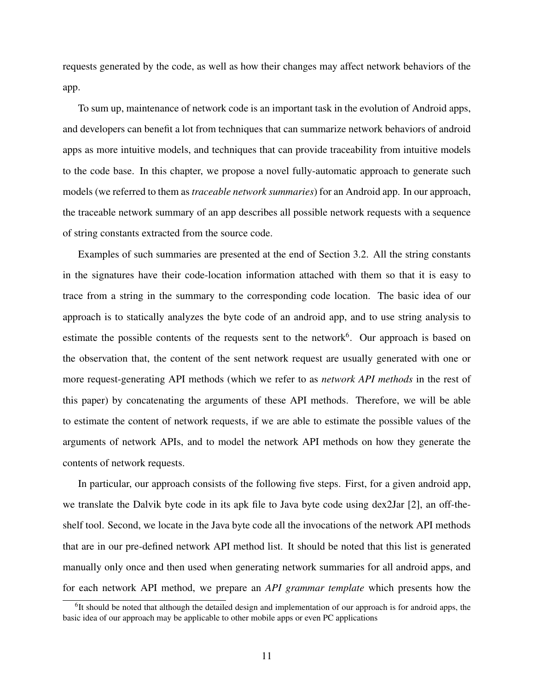requests generated by the code, as well as how their changes may affect network behaviors of the app.

To sum up, maintenance of network code is an important task in the evolution of Android apps, and developers can benefit a lot from techniques that can summarize network behaviors of android apps as more intuitive models, and techniques that can provide traceability from intuitive models to the code base. In this chapter, we propose a novel fully-automatic approach to generate such models (we referred to them as *traceable network summaries*) for an Android app. In our approach, the traceable network summary of an app describes all possible network requests with a sequence of string constants extracted from the source code.

Examples of such summaries are presented at the end of Section [3.2.](#page-22-0) All the string constants in the signatures have their code-location information attached with them so that it is easy to trace from a string in the summary to the corresponding code location. The basic idea of our approach is to statically analyzes the byte code of an android app, and to use string analysis to estimate the possible contents of the requests sent to the network<sup>[6](#page-20-0)</sup>. Our approach is based on the observation that, the content of the sent network request are usually generated with one or more request-generating API methods (which we refer to as *network API methods* in the rest of this paper) by concatenating the arguments of these API methods. Therefore, we will be able to estimate the content of network requests, if we are able to estimate the possible values of the arguments of network APIs, and to model the network API methods on how they generate the contents of network requests.

In particular, our approach consists of the following five steps. First, for a given android app, we translate the Dalvik byte code in its apk file to Java byte code using dex2Jar [\[2\]](#page-80-10), an off-theshelf tool. Second, we locate in the Java byte code all the invocations of the network API methods that are in our pre-defined network API method list. It should be noted that this list is generated manually only once and then used when generating network summaries for all android apps, and for each network API method, we prepare an *API grammar template* which presents how the

<span id="page-20-0"></span><sup>&</sup>lt;sup>6</sup>It should be noted that although the detailed design and implementation of our approach is for android apps, the basic idea of our approach may be applicable to other mobile apps or even PC applications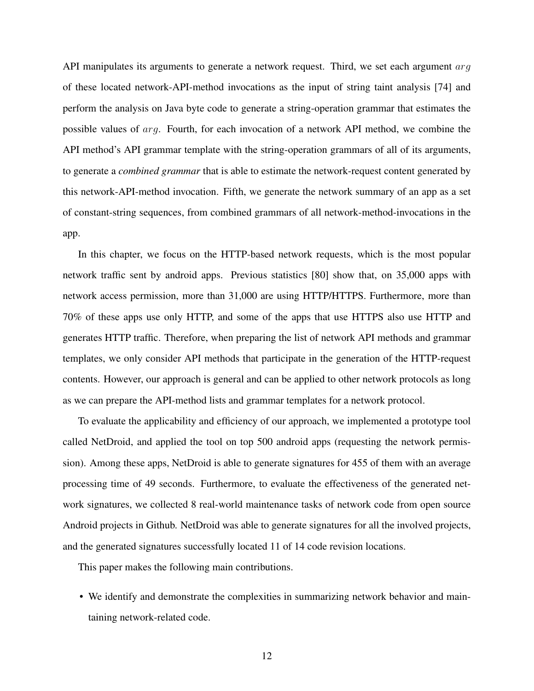API manipulates its arguments to generate a network request. Third, we set each argument  $arg$ of these located network-API-method invocations as the input of string taint analysis [\[74\]](#page-88-4) and perform the analysis on Java byte code to generate a string-operation grammar that estimates the possible values of arg. Fourth, for each invocation of a network API method, we combine the API method's API grammar template with the string-operation grammars of all of its arguments, to generate a *combined grammar* that is able to estimate the network-request content generated by this network-API-method invocation. Fifth, we generate the network summary of an app as a set of constant-string sequences, from combined grammars of all network-method-invocations in the app.

In this chapter, we focus on the HTTP-based network requests, which is the most popular network traffic sent by android apps. Previous statistics [\[80\]](#page-89-3) show that, on 35,000 apps with network access permission, more than 31,000 are using HTTP/HTTPS. Furthermore, more than 70% of these apps use only HTTP, and some of the apps that use HTTPS also use HTTP and generates HTTP traffic. Therefore, when preparing the list of network API methods and grammar templates, we only consider API methods that participate in the generation of the HTTP-request contents. However, our approach is general and can be applied to other network protocols as long as we can prepare the API-method lists and grammar templates for a network protocol.

To evaluate the applicability and efficiency of our approach, we implemented a prototype tool called NetDroid, and applied the tool on top 500 android apps (requesting the network permission). Among these apps, NetDroid is able to generate signatures for 455 of them with an average processing time of 49 seconds. Furthermore, to evaluate the effectiveness of the generated network signatures, we collected 8 real-world maintenance tasks of network code from open source Android projects in Github. NetDroid was able to generate signatures for all the involved projects, and the generated signatures successfully located 11 of 14 code revision locations.

This paper makes the following main contributions.

• We identify and demonstrate the complexities in summarizing network behavior and maintaining network-related code.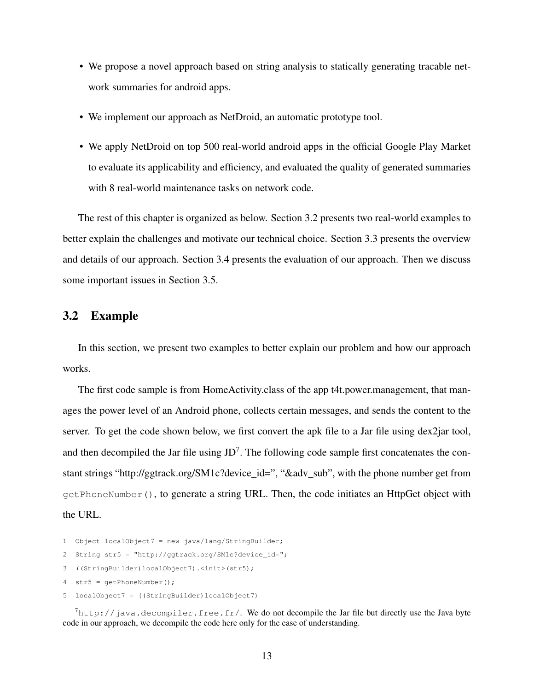- We propose a novel approach based on string analysis to statically generating tracable network summaries for android apps.
- We implement our approach as NetDroid, an automatic prototype tool.
- We apply NetDroid on top 500 real-world android apps in the official Google Play Market to evaluate its applicability and efficiency, and evaluated the quality of generated summaries with 8 real-world maintenance tasks on network code.

The rest of this chapter is organized as below. Section [3.2](#page-22-0) presents two real-world examples to better explain the challenges and motivate our technical choice. Section [3.3](#page-24-0) presents the overview and details of our approach. Section [3.4](#page-33-1) presents the evaluation of our approach. Then we discuss some important issues in Section [3.5.](#page-39-0)

### <span id="page-22-0"></span>3.2 Example

In this section, we present two examples to better explain our problem and how our approach works.

The first code sample is from HomeActivity.class of the app t4t.power.management, that manages the power level of an Android phone, collects certain messages, and sends the content to the server. To get the code shown below, we first convert the apk file to a Jar file using dex2jar tool, and then decompiled the Jar file using  $JD^7$  $JD^7$ . The following code sample first concatenates the constant strings "http://ggtrack.org/SM1c?device\_id=", "&adv\_sub", with the phone number get from getPhoneNumber(), to generate a string URL. Then, the code initiates an HttpGet object with the URL.

```
1 Object localObject7 = new java/lang/StringBuilder;
2 String str5 = "http://ggtrack.org/SM1c?device_id=";
3 ((StringBuilder)localObject7).<init>(str5);
4 str5 = getPhoneNumber();
5 localObject7 = ((StringBuilder)localObject7)
```
<span id="page-22-1"></span> $7$ <http://java.decompiler.free.fr/>. We do not decompile the Jar file but directly use the Java byte code in our approach, we decompile the code here only for the ease of understanding.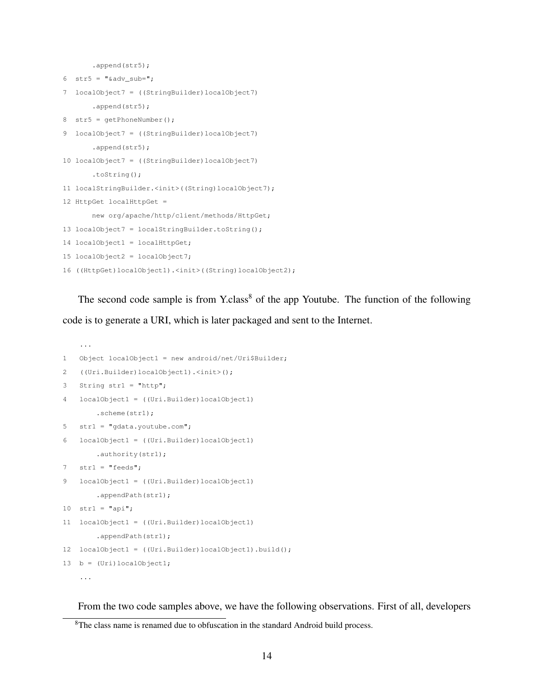```
.append(str5);
6 str5 = "\&adv_sub=";
7 localObject7 = ((StringBuilder)localObject7)
       .append(str5);
8 str5 = getPhoneNumber();
9 localObject7 = ((StringBuilder)localObject7)
       .append(str5);
10 localObject7 = ((StringBuilder)localObject7)
       .toString();
11 localStringBuilder.<init>((String)localObject7);
12 HttpGet localHttpGet =
       new org/apache/http/client/methods/HttpGet;
13 localObject7 = localStringBuilder.toString();
14 localObject1 = localHttpGet;
15 localObject2 = localObject7;
16 ((HttpGet)localObject1).<init>((String)localObject2);
```
The second code sample is from Y.class<sup>[8](#page-23-0)</sup> of the app Youtube. The function of the following code is to generate a URI, which is later packaged and sent to the Internet.

```
...
1 Object localObject1 = new android/net/Uri$Builder;
2 ((Uri.Builder)localObject1).<init>();
3 String str1 = "http";
4 localObject1 = ((Uri.Builder)localObject1)
        .scheme(str1);
5 str1 = "gdata.youtube.com";
6 localObject1 = ((Uri.Builder)localObject1)
        .authority(str1);
7 str1 = "feedback";9 localObject1 = ((Uri.Builder)localObject1)
        .appendPath(str1);
10 str1 = "api";
11 localObject1 = ((Uri.Builder)localObject1)
        .appendPath(str1);
12 localObject1 = ((Uri.Builder)localObject1).build();
13 b = (Uri) localObject1;...
```
From the two code samples above, we have the following observations. First of all, developers

<span id="page-23-0"></span><sup>&</sup>lt;sup>8</sup>The class name is renamed due to obfuscation in the standard Android build process.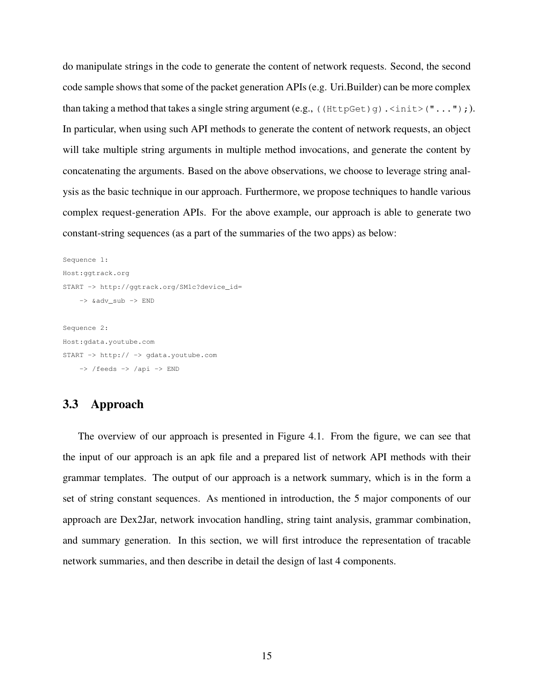do manipulate strings in the code to generate the content of network requests. Second, the second code sample shows that some of the packet generation APIs (e.g. Uri.Builder) can be more complex than taking a method that takes a single string argument (e.g., ( $HttpGet)q$ ).  $\langle init \rangle$  ("...");). In particular, when using such API methods to generate the content of network requests, an object will take multiple string arguments in multiple method invocations, and generate the content by concatenating the arguments. Based on the above observations, we choose to leverage string analysis as the basic technique in our approach. Furthermore, we propose techniques to handle various complex request-generation APIs. For the above example, our approach is able to generate two constant-string sequences (as a part of the summaries of the two apps) as below:

```
Sequence 1:
Host:ggtrack.org
START -> http://ggtrack.org/SM1c?device_id=
    -> &adv_sub -> END
Sequence 2:
Host:gdata.youtube.com
START -> http:// -> gdata.youtube.com
    -> /feeds -> /api -> END
```
# <span id="page-24-0"></span>3.3 Approach

The overview of our approach is presented in Figure [4.1.](#page-42-1) From the figure, we can see that the input of our approach is an apk file and a prepared list of network API methods with their grammar templates. The output of our approach is a network summary, which is in the form a set of string constant sequences. As mentioned in introduction, the 5 major components of our approach are Dex2Jar, network invocation handling, string taint analysis, grammar combination, and summary generation. In this section, we will first introduce the representation of tracable network summaries, and then describe in detail the design of last 4 components.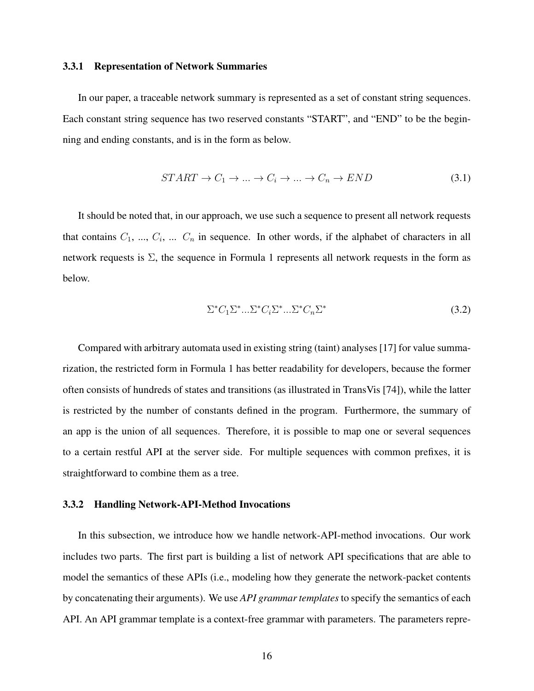### <span id="page-25-0"></span>3.3.1 Representation of Network Summaries

In our paper, a traceable network summary is represented as a set of constant string sequences. Each constant string sequence has two reserved constants "START", and "END" to be the beginning and ending constants, and is in the form as below.

$$
START \to C_1 \to \dots \to C_i \to \dots \to C_n \to END
$$
\n(3.1)

It should be noted that, in our approach, we use such a sequence to present all network requests that contains  $C_1$ , ...,  $C_i$ , ...  $C_n$  in sequence. In other words, if the alphabet of characters in all network requests is  $\Sigma$ , the sequence in Formula 1 represents all network requests in the form as below.

$$
\Sigma^* C_1 \Sigma^* \dots \Sigma^* C_i \Sigma^* \dots \Sigma^* C_n \Sigma^*
$$
\n
$$
(3.2)
$$

Compared with arbitrary automata used in existing string (taint) analyses [\[17\]](#page-81-7) for value summarization, the restricted form in Formula 1 has better readability for developers, because the former often consists of hundreds of states and transitions (as illustrated in TransVis [\[74\]](#page-88-4)), while the latter is restricted by the number of constants defined in the program. Furthermore, the summary of an app is the union of all sequences. Therefore, it is possible to map one or several sequences to a certain restful API at the server side. For multiple sequences with common prefixes, it is straightforward to combine them as a tree.

#### <span id="page-25-1"></span>3.3.2 Handling Network-API-Method Invocations

In this subsection, we introduce how we handle network-API-method invocations. Our work includes two parts. The first part is building a list of network API specifications that are able to model the semantics of these APIs (i.e., modeling how they generate the network-packet contents by concatenating their arguments). We use *API grammar templates*to specify the semantics of each API. An API grammar template is a context-free grammar with parameters. The parameters repre-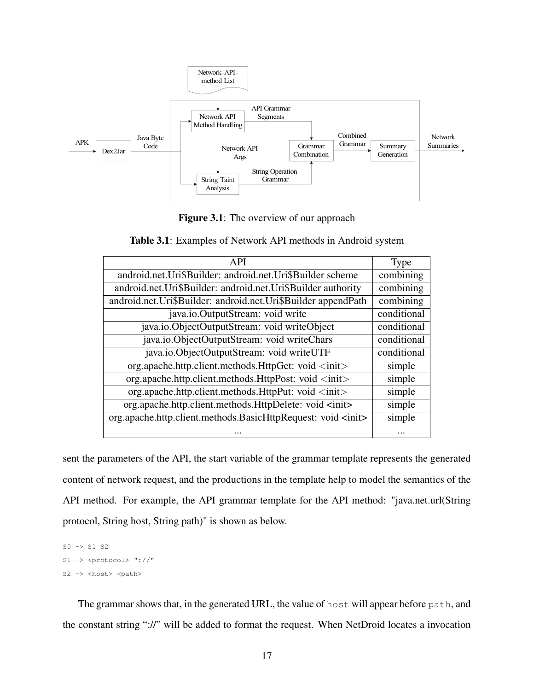<span id="page-26-1"></span>

Figure 3.1: The overview of our approach

Table 3.1: Examples of Network API methods in Android system

<span id="page-26-0"></span>

| <b>API</b>                                                          | <b>Type</b> |
|---------------------------------------------------------------------|-------------|
| android.net.Uri\$Builder: android.net.Uri\$Builder scheme           | combining   |
| android.net.Uri\$Builder: android.net.Uri\$Builder authority        | combining   |
| android.net.Uri\$Builder: android.net.Uri\$Builder appendPath       | combining   |
| java.io.OutputStream: void write                                    | conditional |
| java.io.ObjectOutputStream: void writeObject                        | conditional |
| java.io.ObjectOutputStream: void writeChars                         | conditional |
| java.io.ObjectOutputStream: void writeUTF                           | conditional |
| org.apache.http.client.methods.HttpGet: void <init></init>          | simple      |
| org.apache.http.client.methods.HttpPost: void <init></init>         | simple      |
| org.apache.http.client.methods.HttpPut: void <init></init>          | simple      |
| org.apache.http.client.methods.HttpDelete: void <init></init>       | simple      |
| org.apache.http.client.methods.BasicHttpRequest: void <init></init> | simple      |
|                                                                     |             |

sent the parameters of the API, the start variable of the grammar template represents the generated content of network request, and the productions in the template help to model the semantics of the API method. For example, the API grammar template for the API method: "java.net.url(String protocol, String host, String path)" is shown as below.

S0 -> S1 S2 S1  $\rightarrow$  <protocol> "://"  $S2 \rightarrow$  <host> <path>

The grammar shows that, in the generated URL, the value of host will appear before path, and the constant string "://" will be added to format the request. When NetDroid locates a invocation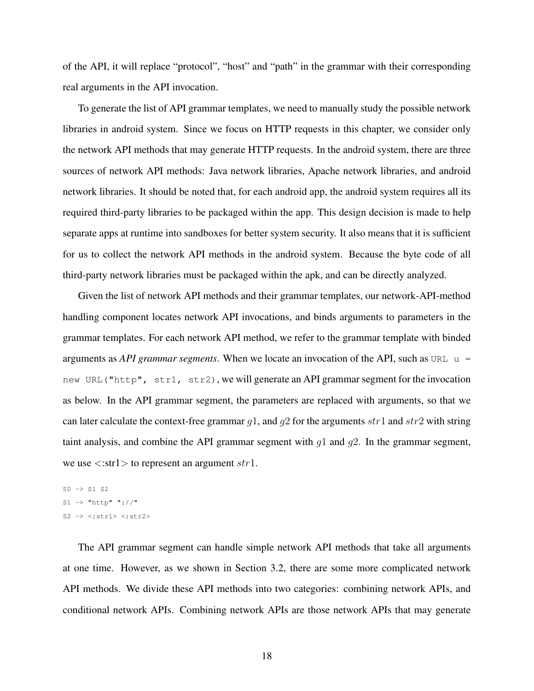of the API, it will replace "protocol", "host" and "path" in the grammar with their corresponding real arguments in the API invocation.

To generate the list of API grammar templates, we need to manually study the possible network libraries in android system. Since we focus on HTTP requests in this chapter, we consider only the network API methods that may generate HTTP requests. In the android system, there are three sources of network API methods: Java network libraries, Apache network libraries, and android network libraries. It should be noted that, for each android app, the android system requires all its required third-party libraries to be packaged within the app. This design decision is made to help separate apps at runtime into sandboxes for better system security. It also means that it is sufficient for us to collect the network API methods in the android system. Because the byte code of all third-party network libraries must be packaged within the apk, and can be directly analyzed.

Given the list of network API methods and their grammar templates, our network-API-method handling component locates network API invocations, and binds arguments to parameters in the grammar templates. For each network API method, we refer to the grammar template with binded arguments as *API grammar segments*. When we locate an invocation of the API, such as URL u = new URL("http", str1, str2), we will generate an API grammar segment for the invocation as below. In the API grammar segment, the parameters are replaced with arguments, so that we can later calculate the context-free grammar  $g1$ , and  $g2$  for the arguments  $str1$  and  $str2$  with string taint analysis, and combine the API grammar segment with  $g1$  and  $g2$ . In the grammar segment, we use  $\langle \cdot | str1 \rangle$  to represent an argument str1.

S0 -> S1 S2  $S1$  -> "http" "://" S2 -> <:str1> <:str2>

The API grammar segment can handle simple network API methods that take all arguments at one time. However, as we shown in Section [3.2,](#page-22-0) there are some more complicated network API methods. We divide these API methods into two categories: combining network APIs, and conditional network APIs. Combining network APIs are those network APIs that may generate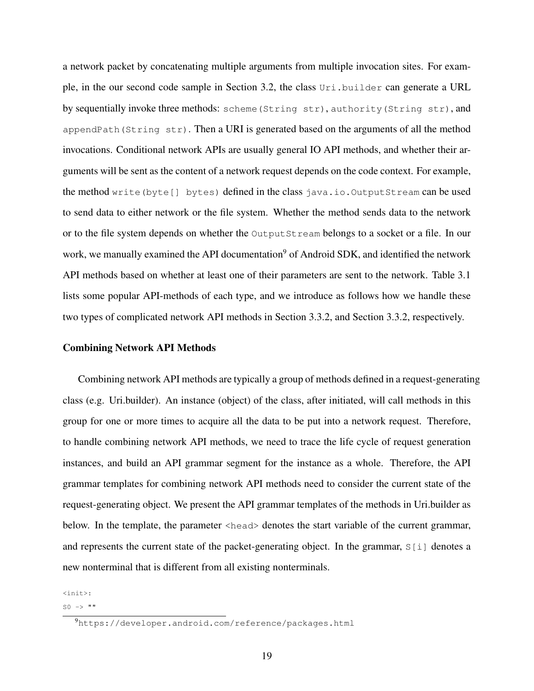a network packet by concatenating multiple arguments from multiple invocation sites. For example, in the our second code sample in Section [3.2,](#page-22-0) the class Uri.builder can generate a URL by sequentially invoke three methods: scheme(String str), authority(String str), and appendPath(String str). Then a URI is generated based on the arguments of all the method invocations. Conditional network APIs are usually general IO API methods, and whether their arguments will be sent as the content of a network request depends on the code context. For example, the method write(byte[] bytes) defined in the class java.io.OutputStream can be used to send data to either network or the file system. Whether the method sends data to the network or to the file system depends on whether the OutputStream belongs to a socket or a file. In our work, we manually examined the API documentation<sup>[9](#page-28-0)</sup> of Android SDK, and identified the network API methods based on whether at least one of their parameters are sent to the network. Table [3.1](#page-26-0) lists some popular API-methods of each type, and we introduce as follows how we handle these two types of complicated network API methods in Section [3.3.2,](#page-28-1) and Section [3.3.2,](#page-30-0) respectively.

#### <span id="page-28-1"></span>Combining Network API Methods

Combining network API methods are typically a group of methods defined in a request-generating class (e.g. Uri.builder). An instance (object) of the class, after initiated, will call methods in this group for one or more times to acquire all the data to be put into a network request. Therefore, to handle combining network API methods, we need to trace the life cycle of request generation instances, and build an API grammar segment for the instance as a whole. Therefore, the API grammar templates for combining network API methods need to consider the current state of the request-generating object. We present the API grammar templates of the methods in Uri.builder as below. In the template, the parameter <head> denotes the start variable of the current grammar, and represents the current state of the packet-generating object. In the grammar, S[i] denotes a new nonterminal that is different from all existing nonterminals.

<init>:

 $SO \rightarrow$  ""

<span id="page-28-0"></span><sup>9</sup><https://developer.android.com/reference/packages.html>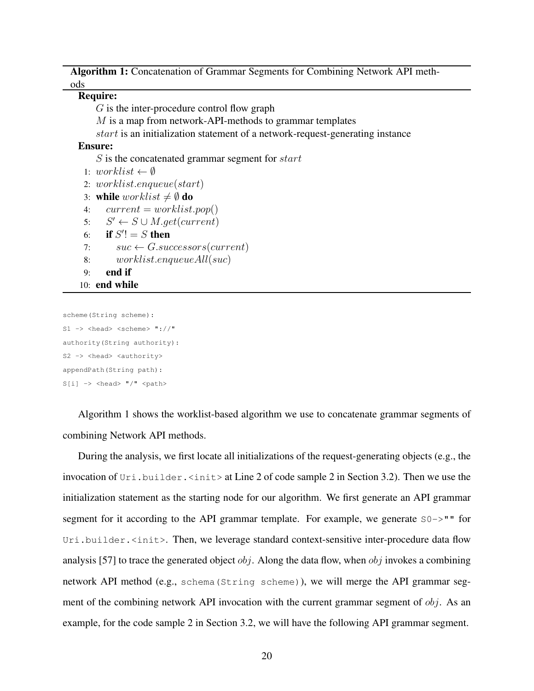Algorithm 1: Concatenation of Grammar Segments for Combining Network API methods

### Require:

G is the inter-procedure control flow graph

 $M$  is a map from network-API-methods to grammar templates

start is an initialization statement of a network-request-generating instance

### Ensure:

 $S$  is the concatenated grammar segment for  $start$ 

```
1: worklist \leftarrow \emptyset
```
- 2: worklist.enqueue(start)
- 3: while  $worklist \neq \emptyset$  do
- 4:  $current = worklist.pop()$
- $5:$  $S' \leftarrow S \cup M.get(current)$
- 6: if  $S' = S$  then
- 7:  $suc \leftarrow G.successors(current)$
- 8: worklist.enqueueAll(suc)
- $9:$  end if
- 10: end while

scheme(String scheme): S1 -> <head> <scheme> "://" authority(String authority): S2 -> <head> <authority> appendPath(String path):  $S[i]$  -> <head> "/" <path>

Algorithm 1 shows the worklist-based algorithm we use to concatenate grammar segments of combining Network API methods.

During the analysis, we first locate all initializations of the request-generating objects (e.g., the invocation of  $Uri$ . builder.  $\langle$ init $\rangle$  at Line 2 of code sample 2 in Section [3.2\)](#page-22-0). Then we use the initialization statement as the starting node for our algorithm. We first generate an API grammar segment for it according to the API grammar template. For example, we generate S0->"" for Uri.builder.<init>. Then, we leverage standard context-sensitive inter-procedure data flow analysis [\[57\]](#page-86-7) to trace the generated object  $obj$ . Along the data flow, when  $obj$  invokes a combining network API method (e.g., schema(String scheme)), we will merge the API grammar segment of the combining network API invocation with the current grammar segment of  $obj$ . As an example, for the code sample 2 in Section [3.2,](#page-22-0) we will have the following API grammar segment.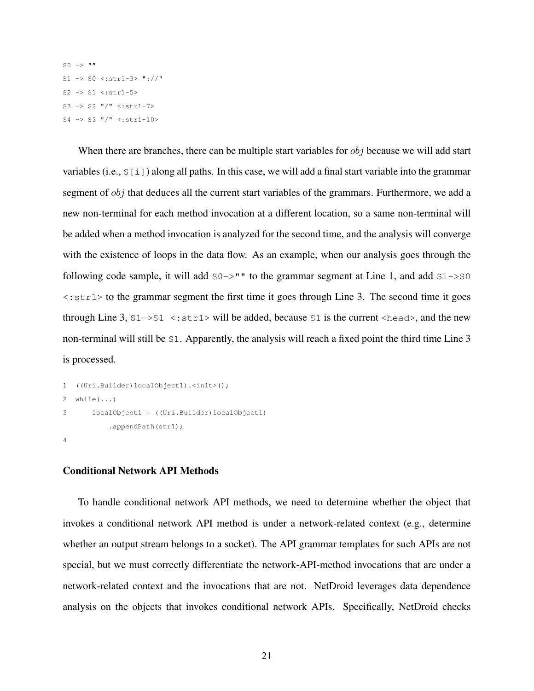```
SO \rightarrow ""
S1 -> S0 <:str1-3> "://"
S2 -> S1 <:str1-5>
S3 -> S2 "/" <:str1-7>
S4 \rightarrow S3 "/" <: str1-10>
```
When there are branches, there can be multiple start variables for  $obj$  because we will add start variables (i.e.,  $S[i]$ ) along all paths. In this case, we will add a final start variable into the grammar segment of *obj* that deduces all the current start variables of the grammars. Furthermore, we add a new non-terminal for each method invocation at a different location, so a same non-terminal will be added when a method invocation is analyzed for the second time, and the analysis will converge with the existence of loops in the data flow. As an example, when our analysis goes through the following code sample, it will add  $\text{SO-}$ "" to the grammar segment at Line 1, and add  $\text{S1-}>$   $\text{SO}$ <:str1> to the grammar segment the first time it goes through Line 3. The second time it goes through Line 3,  $S1 - S1$  <:  $S1 - S1$  will be added, because  $S1$  is the current <head>, and the new non-terminal will still be S1. Apparently, the analysis will reach a fixed point the third time Line 3 is processed.

```
1 ((Uri.Builder)localObject1).<init>();
2 while(...)3 localObject1 = ((Uri.Builder)localObject1)
          .appendPath(str1);
4
```
### <span id="page-30-0"></span>Conditional Network API Methods

To handle conditional network API methods, we need to determine whether the object that invokes a conditional network API method is under a network-related context (e.g., determine whether an output stream belongs to a socket). The API grammar templates for such APIs are not special, but we must correctly differentiate the network-API-method invocations that are under a network-related context and the invocations that are not. NetDroid leverages data dependence analysis on the objects that invokes conditional network APIs. Specifically, NetDroid checks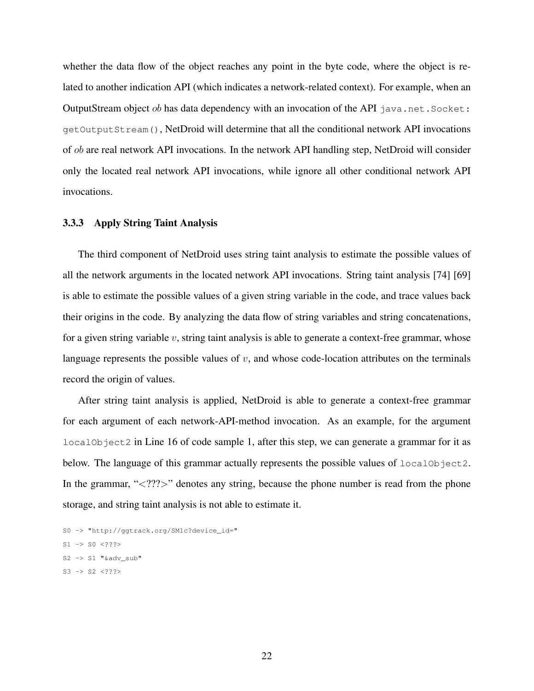whether the data flow of the object reaches any point in the byte code, where the object is related to another indication API (which indicates a network-related context). For example, when an OutputStream object ob has data dependency with an invocation of the API  $\beta$  java.net.Socket: getOutputStream(), NetDroid will determine that all the conditional network API invocations of ob are real network API invocations. In the network API handling step, NetDroid will consider only the located real network API invocations, while ignore all other conditional network API invocations.

#### <span id="page-31-0"></span>3.3.3 Apply String Taint Analysis

The third component of NetDroid uses string taint analysis to estimate the possible values of all the network arguments in the located network API invocations. String taint analysis [\[74\]](#page-88-4) [\[69\]](#page-87-6) is able to estimate the possible values of a given string variable in the code, and trace values back their origins in the code. By analyzing the data flow of string variables and string concatenations, for a given string variable  $v$ , string taint analysis is able to generate a context-free grammar, whose language represents the possible values of  $v$ , and whose code-location attributes on the terminals record the origin of values.

After string taint analysis is applied, NetDroid is able to generate a context-free grammar for each argument of each network-API-method invocation. As an example, for the argument localObject2 in Line 16 of code sample 1, after this step, we can generate a grammar for it as below. The language of this grammar actually represents the possible values of  $localObject2$ . In the grammar, " $\langle$ ??? $\rangle$ " denotes any string, because the phone number is read from the phone storage, and string taint analysis is not able to estimate it.

```
S0 -> "http://ggtrack.org/SM1c?device_id="
S1 - > S0 < ???S2 \rightarrow S1 " \& adv_sub"
S3 -> S2 <???>
```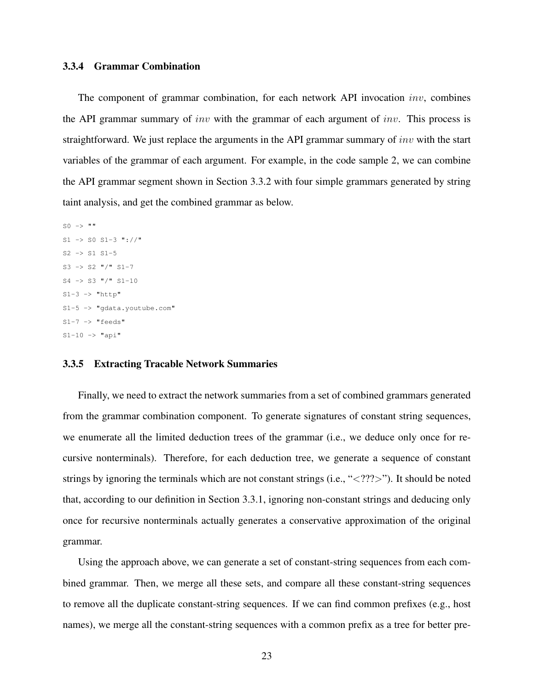### <span id="page-32-0"></span>3.3.4 Grammar Combination

The component of grammar combination, for each network API invocation  $inv$ , combines the API grammar summary of *inv* with the grammar of each argument of *inv*. This process is straightforward. We just replace the arguments in the API grammar summary of *inv* with the start variables of the grammar of each argument. For example, in the code sample 2, we can combine the API grammar segment shown in Section [3.3.2](#page-28-1) with four simple grammars generated by string taint analysis, and get the combined grammar as below.

 $SO \Rightarrow$  ""  $S1$  ->  $S0$   $S1-3$  "://" S2 -> S1 S1-5  $S3 \rightarrow S2$  "/"  $S1-7$  $S4 \rightarrow S3$  "/"  $S1-10$  $S1-3$   $\rightarrow$  "http" S1-5 -> "gdata.youtube.com"  $S1-7$  -> "feeds"  $S1-10$  -> "api"

### <span id="page-32-1"></span>3.3.5 Extracting Tracable Network Summaries

Finally, we need to extract the network summaries from a set of combined grammars generated from the grammar combination component. To generate signatures of constant string sequences, we enumerate all the limited deduction trees of the grammar (i.e., we deduce only once for recursive nonterminals). Therefore, for each deduction tree, we generate a sequence of constant strings by ignoring the terminals which are not constant strings (i.e., "<???>"). It should be noted that, according to our definition in Section [3.3.1,](#page-25-0) ignoring non-constant strings and deducing only once for recursive nonterminals actually generates a conservative approximation of the original grammar.

Using the approach above, we can generate a set of constant-string sequences from each combined grammar. Then, we merge all these sets, and compare all these constant-string sequences to remove all the duplicate constant-string sequences. If we can find common prefixes (e.g., host names), we merge all the constant-string sequences with a common prefix as a tree for better pre-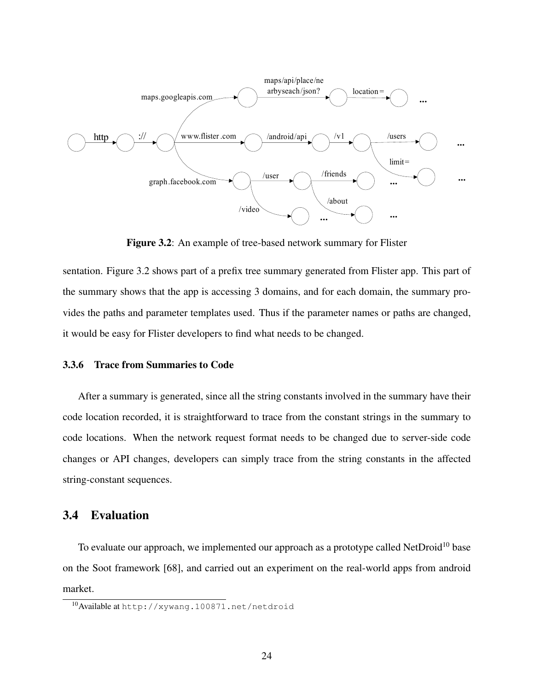<span id="page-33-2"></span>

Figure 3.2: An example of tree-based network summary for Flister

sentation. Figure [3.2](#page-33-2) shows part of a prefix tree summary generated from Flister app. This part of the summary shows that the app is accessing 3 domains, and for each domain, the summary provides the paths and parameter templates used. Thus if the parameter names or paths are changed, it would be easy for Flister developers to find what needs to be changed.

### <span id="page-33-0"></span>3.3.6 Trace from Summaries to Code

After a summary is generated, since all the string constants involved in the summary have their code location recorded, it is straightforward to trace from the constant strings in the summary to code locations. When the network request format needs to be changed due to server-side code changes or API changes, developers can simply trace from the string constants in the affected string-constant sequences.

# <span id="page-33-1"></span>3.4 Evaluation

To evaluate our approach, we implemented our approach as a prototype called NetDroid<sup>[10](#page-33-3)</sup> base on the Soot framework [\[68\]](#page-87-7), and carried out an experiment on the real-world apps from android market.

<span id="page-33-3"></span><sup>10</sup>Available at <http://xywang.100871.net/netdroid>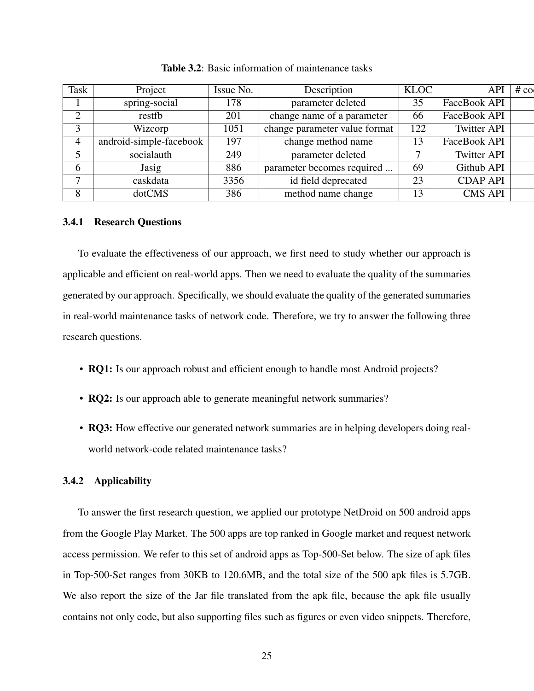<span id="page-34-2"></span>

| Task           | Project                 | Issue No. | Description                   | <b>KLOC</b> | <b>API</b>         | $#$ co |
|----------------|-------------------------|-----------|-------------------------------|-------------|--------------------|--------|
|                | spring-social           | 178       | parameter deleted             | 35          | FaceBook API       |        |
| $\overline{2}$ | restfb                  | 201       | change name of a parameter    | 66          | FaceBook API       |        |
| 3              | Wizcorp                 | 1051      | change parameter value format | 122         | <b>Twitter API</b> |        |
| 4              | android-simple-facebook | 197       | change method name            | 13          | FaceBook API       |        |
|                | socialauth              | 249       | parameter deleted             |             | <b>Twitter API</b> |        |
| 6              | Jasig                   | 886       | parameter becomes required    | 69          | Github API         |        |
| $\mathbf{r}$   | caskdata                | 3356      | id field deprecated           | 23          | <b>CDAP API</b>    |        |
| 8              | dotCMS                  | 386       | method name change            | 13          | <b>CMS API</b>     |        |

Table 3.2: Basic information of maintenance tasks

### <span id="page-34-0"></span>3.4.1 Research Questions

To evaluate the effectiveness of our approach, we first need to study whether our approach is applicable and efficient on real-world apps. Then we need to evaluate the quality of the summaries generated by our approach. Specifically, we should evaluate the quality of the generated summaries in real-world maintenance tasks of network code. Therefore, we try to answer the following three research questions.

- RQ1: Is our approach robust and efficient enough to handle most Android projects?
- RQ2: Is our approach able to generate meaningful network summaries?
- RQ3: How effective our generated network summaries are in helping developers doing realworld network-code related maintenance tasks?

### <span id="page-34-1"></span>3.4.2 Applicability

To answer the first research question, we applied our prototype NetDroid on 500 android apps from the Google Play Market. The 500 apps are top ranked in Google market and request network access permission. We refer to this set of android apps as Top-500-Set below. The size of apk files in Top-500-Set ranges from 30KB to 120.6MB, and the total size of the 500 apk files is 5.7GB. We also report the size of the Jar file translated from the apk file, because the apk file usually contains not only code, but also supporting files such as figures or even video snippets. Therefore,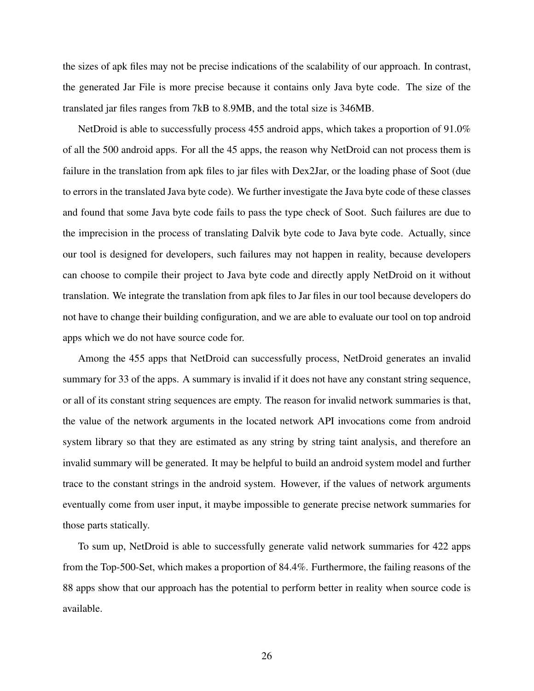the sizes of apk files may not be precise indications of the scalability of our approach. In contrast, the generated Jar File is more precise because it contains only Java byte code. The size of the translated jar files ranges from 7kB to 8.9MB, and the total size is 346MB.

NetDroid is able to successfully process 455 android apps, which takes a proportion of 91.0% of all the 500 android apps. For all the 45 apps, the reason why NetDroid can not process them is failure in the translation from apk files to jar files with Dex2Jar, or the loading phase of Soot (due to errors in the translated Java byte code). We further investigate the Java byte code of these classes and found that some Java byte code fails to pass the type check of Soot. Such failures are due to the imprecision in the process of translating Dalvik byte code to Java byte code. Actually, since our tool is designed for developers, such failures may not happen in reality, because developers can choose to compile their project to Java byte code and directly apply NetDroid on it without translation. We integrate the translation from apk files to Jar files in our tool because developers do not have to change their building configuration, and we are able to evaluate our tool on top android apps which we do not have source code for.

Among the 455 apps that NetDroid can successfully process, NetDroid generates an invalid summary for 33 of the apps. A summary is invalid if it does not have any constant string sequence, or all of its constant string sequences are empty. The reason for invalid network summaries is that, the value of the network arguments in the located network API invocations come from android system library so that they are estimated as any string by string taint analysis, and therefore an invalid summary will be generated. It may be helpful to build an android system model and further trace to the constant strings in the android system. However, if the values of network arguments eventually come from user input, it maybe impossible to generate precise network summaries for those parts statically.

To sum up, NetDroid is able to successfully generate valid network summaries for 422 apps from the Top-500-Set, which makes a proportion of 84.4%. Furthermore, the failing reasons of the 88 apps show that our approach has the potential to perform better in reality when source code is available.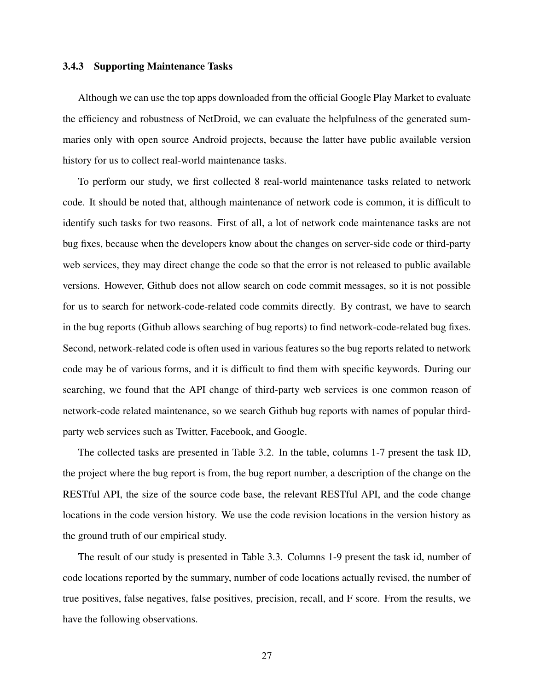#### 3.4.3 Supporting Maintenance Tasks

Although we can use the top apps downloaded from the official Google Play Market to evaluate the efficiency and robustness of NetDroid, we can evaluate the helpfulness of the generated summaries only with open source Android projects, because the latter have public available version history for us to collect real-world maintenance tasks.

To perform our study, we first collected 8 real-world maintenance tasks related to network code. It should be noted that, although maintenance of network code is common, it is difficult to identify such tasks for two reasons. First of all, a lot of network code maintenance tasks are not bug fixes, because when the developers know about the changes on server-side code or third-party web services, they may direct change the code so that the error is not released to public available versions. However, Github does not allow search on code commit messages, so it is not possible for us to search for network-code-related code commits directly. By contrast, we have to search in the bug reports (Github allows searching of bug reports) to find network-code-related bug fixes. Second, network-related code is often used in various features so the bug reports related to network code may be of various forms, and it is difficult to find them with specific keywords. During our searching, we found that the API change of third-party web services is one common reason of network-code related maintenance, so we search Github bug reports with names of popular thirdparty web services such as Twitter, Facebook, and Google.

The collected tasks are presented in Table [3.2.](#page-34-0) In the table, columns 1-7 present the task ID, the project where the bug report is from, the bug report number, a description of the change on the RESTful API, the size of the source code base, the relevant RESTful API, and the code change locations in the code version history. We use the code revision locations in the version history as the ground truth of our empirical study.

The result of our study is presented in Table [3.3.](#page-38-0) Columns 1-9 present the task id, number of code locations reported by the summary, number of code locations actually revised, the number of true positives, false negatives, false positives, precision, recall, and F score. From the results, we have the following observations.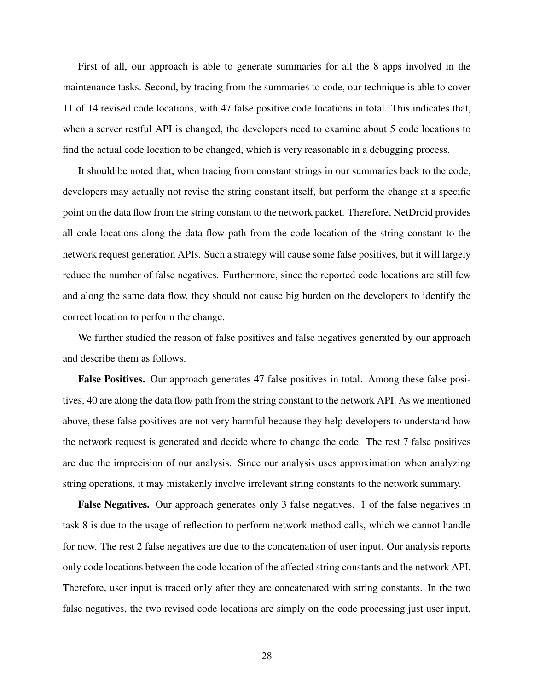First of all, our approach is able to generate summaries for all the 8 apps involved in the maintenance tasks. Second, by tracing from the summaries to code, our technique is able to cover 11 of 14 revised code locations, with 47 false positive code locations in total. This indicates that, when a server restful API is changed, the developers need to examine about 5 code locations to find the actual code location to be changed, which is very reasonable in a debugging process.

It should be noted that, when tracing from constant strings in our summaries back to the code, developers may actually not revise the string constant itself, but perform the change at a specific point on the data flow from the string constant to the network packet. Therefore, NetDroid provides all code locations along the data flow path from the code location of the string constant to the network request generation APIs. Such a strategy will cause some false positives, but it will largely reduce the number of false negatives. Furthermore, since the reported code locations are still few and along the same data flow, they should not cause big burden on the developers to identify the correct location to perform the change.

We further studied the reason of false positives and false negatives generated by our approach and describe them as follows.

**False Positives.** Our approach generates 47 false positives in total. Among these false positives, 40 are along the data flow path from the string constant to the network API. As we mentioned above, these false positives are not very harmful because they help developers to understand how the network request is generated and decide where to change the code. The rest 7 false positives are due the imprecision of our analysis. Since our analysis uses approximation when analyzing string operations, it may mistakenly involve irrelevant string constants to the network summary.

False Negatives. Our approach generates only 3 false negatives. 1 of the false negatives in task 8 is due to the usage of reflection to perform network method calls, which we cannot handle for now. The rest 2 false negatives are due to the concatenation of user input. Our analysis reports only code locations between the code location of the affected string constants and the network API. Therefore, user input is traced only after they are concatenated with string constants. In the two false negatives, the two revised code locations are simply on the code processing just user input,

28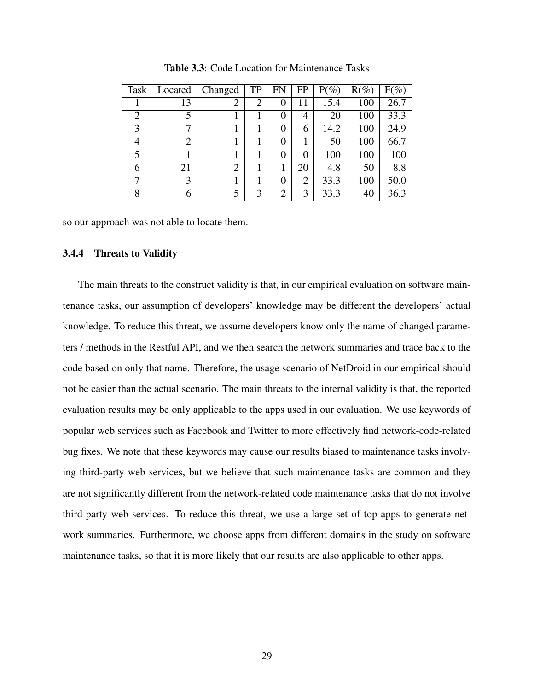<span id="page-38-0"></span>

| <b>Task</b>    | Located        | Changed        | <b>TP</b>      | FN             | FP             | $P(\%)$ | $R(\%)$ | $F(\%)$ |
|----------------|----------------|----------------|----------------|----------------|----------------|---------|---------|---------|
|                | 13             | $\overline{2}$ | $\overline{2}$ | 0              |                | 15.4    | 100     | 26.7    |
| $\overline{2}$ | 5              |                |                | 0              | 4              | 20      | 100     | 33.3    |
| 3              | 7              |                |                | 0              | 6              | 14.2    | 100     | 24.9    |
| 4              | $\overline{2}$ |                |                | 0              |                | 50      | 100     | 66.7    |
| 5              |                |                |                | 0              | 0              | 100     | 100     | 100     |
| 6              | 21             | $\overline{2}$ |                |                | 20             | 4.8     | 50      | 8.8     |
|                | 3              |                |                | 0              | $\overline{2}$ | 33.3    | 100     | 50.0    |
| 8              | 6              | 5              | 3              | $\overline{2}$ | 3              | 33.3    | 40      | 36.3    |

Table 3.3: Code Location for Maintenance Tasks

so our approach was not able to locate them.

#### 3.4.4 Threats to Validity

The main threats to the construct validity is that, in our empirical evaluation on software maintenance tasks, our assumption of developers' knowledge may be different the developers' actual knowledge. To reduce this threat, we assume developers know only the name of changed parameters / methods in the Restful API, and we then search the network summaries and trace back to the code based on only that name. Therefore, the usage scenario of NetDroid in our empirical should not be easier than the actual scenario. The main threats to the internal validity is that, the reported evaluation results may be only applicable to the apps used in our evaluation. We use keywords of popular web services such as Facebook and Twitter to more effectively find network-code-related bug fixes. We note that these keywords may cause our results biased to maintenance tasks involving third-party web services, but we believe that such maintenance tasks are common and they are not significantly different from the network-related code maintenance tasks that do not involve third-party web services. To reduce this threat, we use a large set of top apps to generate network summaries. Furthermore, we choose apps from different domains in the study on software maintenance tasks, so that it is more likely that our results are also applicable to other apps.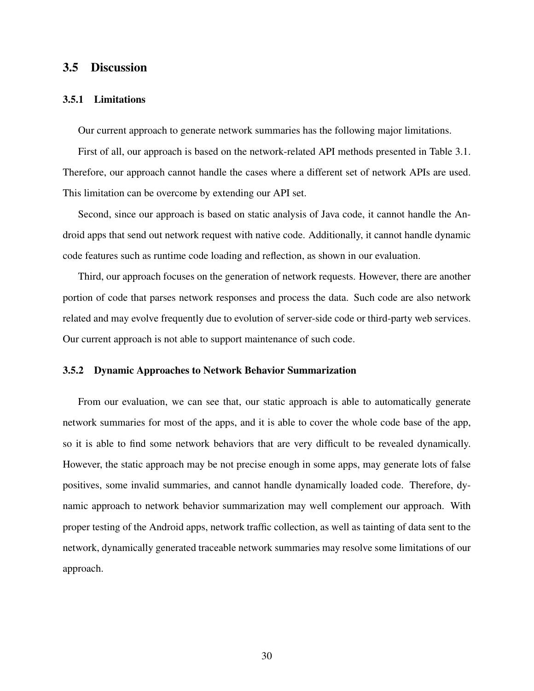## 3.5 Discussion

#### 3.5.1 Limitations

Our current approach to generate network summaries has the following major limitations.

First of all, our approach is based on the network-related API methods presented in Table [3.1.](#page-26-0) Therefore, our approach cannot handle the cases where a different set of network APIs are used. This limitation can be overcome by extending our API set.

Second, since our approach is based on static analysis of Java code, it cannot handle the Android apps that send out network request with native code. Additionally, it cannot handle dynamic code features such as runtime code loading and reflection, as shown in our evaluation.

Third, our approach focuses on the generation of network requests. However, there are another portion of code that parses network responses and process the data. Such code are also network related and may evolve frequently due to evolution of server-side code or third-party web services. Our current approach is not able to support maintenance of such code.

#### 3.5.2 Dynamic Approaches to Network Behavior Summarization

From our evaluation, we can see that, our static approach is able to automatically generate network summaries for most of the apps, and it is able to cover the whole code base of the app, so it is able to find some network behaviors that are very difficult to be revealed dynamically. However, the static approach may be not precise enough in some apps, may generate lots of false positives, some invalid summaries, and cannot handle dynamically loaded code. Therefore, dynamic approach to network behavior summarization may well complement our approach. With proper testing of the Android apps, network traffic collection, as well as tainting of data sent to the network, dynamically generated traceable network summaries may resolve some limitations of our approach.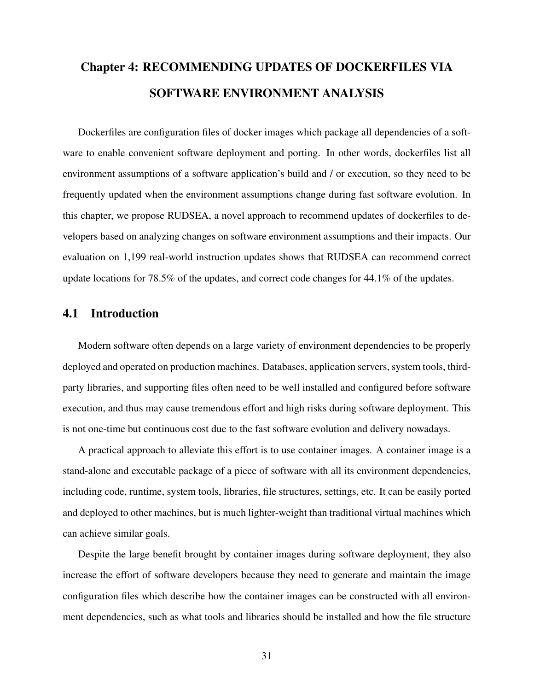# Chapter 4: RECOMMENDING UPDATES OF DOCKERFILES VIA SOFTWARE ENVIRONMENT ANALYSIS

Dockerfiles are configuration files of docker images which package all dependencies of a software to enable convenient software deployment and porting. In other words, dockerfiles list all environment assumptions of a software application's build and / or execution, so they need to be frequently updated when the environment assumptions change during fast software evolution. In this chapter, we propose RUDSEA, a novel approach to recommend updates of dockerfiles to developers based on analyzing changes on software environment assumptions and their impacts. Our evaluation on 1,199 real-world instruction updates shows that RUDSEA can recommend correct update locations for 78.5% of the updates, and correct code changes for 44.1% of the updates.

# 4.1 Introduction

Modern software often depends on a large variety of environment dependencies to be properly deployed and operated on production machines. Databases, application servers, system tools, thirdparty libraries, and supporting files often need to be well installed and configured before software execution, and thus may cause tremendous effort and high risks during software deployment. This is not one-time but continuous cost due to the fast software evolution and delivery nowadays.

A practical approach to alleviate this effort is to use container images. A container image is a stand-alone and executable package of a piece of software with all its environment dependencies, including code, runtime, system tools, libraries, file structures, settings, etc. It can be easily ported and deployed to other machines, but is much lighter-weight than traditional virtual machines which can achieve similar goals.

Despite the large benefit brought by container images during software deployment, they also increase the effort of software developers because they need to generate and maintain the image configuration files which describe how the container images can be constructed with all environment dependencies, such as what tools and libraries should be installed and how the file structure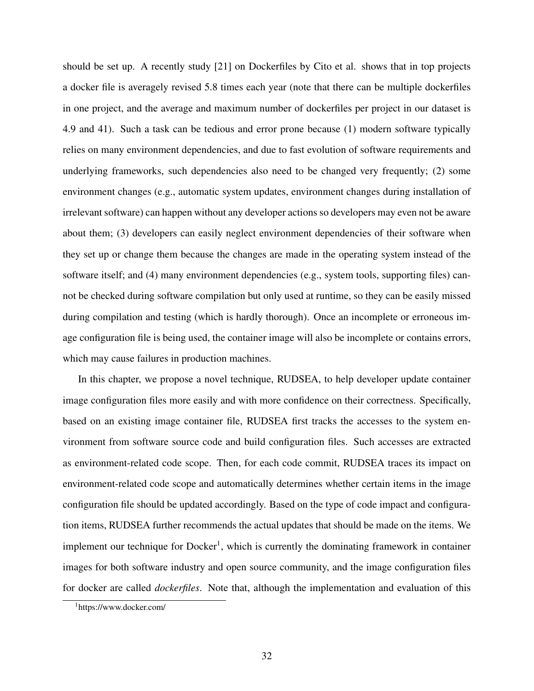should be set up. A recently study [\[21\]](#page-82-0) on Dockerfiles by Cito et al. shows that in top projects a docker file is averagely revised 5.8 times each year (note that there can be multiple dockerfiles in one project, and the average and maximum number of dockerfiles per project in our dataset is 4.9 and 41). Such a task can be tedious and error prone because (1) modern software typically relies on many environment dependencies, and due to fast evolution of software requirements and underlying frameworks, such dependencies also need to be changed very frequently; (2) some environment changes (e.g., automatic system updates, environment changes during installation of irrelevant software) can happen without any developer actions so developers may even not be aware about them; (3) developers can easily neglect environment dependencies of their software when they set up or change them because the changes are made in the operating system instead of the software itself; and (4) many environment dependencies (e.g., system tools, supporting files) cannot be checked during software compilation but only used at runtime, so they can be easily missed during compilation and testing (which is hardly thorough). Once an incomplete or erroneous image configuration file is being used, the container image will also be incomplete or contains errors, which may cause failures in production machines.

In this chapter, we propose a novel technique, RUDSEA, to help developer update container image configuration files more easily and with more confidence on their correctness. Specifically, based on an existing image container file, RUDSEA first tracks the accesses to the system environment from software source code and build configuration files. Such accesses are extracted as environment-related code scope. Then, for each code commit, RUDSEA traces its impact on environment-related code scope and automatically determines whether certain items in the image configuration file should be updated accordingly. Based on the type of code impact and configuration items, RUDSEA further recommends the actual updates that should be made on the items. We implement our technique for Docker<sup>[1](#page-41-0)</sup>, which is currently the dominating framework in container images for both software industry and open source community, and the image configuration files for docker are called *dockerfiles*. Note that, although the implementation and evaluation of this

<span id="page-41-0"></span><sup>1</sup>https://www.docker.com/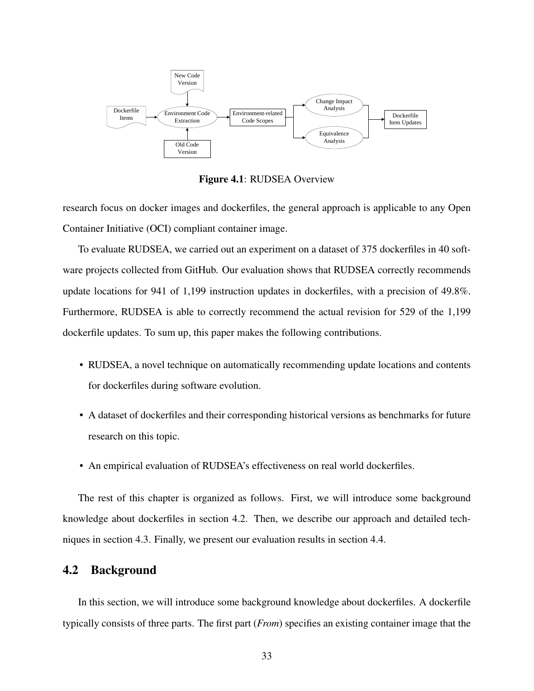<span id="page-42-1"></span>

Figure 4.1: RUDSEA Overview

research focus on docker images and dockerfiles, the general approach is applicable to any Open Container Initiative (OCI) compliant container image.

To evaluate RUDSEA, we carried out an experiment on a dataset of 375 dockerfiles in 40 software projects collected from GitHub. Our evaluation shows that RUDSEA correctly recommends update locations for 941 of 1,199 instruction updates in dockerfiles, with a precision of 49.8%. Furthermore, RUDSEA is able to correctly recommend the actual revision for 529 of the 1,199 dockerfile updates. To sum up, this paper makes the following contributions.

- RUDSEA, a novel technique on automatically recommending update locations and contents for dockerfiles during software evolution.
- A dataset of dockerfiles and their corresponding historical versions as benchmarks for future research on this topic.
- An empirical evaluation of RUDSEA's effectiveness on real world dockerfiles.

The rest of this chapter is organized as follows. First, we will introduce some background knowledge about dockerfiles in section [4.2.](#page-42-0) Then, we describe our approach and detailed techniques in section [4.3.](#page-43-0) Finally, we present our evaluation results in section [4.4.](#page-50-0)

## <span id="page-42-0"></span>4.2 Background

In this section, we will introduce some background knowledge about dockerfiles. A dockerfile typically consists of three parts. The first part (*From*) specifies an existing container image that the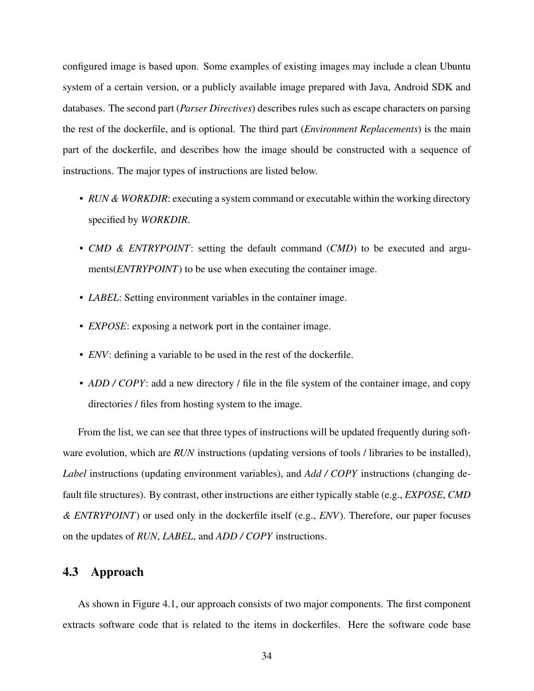configured image is based upon. Some examples of existing images may include a clean Ubuntu system of a certain version, or a publicly available image prepared with Java, Android SDK and databases. The second part (*Parser Directives*) describes rules such as escape characters on parsing the rest of the dockerfile, and is optional. The third part (*Environment Replacements*) is the main part of the dockerfile, and describes how the image should be constructed with a sequence of instructions. The major types of instructions are listed below.

- *RUN & WORKDIR*: executing a system command or executable within the working directory specified by *WORKDIR*.
- *CMD & ENTRYPOINT*: setting the default command (*CMD*) to be executed and arguments(*ENTRYPOINT*) to be use when executing the container image.
- *LABEL*: Setting environment variables in the container image.
- *EXPOSE*: exposing a network port in the container image.
- *ENV*: defining a variable to be used in the rest of the dockerfile.
- *ADD / COPY*: add a new directory / file in the file system of the container image, and copy directories / files from hosting system to the image.

From the list, we can see that three types of instructions will be updated frequently during software evolution, which are *RUN* instructions (updating versions of tools / libraries to be installed), *Label* instructions (updating environment variables), and *Add / COPY* instructions (changing default file structures). By contrast, other instructions are either typically stable (e.g., *EXPOSE*, *CMD & ENTRYPOINT*) or used only in the dockerfile itself (e.g., *ENV*). Therefore, our paper focuses on the updates of *RUN*, *LABEL*, and *ADD / COPY* instructions.

## <span id="page-43-0"></span>4.3 Approach

As shown in Figure [4.1,](#page-42-1) our approach consists of two major components. The first component extracts software code that is related to the items in dockerfiles. Here the software code base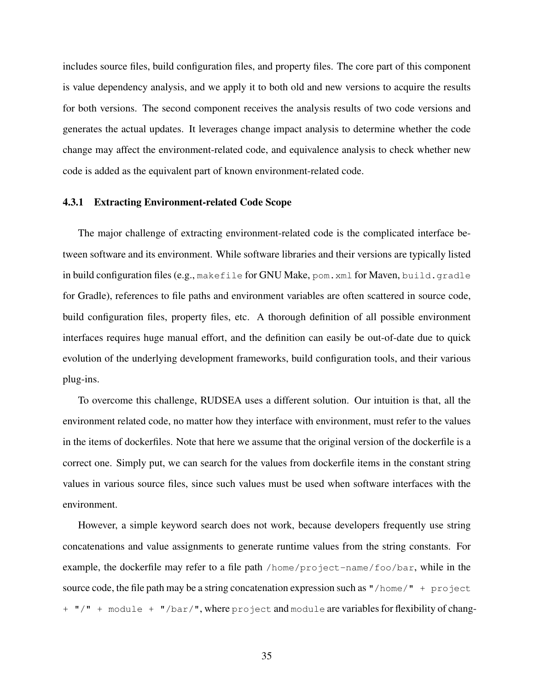includes source files, build configuration files, and property files. The core part of this component is value dependency analysis, and we apply it to both old and new versions to acquire the results for both versions. The second component receives the analysis results of two code versions and generates the actual updates. It leverages change impact analysis to determine whether the code change may affect the environment-related code, and equivalence analysis to check whether new code is added as the equivalent part of known environment-related code.

#### 4.3.1 Extracting Environment-related Code Scope

The major challenge of extracting environment-related code is the complicated interface between software and its environment. While software libraries and their versions are typically listed in build configuration files (e.g., makefile for GNU Make, pom. xml for Maven, build.gradle for Gradle), references to file paths and environment variables are often scattered in source code, build configuration files, property files, etc. A thorough definition of all possible environment interfaces requires huge manual effort, and the definition can easily be out-of-date due to quick evolution of the underlying development frameworks, build configuration tools, and their various plug-ins.

To overcome this challenge, RUDSEA uses a different solution. Our intuition is that, all the environment related code, no matter how they interface with environment, must refer to the values in the items of dockerfiles. Note that here we assume that the original version of the dockerfile is a correct one. Simply put, we can search for the values from dockerfile items in the constant string values in various source files, since such values must be used when software interfaces with the environment.

However, a simple keyword search does not work, because developers frequently use string concatenations and value assignments to generate runtime values from the string constants. For example, the dockerfile may refer to a file path /home/project-name/foo/bar, while in the source code, the file path may be a string concatenation expression such as "/home/" + project + "/" + module + "/bar/", where project and module are variables for flexibility of chang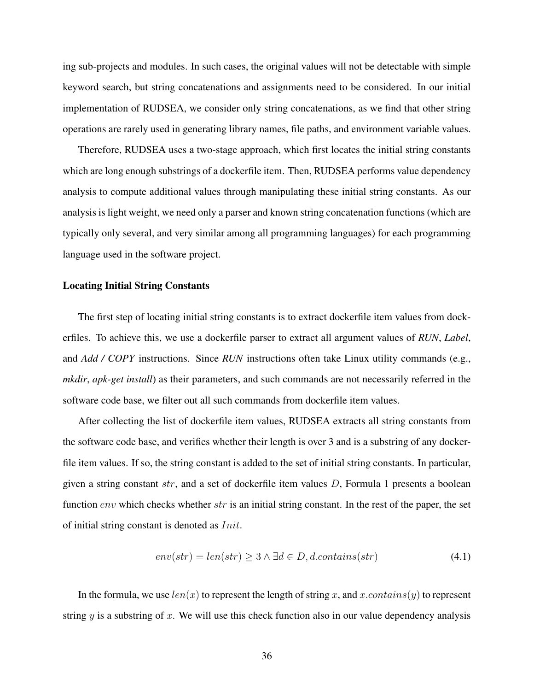ing sub-projects and modules. In such cases, the original values will not be detectable with simple keyword search, but string concatenations and assignments need to be considered. In our initial implementation of RUDSEA, we consider only string concatenations, as we find that other string operations are rarely used in generating library names, file paths, and environment variable values.

Therefore, RUDSEA uses a two-stage approach, which first locates the initial string constants which are long enough substrings of a dockerfile item. Then, RUDSEA performs value dependency analysis to compute additional values through manipulating these initial string constants. As our analysis is light weight, we need only a parser and known string concatenation functions (which are typically only several, and very similar among all programming languages) for each programming language used in the software project.

#### Locating Initial String Constants

The first step of locating initial string constants is to extract dockerfile item values from dockerfiles. To achieve this, we use a dockerfile parser to extract all argument values of *RUN*, *Label*, and *Add / COPY* instructions. Since *RUN* instructions often take Linux utility commands (e.g., *mkdir*, *apk-get install*) as their parameters, and such commands are not necessarily referred in the software code base, we filter out all such commands from dockerfile item values.

After collecting the list of dockerfile item values, RUDSEA extracts all string constants from the software code base, and verifies whether their length is over 3 and is a substring of any dockerfile item values. If so, the string constant is added to the set of initial string constants. In particular, given a string constant  $str$ , and a set of dockerfile item values  $D$ , Formula 1 presents a boolean function env which checks whether  $str$  is an initial string constant. In the rest of the paper, the set of initial string constant is denoted as Init.

$$
env(str) = len(str) \ge 3 \land \exists d \in D, d. contains(str)
$$
 (4.1)

In the formula, we use  $len(x)$  to represent the length of string x, and x.contains(y) to represent string  $y$  is a substring of  $x$ . We will use this check function also in our value dependency analysis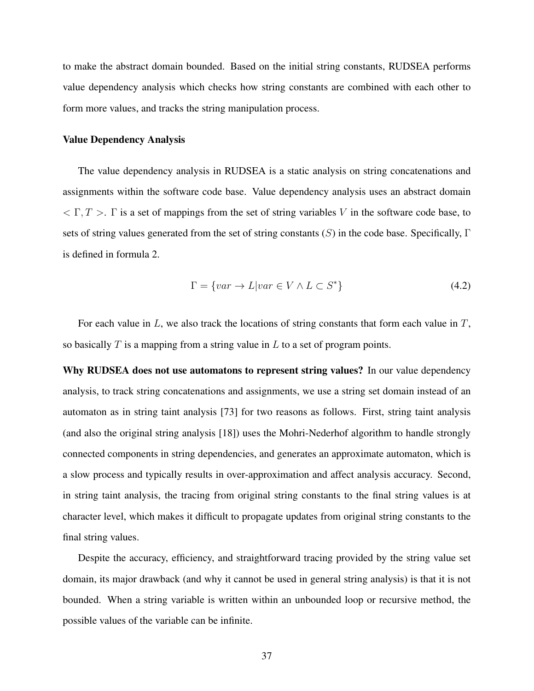to make the abstract domain bounded. Based on the initial string constants, RUDSEA performs value dependency analysis which checks how string constants are combined with each other to form more values, and tracks the string manipulation process.

#### Value Dependency Analysis

The value dependency analysis in RUDSEA is a static analysis on string concatenations and assignments within the software code base. Value dependency analysis uses an abstract domain  $\langle \Gamma, T \rangle$ . Γ is a set of mappings from the set of string variables V in the software code base, to sets of string values generated from the set of string constants  $(S)$  in the code base. Specifically,  $\Gamma$ is defined in formula 2.

$$
\Gamma = \{ var \to L | var \in V \land L \subset S^* \}
$$
\n(4.2)

For each value in  $L$ , we also track the locations of string constants that form each value in  $T$ , so basically  $T$  is a mapping from a string value in  $L$  to a set of program points.

Why RUDSEA does not use automatons to represent string values? In our value dependency analysis, to track string concatenations and assignments, we use a string set domain instead of an automaton as in string taint analysis [\[73\]](#page-88-0) for two reasons as follows. First, string taint analysis (and also the original string analysis [\[18\]](#page-81-0)) uses the Mohri-Nederhof algorithm to handle strongly connected components in string dependencies, and generates an approximate automaton, which is a slow process and typically results in over-approximation and affect analysis accuracy. Second, in string taint analysis, the tracing from original string constants to the final string values is at character level, which makes it difficult to propagate updates from original string constants to the final string values.

Despite the accuracy, efficiency, and straightforward tracing provided by the string value set domain, its major drawback (and why it cannot be used in general string analysis) is that it is not bounded. When a string variable is written within an unbounded loop or recursive method, the possible values of the variable can be infinite.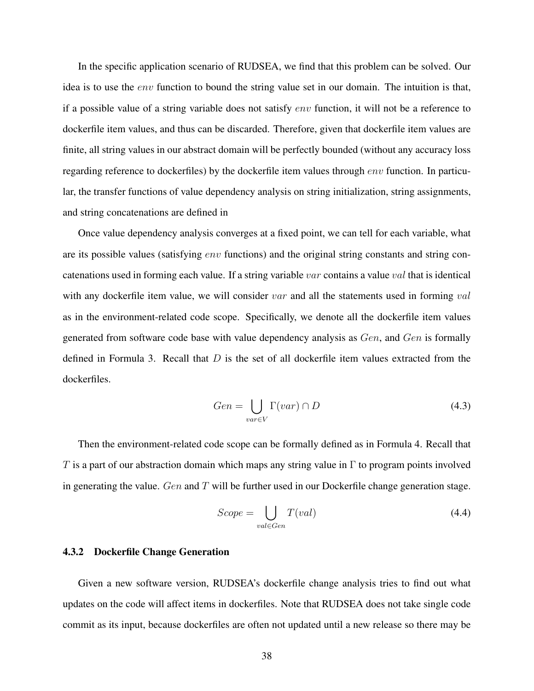In the specific application scenario of RUDSEA, we find that this problem can be solved. Our idea is to use the env function to bound the string value set in our domain. The intuition is that, if a possible value of a string variable does not satisfy  $env$  function, it will not be a reference to dockerfile item values, and thus can be discarded. Therefore, given that dockerfile item values are finite, all string values in our abstract domain will be perfectly bounded (without any accuracy loss regarding reference to dockerfiles) by the dockerfile item values through *env* function. In particular, the transfer functions of value dependency analysis on string initialization, string assignments, and string concatenations are defined in

Once value dependency analysis converges at a fixed point, we can tell for each variable, what are its possible values (satisfying env functions) and the original string constants and string concatenations used in forming each value. If a string variable var contains a value val that is identical with any dockerfile item value, we will consider  $var$  and all the statements used in forming val as in the environment-related code scope. Specifically, we denote all the dockerfile item values generated from software code base with value dependency analysis as Gen, and Gen is formally defined in Formula 3. Recall that  $D$  is the set of all dockerfile item values extracted from the dockerfiles.

$$
Gen = \bigcup_{var \in V} \Gamma(var) \cap D \tag{4.3}
$$

Then the environment-related code scope can be formally defined as in Formula 4. Recall that T is a part of our abstraction domain which maps any string value in  $\Gamma$  to program points involved in generating the value.  $Gen$  and  $T$  will be further used in our Dockerfile change generation stage.

$$
Scope = \bigcup_{val \in Gen} T(value) \tag{4.4}
$$

#### 4.3.2 Dockerfile Change Generation

Given a new software version, RUDSEA's dockerfile change analysis tries to find out what updates on the code will affect items in dockerfiles. Note that RUDSEA does not take single code commit as its input, because dockerfiles are often not updated until a new release so there may be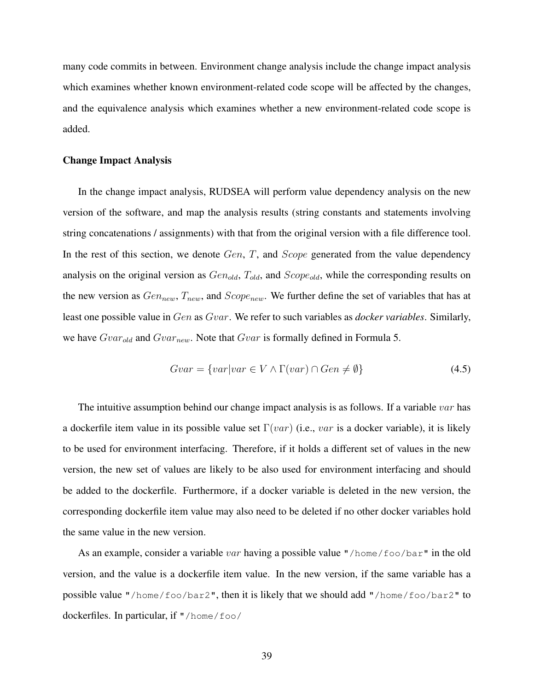many code commits in between. Environment change analysis include the change impact analysis which examines whether known environment-related code scope will be affected by the changes, and the equivalence analysis which examines whether a new environment-related code scope is added.

#### Change Impact Analysis

In the change impact analysis, RUDSEA will perform value dependency analysis on the new version of the software, and map the analysis results (string constants and statements involving string concatenations / assignments) with that from the original version with a file difference tool. In the rest of this section, we denote  $Gen, T$ , and  $Scope$  generated from the value dependency analysis on the original version as  $Gen_{old}$ ,  $T_{old}$ , and  $Scope_{old}$ , while the corresponding results on the new version as  $Gen_{new}$ ,  $T_{new}$ , and  $Scope_{new}$ . We further define the set of variables that has at least one possible value in Gen as Gvar. We refer to such variables as *docker variables*. Similarly, we have  $Gvar_{old}$  and  $Gvar_{new}$ . Note that  $Gvar$  is formally defined in Formula 5.

$$
Gvar = \{var|var \in V \land \Gamma(var) \cap Gen \neq \emptyset\}
$$
\n
$$
(4.5)
$$

The intuitive assumption behind our change impact analysis is as follows. If a variable var has a dockerfile item value in its possible value set  $\Gamma(var)$  (i.e., var is a docker variable), it is likely to be used for environment interfacing. Therefore, if it holds a different set of values in the new version, the new set of values are likely to be also used for environment interfacing and should be added to the dockerfile. Furthermore, if a docker variable is deleted in the new version, the corresponding dockerfile item value may also need to be deleted if no other docker variables hold the same value in the new version.

As an example, consider a variable var having a possible value "/home/foo/bar" in the old version, and the value is a dockerfile item value. In the new version, if the same variable has a possible value "/home/foo/bar2", then it is likely that we should add "/home/foo/bar2" to dockerfiles. In particular, if "/home/foo/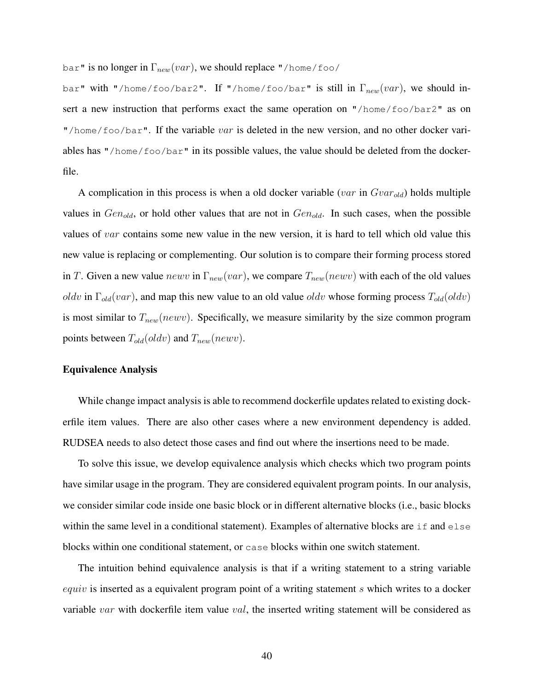bar" is no longer in  $\Gamma_{new}(var)$ , we should replace "/home/foo/

bar" with "/home/foo/bar2". If "/home/foo/bar" is still in  $\Gamma_{new}(var)$ , we should insert a new instruction that performs exact the same operation on "/home/foo/bar2" as on "/home/foo/bar". If the variable var is deleted in the new version, and no other docker variables has "/home/foo/bar" in its possible values, the value should be deleted from the dockerfile.

A complication in this process is when a old docker variable (var in  $Gvar_{old}$ ) holds multiple values in  $Gen_{old}$ , or hold other values that are not in  $Gen_{old}$ . In such cases, when the possible values of var contains some new value in the new version, it is hard to tell which old value this new value is replacing or complementing. Our solution is to compare their forming process stored in T. Given a new value  $newv$  in  $\Gamma_{new}(var)$ , we compare  $T_{new}(newv)$  with each of the old values oldv in  $\Gamma_{old}(var)$ , and map this new value to an old value oldv whose forming process  $T_{old}(oldv)$ is most similar to  $T_{new}(new)$ . Specifically, we measure similarity by the size common program points between  $T_{old}(oldv)$  and  $T_{new}(newv)$ .

#### Equivalence Analysis

While change impact analysis is able to recommend dockerfile updates related to existing dockerfile item values. There are also other cases where a new environment dependency is added. RUDSEA needs to also detect those cases and find out where the insertions need to be made.

To solve this issue, we develop equivalence analysis which checks which two program points have similar usage in the program. They are considered equivalent program points. In our analysis, we consider similar code inside one basic block or in different alternative blocks (i.e., basic blocks within the same level in a conditional statement). Examples of alternative blocks are  $i \in \mathbb{R}$  and  $e$ lse blocks within one conditional statement, or case blocks within one switch statement.

The intuition behind equivalence analysis is that if a writing statement to a string variable equiv is inserted as a equivalent program point of a writing statement s which writes to a docker variable var with dockerfile item value val, the inserted writing statement will be considered as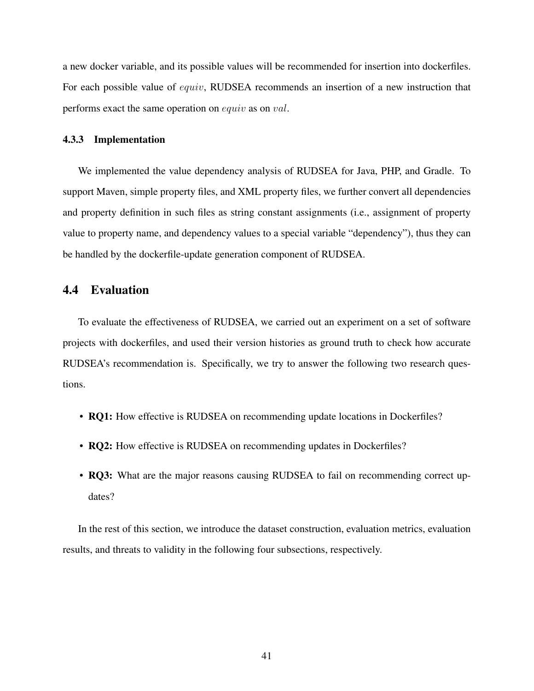a new docker variable, and its possible values will be recommended for insertion into dockerfiles. For each possible value of equiv, RUDSEA recommends an insertion of a new instruction that performs exact the same operation on equiv as on val.

#### 4.3.3 Implementation

We implemented the value dependency analysis of RUDSEA for Java, PHP, and Gradle. To support Maven, simple property files, and XML property files, we further convert all dependencies and property definition in such files as string constant assignments (i.e., assignment of property value to property name, and dependency values to a special variable "dependency"), thus they can be handled by the dockerfile-update generation component of RUDSEA.

## <span id="page-50-0"></span>4.4 Evaluation

To evaluate the effectiveness of RUDSEA, we carried out an experiment on a set of software projects with dockerfiles, and used their version histories as ground truth to check how accurate RUDSEA's recommendation is. Specifically, we try to answer the following two research questions.

- RQ1: How effective is RUDSEA on recommending update locations in Dockerfiles?
- RQ2: How effective is RUDSEA on recommending updates in Dockerfiles?
- RQ3: What are the major reasons causing RUDSEA to fail on recommending correct updates?

In the rest of this section, we introduce the dataset construction, evaluation metrics, evaluation results, and threats to validity in the following four subsections, respectively.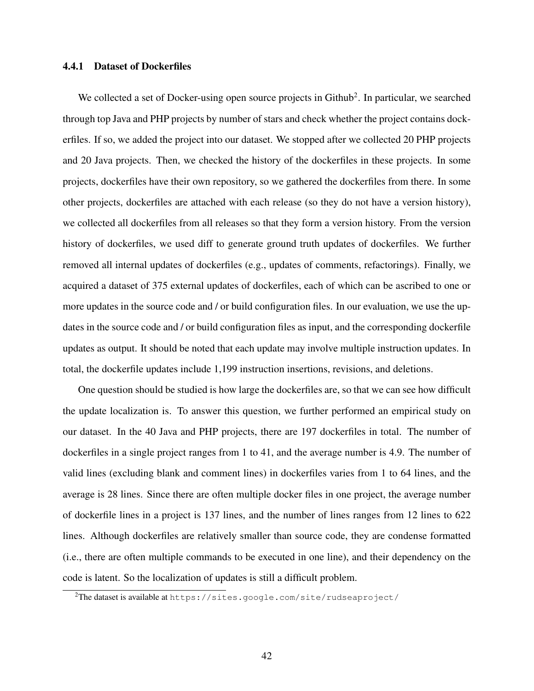#### 4.4.1 Dataset of Dockerfiles

We collected a set of Docker-using open source projects in Github<sup>[2](#page-51-0)</sup>. In particular, we searched through top Java and PHP projects by number of stars and check whether the project contains dockerfiles. If so, we added the project into our dataset. We stopped after we collected 20 PHP projects and 20 Java projects. Then, we checked the history of the dockerfiles in these projects. In some projects, dockerfiles have their own repository, so we gathered the dockerfiles from there. In some other projects, dockerfiles are attached with each release (so they do not have a version history), we collected all dockerfiles from all releases so that they form a version history. From the version history of dockerfiles, we used diff to generate ground truth updates of dockerfiles. We further removed all internal updates of dockerfiles (e.g., updates of comments, refactorings). Finally, we acquired a dataset of 375 external updates of dockerfiles, each of which can be ascribed to one or more updates in the source code and / or build configuration files. In our evaluation, we use the updates in the source code and / or build configuration files as input, and the corresponding dockerfile updates as output. It should be noted that each update may involve multiple instruction updates. In total, the dockerfile updates include 1,199 instruction insertions, revisions, and deletions.

One question should be studied is how large the dockerfiles are, so that we can see how difficult the update localization is. To answer this question, we further performed an empirical study on our dataset. In the 40 Java and PHP projects, there are 197 dockerfiles in total. The number of dockerfiles in a single project ranges from 1 to 41, and the average number is 4.9. The number of valid lines (excluding blank and comment lines) in dockerfiles varies from 1 to 64 lines, and the average is 28 lines. Since there are often multiple docker files in one project, the average number of dockerfile lines in a project is 137 lines, and the number of lines ranges from 12 lines to 622 lines. Although dockerfiles are relatively smaller than source code, they are condense formatted (i.e., there are often multiple commands to be executed in one line), and their dependency on the code is latent. So the localization of updates is still a difficult problem.

<span id="page-51-0"></span> $2$ The dataset is available at <https://sites.google.com/site/rudseaproject/>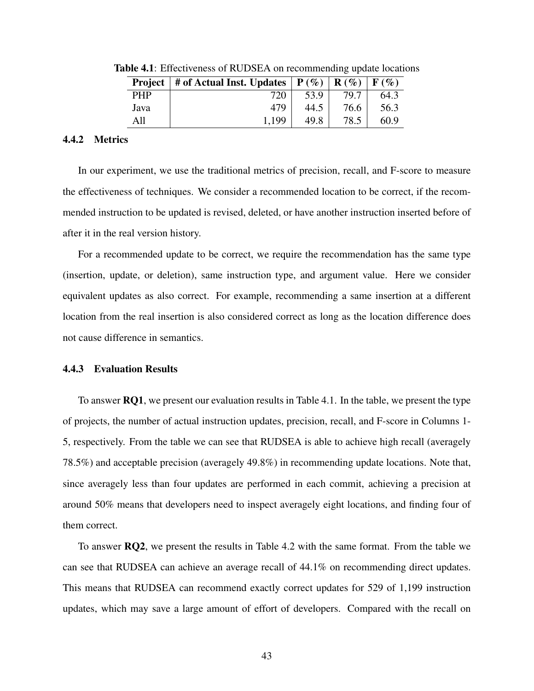|            | <b>Project</b>   # of Actual Inst. Updates   $P(\%)$ |      | $\mathbf{R}(\%)\mid \mathbf{F}(\%)\rangle$ |      |
|------------|------------------------------------------------------|------|--------------------------------------------|------|
| <b>PHP</b> | 720                                                  | 53.9 | 79.7                                       | 64.3 |
| Java       | 479                                                  | 44.5 | 76.6                                       | 56.3 |
| All        | 1.199                                                | 49.8 | 78.5                                       | 60.9 |

<span id="page-52-0"></span>Table 4.1: Effectiveness of RUDSEA on recommending update locations

## 4.4.2 Metrics

In our experiment, we use the traditional metrics of precision, recall, and F-score to measure the effectiveness of techniques. We consider a recommended location to be correct, if the recommended instruction to be updated is revised, deleted, or have another instruction inserted before of after it in the real version history.

For a recommended update to be correct, we require the recommendation has the same type (insertion, update, or deletion), same instruction type, and argument value. Here we consider equivalent updates as also correct. For example, recommending a same insertion at a different location from the real insertion is also considered correct as long as the location difference does not cause difference in semantics.

#### 4.4.3 Evaluation Results

To answer **RQ1**, we present our evaluation results in Table [4.1.](#page-52-0) In the table, we present the type of projects, the number of actual instruction updates, precision, recall, and F-score in Columns 1- 5, respectively. From the table we can see that RUDSEA is able to achieve high recall (averagely 78.5%) and acceptable precision (averagely 49.8%) in recommending update locations. Note that, since averagely less than four updates are performed in each commit, achieving a precision at around 50% means that developers need to inspect averagely eight locations, and finding four of them correct.

To answer RQ2, we present the results in Table [4.2](#page-53-0) with the same format. From the table we can see that RUDSEA can achieve an average recall of 44.1% on recommending direct updates. This means that RUDSEA can recommend exactly correct updates for 529 of 1,199 instruction updates, which may save a large amount of effort of developers. Compared with the recall on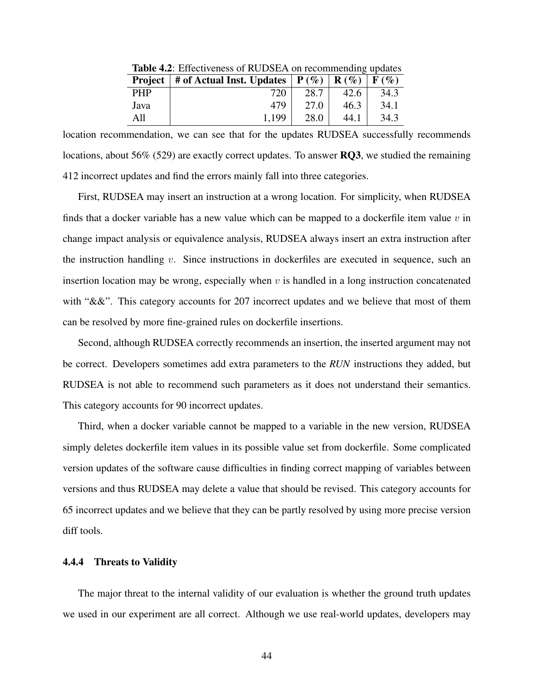<span id="page-53-0"></span>

| <b>THE THE EXPLOSIVE EXPLORED TO THE CONTINUES OF A LIGHT</b> |                                                       |      |                  |                             |  |  |
|---------------------------------------------------------------|-------------------------------------------------------|------|------------------|-----------------------------|--|--|
|                                                               | <b>Project</b>   # of Actual Inst. Updates   $P(\% )$ |      | $\mathbf{R}(\%)$ | $\mathbf{F}(\mathscr{G}_o)$ |  |  |
| <b>PHP</b>                                                    | 720                                                   | 28.7 | 42.6             | 34.3                        |  |  |
| Java                                                          | 479                                                   | 27.0 | 46.3             | 34.1                        |  |  |
| All                                                           | 1.199                                                 | 28.0 | 44.1             | 34.3                        |  |  |

Table  $4.2$ : Effectiveness of RUDSEA on recommending updates

location recommendation, we can see that for the updates RUDSEA successfully recommends locations, about 56% (529) are exactly correct updates. To answer RQ3, we studied the remaining 412 incorrect updates and find the errors mainly fall into three categories.

First, RUDSEA may insert an instruction at a wrong location. For simplicity, when RUDSEA finds that a docker variable has a new value which can be mapped to a dockerfile item value  $v$  in change impact analysis or equivalence analysis, RUDSEA always insert an extra instruction after the instruction handling  $v$ . Since instructions in dockerfiles are executed in sequence, such an insertion location may be wrong, especially when  $v$  is handled in a long instruction concatenated with "&&". This category accounts for 207 incorrect updates and we believe that most of them can be resolved by more fine-grained rules on dockerfile insertions.

Second, although RUDSEA correctly recommends an insertion, the inserted argument may not be correct. Developers sometimes add extra parameters to the *RUN* instructions they added, but RUDSEA is not able to recommend such parameters as it does not understand their semantics. This category accounts for 90 incorrect updates.

Third, when a docker variable cannot be mapped to a variable in the new version, RUDSEA simply deletes dockerfile item values in its possible value set from dockerfile. Some complicated version updates of the software cause difficulties in finding correct mapping of variables between versions and thus RUDSEA may delete a value that should be revised. This category accounts for 65 incorrect updates and we believe that they can be partly resolved by using more precise version diff tools.

#### 4.4.4 Threats to Validity

The major threat to the internal validity of our evaluation is whether the ground truth updates we used in our experiment are all correct. Although we use real-world updates, developers may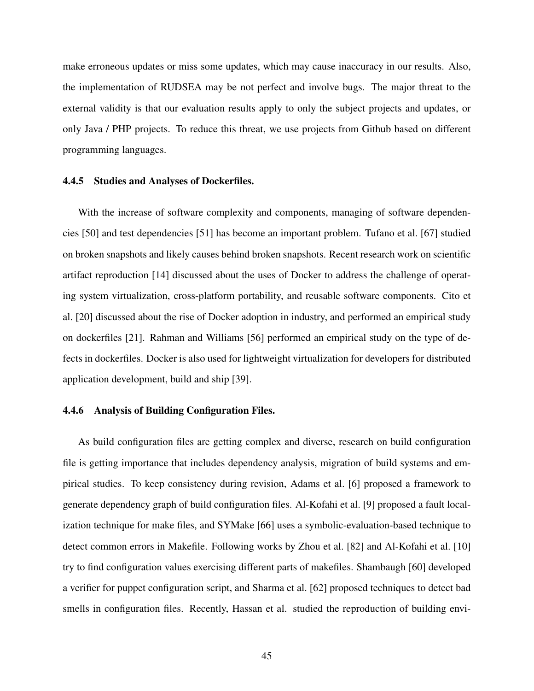make erroneous updates or miss some updates, which may cause inaccuracy in our results. Also, the implementation of RUDSEA may be not perfect and involve bugs. The major threat to the external validity is that our evaluation results apply to only the subject projects and updates, or only Java / PHP projects. To reduce this threat, we use projects from Github based on different programming languages.

#### 4.4.5 Studies and Analyses of Dockerfiles.

With the increase of software complexity and components, managing of software dependencies [\[50\]](#page-85-0) and test dependencies [\[51\]](#page-85-1) has become an important problem. Tufano et al. [\[67\]](#page-87-0) studied on broken snapshots and likely causes behind broken snapshots. Recent research work on scientific artifact reproduction [\[14\]](#page-81-1) discussed about the uses of Docker to address the challenge of operating system virtualization, cross-platform portability, and reusable software components. Cito et al. [\[20\]](#page-82-1) discussed about the rise of Docker adoption in industry, and performed an empirical study on dockerfiles [\[21\]](#page-82-0). Rahman and Williams [\[56\]](#page-86-0) performed an empirical study on the type of defects in dockerfiles. Docker is also used for lightweight virtualization for developers for distributed application development, build and ship [\[39\]](#page-84-0).

#### 4.4.6 Analysis of Building Configuration Files.

As build configuration files are getting complex and diverse, research on build configuration file is getting importance that includes dependency analysis, migration of build systems and empirical studies. To keep consistency during revision, Adams et al. [\[6\]](#page-80-0) proposed a framework to generate dependency graph of build configuration files. Al-Kofahi et al. [\[9\]](#page-80-1) proposed a fault localization technique for make files, and SYMake [\[66\]](#page-87-1) uses a symbolic-evaluation-based technique to detect common errors in Makefile. Following works by Zhou et al. [\[82\]](#page-89-0) and Al-Kofahi et al. [\[10\]](#page-80-2) try to find configuration values exercising different parts of makefiles. Shambaugh [\[60\]](#page-86-1) developed a verifier for puppet configuration script, and Sharma et al. [\[62\]](#page-86-2) proposed techniques to detect bad smells in configuration files. Recently, Hassan et al. studied the reproduction of building envi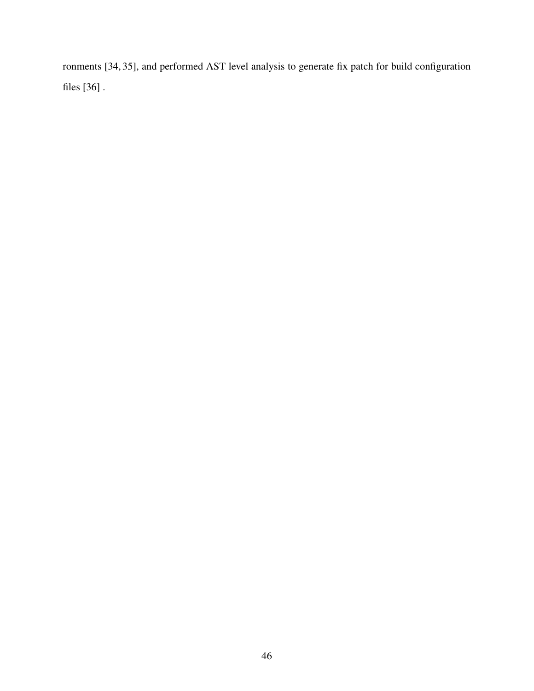ronments [\[34,](#page-83-0) [35\]](#page-83-1), and performed AST level analysis to generate fix patch for build configuration files [\[36\]](#page-83-2) .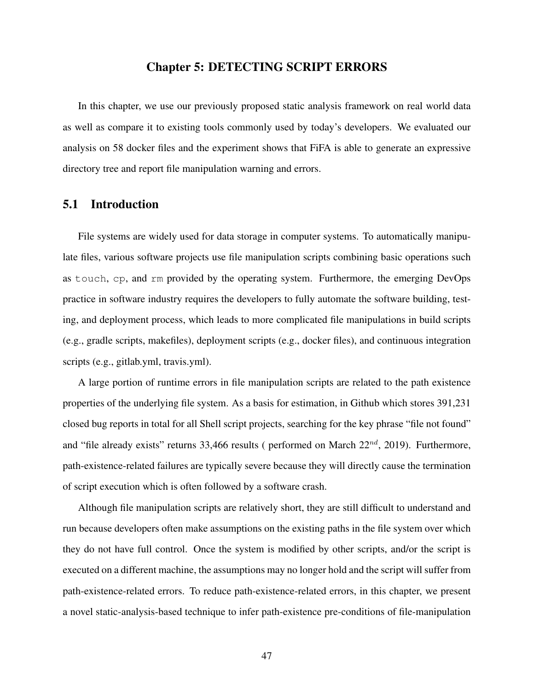## Chapter 5: DETECTING SCRIPT ERRORS

In this chapter, we use our previously proposed static analysis framework on real world data as well as compare it to existing tools commonly used by today's developers. We evaluated our analysis on 58 docker files and the experiment shows that FiFA is able to generate an expressive directory tree and report file manipulation warning and errors.

## 5.1 Introduction

File systems are widely used for data storage in computer systems. To automatically manipulate files, various software projects use file manipulation scripts combining basic operations such as touch, cp, and rm provided by the operating system. Furthermore, the emerging DevOps practice in software industry requires the developers to fully automate the software building, testing, and deployment process, which leads to more complicated file manipulations in build scripts (e.g., gradle scripts, makefiles), deployment scripts (e.g., docker files), and continuous integration scripts (e.g., gitlab.yml, travis.yml).

A large portion of runtime errors in file manipulation scripts are related to the path existence properties of the underlying file system. As a basis for estimation, in Github which stores 391,231 closed bug reports in total for all Shell script projects, searching for the key phrase "file not found" and "file already exists" returns 33,466 results ( performed on March  $22^{nd}$ , 2019). Furthermore, path-existence-related failures are typically severe because they will directly cause the termination of script execution which is often followed by a software crash.

Although file manipulation scripts are relatively short, they are still difficult to understand and run because developers often make assumptions on the existing paths in the file system over which they do not have full control. Once the system is modified by other scripts, and/or the script is executed on a different machine, the assumptions may no longer hold and the script will suffer from path-existence-related errors. To reduce path-existence-related errors, in this chapter, we present a novel static-analysis-based technique to infer path-existence pre-conditions of file-manipulation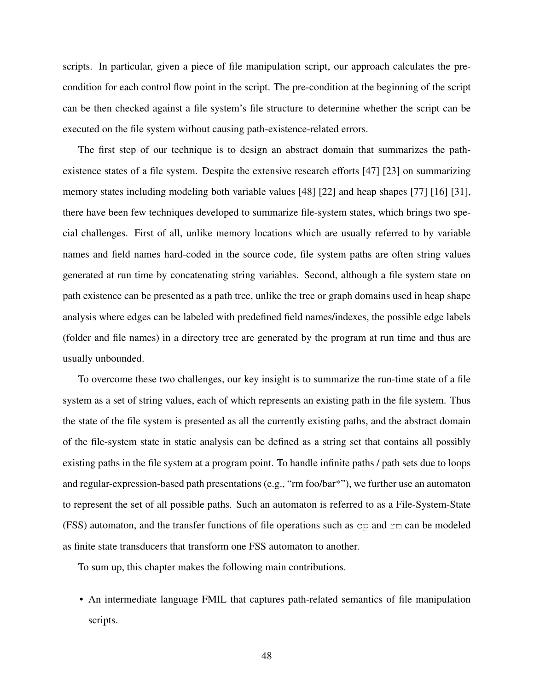scripts. In particular, given a piece of file manipulation script, our approach calculates the precondition for each control flow point in the script. The pre-condition at the beginning of the script can be then checked against a file system's file structure to determine whether the script can be executed on the file system without causing path-existence-related errors.

The first step of our technique is to design an abstract domain that summarizes the pathexistence states of a file system. Despite the extensive research efforts [\[47\]](#page-85-2) [\[23\]](#page-82-2) on summarizing memory states including modeling both variable values [\[48\]](#page-85-3) [\[22\]](#page-82-3) and heap shapes [\[77\]](#page-88-1) [\[16\]](#page-81-2) [\[31\]](#page-83-3), there have been few techniques developed to summarize file-system states, which brings two special challenges. First of all, unlike memory locations which are usually referred to by variable names and field names hard-coded in the source code, file system paths are often string values generated at run time by concatenating string variables. Second, although a file system state on path existence can be presented as a path tree, unlike the tree or graph domains used in heap shape analysis where edges can be labeled with predefined field names/indexes, the possible edge labels (folder and file names) in a directory tree are generated by the program at run time and thus are usually unbounded.

To overcome these two challenges, our key insight is to summarize the run-time state of a file system as a set of string values, each of which represents an existing path in the file system. Thus the state of the file system is presented as all the currently existing paths, and the abstract domain of the file-system state in static analysis can be defined as a string set that contains all possibly existing paths in the file system at a program point. To handle infinite paths / path sets due to loops and regular-expression-based path presentations (e.g., "rm foo/bar\*"), we further use an automaton to represent the set of all possible paths. Such an automaton is referred to as a File-System-State (FSS) automaton, and the transfer functions of file operations such as cp and rm can be modeled as finite state transducers that transform one FSS automaton to another.

To sum up, this chapter makes the following main contributions.

• An intermediate language FMIL that captures path-related semantics of file manipulation scripts.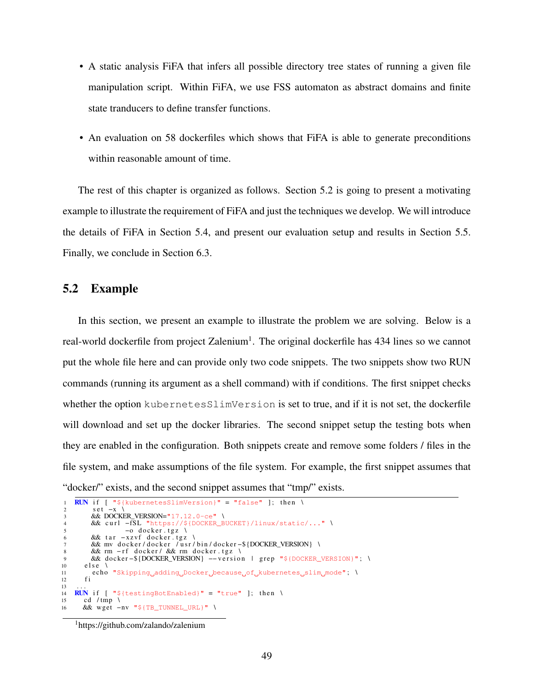- A static analysis FiFA that infers all possible directory tree states of running a given file manipulation script. Within FiFA, we use FSS automaton as abstract domains and finite state tranducers to define transfer functions.
- An evaluation on 58 dockerfiles which shows that FiFA is able to generate preconditions within reasonable amount of time.

The rest of this chapter is organized as follows. Section [5.2](#page-58-0) is going to present a motivating example to illustrate the requirement of FiFA and just the techniques we develop. We will introduce the details of FiFA in Section [5.4,](#page-60-0) and present our evaluation setup and results in Section [5.5.](#page-64-0) Finally, we conclude in Section [6.3.](#page-79-0)

## <span id="page-58-0"></span>5.2 Example

In this section, we present an example to illustrate the problem we are solving. Below is a real-world dockerfile from project Zalenium<sup>[1](#page-58-1)</sup>. The original dockerfile has 434 lines so we cannot put the whole file here and can provide only two code snippets. The two snippets show two RUN commands (running its argument as a shell command) with if conditions. The first snippet checks whether the option kubernetesSlimVersion is set to true, and if it is not set, the dockerfile will download and set up the docker libraries. The second snippet setup the testing bots when they are enabled in the configuration. Both snippets create and remove some folders / files in the file system, and make assumptions of the file system. For example, the first snippet assumes that "docker/" exists, and the second snippet assumes that "tmp/" exists.

```
RUN if \lceil "${kubernetesSlimVersion}" = "false" ]; then \
           set -x \ \backslash3 && DOCKER_VERSION="17.12.0-ce" \<br>4 && curl -fSL "https://${DOCKER_BUCKET}/linux/static/..." \<br>5 o docker.tgz \
 6 && tar −xzvf docker.tgz
 7           && mv  docker/docker /usr/bin/docker-${DOCKER_VERSION}  \<br>8          && rm  −rf  docker/ && rm  docker.tgz  \
9 && docker −${DOCKER_VERSION} −− version | grep "${DOCKER_VERSION}"; \<br>10 else \
10 else \<br>11 echo
        echo "Skipping_adding_Docker_because_of_kubernetes_slim_mode"; \
\frac{12}{13}13 ...<br>14 RUN if [ "${testingBotEnabled}" = "true" ]; t<mark>hen</mark> \
15 cd / tmp \<br>16 & & wget -
       &x wget -nv "\frac{1}{2} TB_TUNNEL_URL}"
```
<span id="page-58-1"></span><sup>1</sup>https://github.com/zalando/zalenium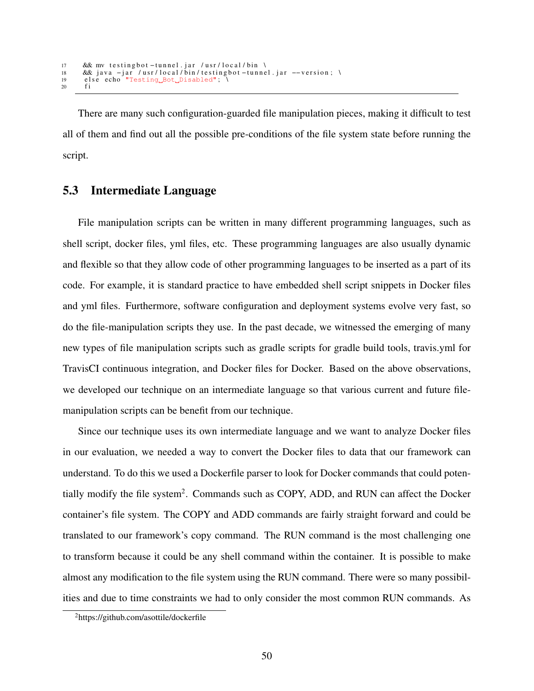```
17 && mv testingbot – tunnel.jar /usr/local/bin \<br>18 && java – jar /usr/local/bin/testingbot – tunnel.jar - – version; \
19 else echo "Testing Bot Disabled";<br>20 fi
         f i
```
There are many such configuration-guarded file manipulation pieces, making it difficult to test all of them and find out all the possible pre-conditions of the file system state before running the script.

## 5.3 Intermediate Language

File manipulation scripts can be written in many different programming languages, such as shell script, docker files, yml files, etc. These programming languages are also usually dynamic and flexible so that they allow code of other programming languages to be inserted as a part of its code. For example, it is standard practice to have embedded shell script snippets in Docker files and yml files. Furthermore, software configuration and deployment systems evolve very fast, so do the file-manipulation scripts they use. In the past decade, we witnessed the emerging of many new types of file manipulation scripts such as gradle scripts for gradle build tools, travis.yml for TravisCI continuous integration, and Docker files for Docker. Based on the above observations, we developed our technique on an intermediate language so that various current and future filemanipulation scripts can be benefit from our technique.

Since our technique uses its own intermediate language and we want to analyze Docker files in our evaluation, we needed a way to convert the Docker files to data that our framework can understand. To do this we used a Dockerfile parser to look for Docker commands that could poten-tially modify the file system<sup>[2](#page-59-0)</sup>. Commands such as COPY, ADD, and RUN can affect the Docker container's file system. The COPY and ADD commands are fairly straight forward and could be translated to our framework's copy command. The RUN command is the most challenging one to transform because it could be any shell command within the container. It is possible to make almost any modification to the file system using the RUN command. There were so many possibilities and due to time constraints we had to only consider the most common RUN commands. As

<span id="page-59-0"></span><sup>2</sup>https://github.com/asottile/dockerfile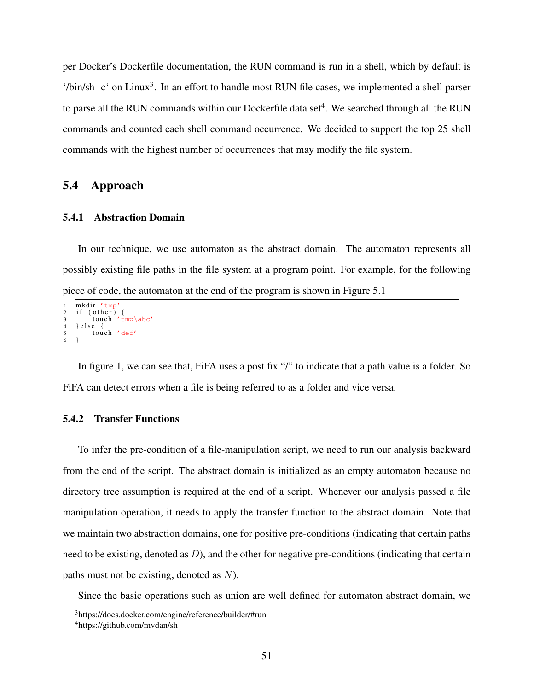per Docker's Dockerfile documentation, the RUN command is run in a shell, which by default is '/bin/sh -c' on Linux<sup>[3](#page-60-1)</sup>. In an effort to handle most RUN file cases, we implemented a shell parser to parse all the RUN commands within our Dockerfile data set<sup>[4](#page-60-2)</sup>. We searched through all the RUN commands and counted each shell command occurrence. We decided to support the top 25 shell commands with the highest number of occurrences that may modify the file system.

## <span id="page-60-0"></span>5.4 Approach

## 5.4.1 Abstraction Domain

In our technique, we use automaton as the abstract domain. The automaton represents all possibly existing file paths in the file system at a program point. For example, for the following piece of code, the automaton at the end of the program is shown in Figure [5.1](#page-61-0)

```
mkdir 'tmp'
2 if (other) {<br>3 touch 'tmp\abc'
4 }else {<br>5 touch 'def'
6 }
```
In figure 1, we can see that, FiFA uses a post fix "/" to indicate that a path value is a folder. So FiFA can detect errors when a file is being referred to as a folder and vice versa.

## 5.4.2 Transfer Functions

To infer the pre-condition of a file-manipulation script, we need to run our analysis backward from the end of the script. The abstract domain is initialized as an empty automaton because no directory tree assumption is required at the end of a script. Whenever our analysis passed a file manipulation operation, it needs to apply the transfer function to the abstract domain. Note that we maintain two abstraction domains, one for positive pre-conditions (indicating that certain paths need to be existing, denoted as  $D$ ), and the other for negative pre-conditions (indicating that certain paths must not be existing, denoted as N).

Since the basic operations such as union are well defined for automaton abstract domain, we

<span id="page-60-1"></span><sup>3</sup>https://docs.docker.com/engine/reference/builder/#run

<span id="page-60-2"></span><sup>4</sup>https://github.com/mvdan/sh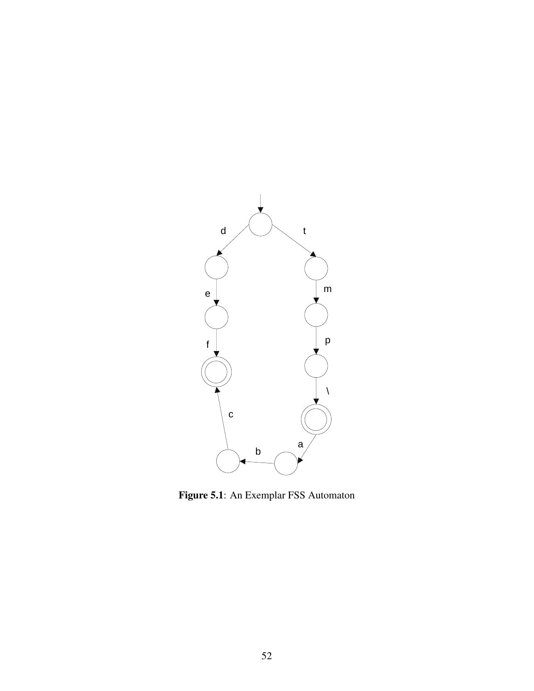<span id="page-61-0"></span>

Figure 5.1: An Exemplar FSS Automaton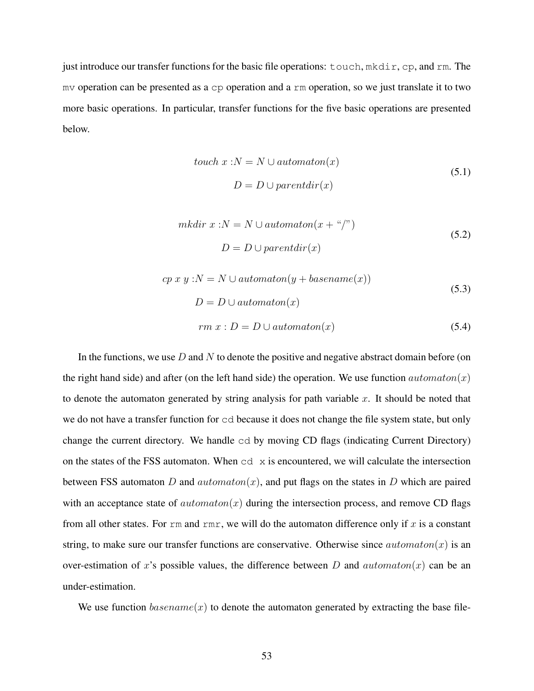just introduce our transfer functions for the basic file operations: touch, mkdir, cp, and rm. The mv operation can be presented as a cp operation and a rm operation, so we just translate it to two more basic operations. In particular, transfer functions for the five basic operations are presented below.

\n
$$
\text{touch } x: N = N \cup \text{automaton}(x)
$$
\n

\n\n $D = D \cup \text{parentdir}(x)$ \n

\n\n (5.1)\n

$$
mkdir \ x : N = N \cup automaton(x + \text{``/''})
$$
  

$$
D = D \cup parentdir(x)
$$
 (5.2)

$$
cp x y : N = N \cup automaton(y + basename(x))
$$
\n
$$
D = D \cup automaton(x)
$$
\n
$$
rm x : D = D \cup automaton(x)
$$
\n(5.4)

In the functions, we use  $D$  and  $N$  to denote the positive and negative abstract domain before (on the right hand side) and after (on the left hand side) the operation. We use function  $automaton(x)$ to denote the automaton generated by string analysis for path variable  $x$ . It should be noted that we do not have a transfer function for cd because it does not change the file system state, but only change the current directory. We handle cd by moving CD flags (indicating Current Directory) on the states of the FSS automaton. When  $cd \times x$  is encountered, we will calculate the intersection between FSS automaton D and  $automaton(x)$ , and put flags on the states in D which are paired with an acceptance state of  $automaton(x)$  during the intersection process, and remove CD flags from all other states. For  $rm$  and  $rm$ ; we will do the automaton difference only if x is a constant string, to make sure our transfer functions are conservative. Otherwise since  $automaton(x)$  is an over-estimation of x's possible values, the difference between D and  $automaton(x)$  can be an under-estimation.

We use function  $basename(x)$  to denote the automaton generated by extracting the base file-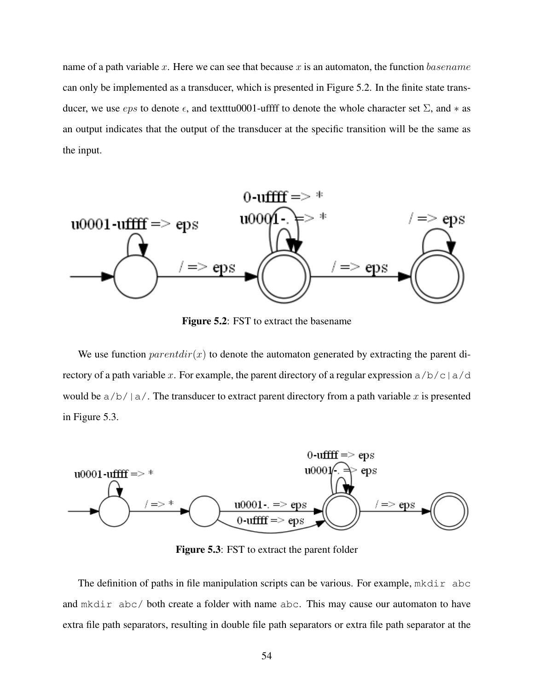name of a path variable x. Here we can see that because x is an automaton, the function basename can only be implemented as a transducer, which is presented in Figure [5.2.](#page-63-0) In the finite state transducer, we use  $eps$  to denote  $\epsilon$ , and textitu0001-uffff to denote the whole character set  $\Sigma$ , and  $*$  as an output indicates that the output of the transducer at the specific transition will be the same as the input.

<span id="page-63-0"></span>

Figure 5.2: FST to extract the basename

We use function  $parentdir(x)$  to denote the automaton generated by extracting the parent directory of a path variable x. For example, the parent directory of a regular expression  $a/b/c|a/d$ would be  $a/b/|a/$ . The transducer to extract parent directory from a path variable x is presented in Figure [5.3.](#page-63-1)

<span id="page-63-1"></span>

Figure 5.3: FST to extract the parent folder

The definition of paths in file manipulation scripts can be various. For example,  $mkdir = abc$ and mkdir abc/ both create a folder with name abc. This may cause our automaton to have extra file path separators, resulting in double file path separators or extra file path separator at the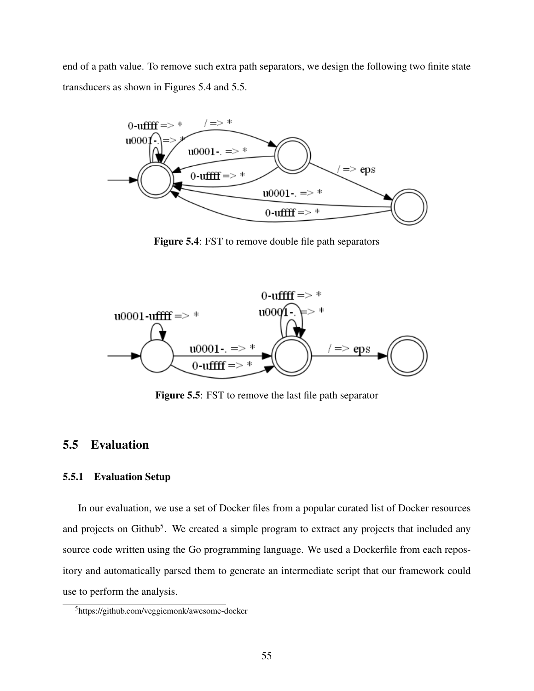end of a path value. To remove such extra path separators, we design the following two finite state transducers as shown in Figures [5.4](#page-64-1) and [5.5.](#page-64-2)

<span id="page-64-1"></span>

Figure 5.4: FST to remove double file path separators

<span id="page-64-2"></span>

Figure 5.5: FST to remove the last file path separator

# <span id="page-64-0"></span>5.5 Evaluation

## 5.5.1 Evaluation Setup

In our evaluation, we use a set of Docker files from a popular curated list of Docker resources and projects on Github<sup>[5](#page-64-3)</sup>. We created a simple program to extract any projects that included any source code written using the Go programming language. We used a Dockerfile from each repository and automatically parsed them to generate an intermediate script that our framework could use to perform the analysis.

<span id="page-64-3"></span><sup>5</sup>https://github.com/veggiemonk/awesome-docker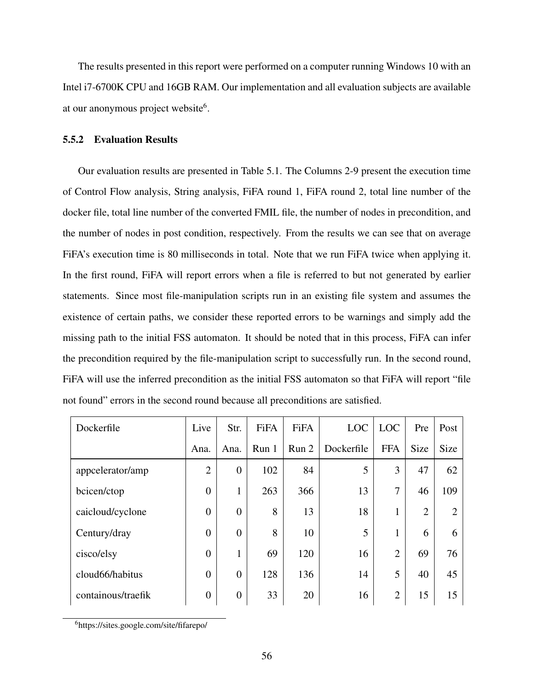The results presented in this report were performed on a computer running Windows 10 with an Intel i7-6700K CPU and 16GB RAM. Our implementation and all evaluation subjects are available at our anonymous project website<sup>[6](#page-65-0)</sup>.

## 5.5.2 Evaluation Results

Our evaluation results are presented in Table [5.1.](#page-65-1) The Columns 2-9 present the execution time of Control Flow analysis, String analysis, FiFA round 1, FiFA round 2, total line number of the docker file, total line number of the converted FMIL file, the number of nodes in precondition, and the number of nodes in post condition, respectively. From the results we can see that on average FiFA's execution time is 80 milliseconds in total. Note that we run FiFA twice when applying it. In the first round, FiFA will report errors when a file is referred to but not generated by earlier statements. Since most file-manipulation scripts run in an existing file system and assumes the existence of certain paths, we consider these reported errors to be warnings and simply add the missing path to the initial FSS automaton. It should be noted that in this process, FiFA can infer the precondition required by the file-manipulation script to successfully run. In the second round, FiFA will use the inferred precondition as the initial FSS automaton so that FiFA will report "file not found" errors in the second round because all preconditions are satisfied.

<span id="page-65-1"></span>

| Dockerfile         | Live           | Str.             | <b>FiFA</b> | FiFA  | <b>LOC</b> | <b>LOC</b>     | Pre            | Post           |
|--------------------|----------------|------------------|-------------|-------|------------|----------------|----------------|----------------|
|                    | Ana.           | Ana.             | Run 1       | Run 2 | Dockerfile | <b>FFA</b>     | Size           | <b>Size</b>    |
| appcelerator/amp   | $\overline{2}$ | $\boldsymbol{0}$ | 102         | 84    | 5          | 3              | 47             | 62             |
| bcicen/ctop        | $\overline{0}$ | $\mathbf{1}$     | 263         | 366   | 13         | $\tau$         | 46             | 109            |
| caicloud/cyclone   | $\overline{0}$ | $\overline{0}$   | 8           | 13    | 18         | $\mathbf{1}$   | $\overline{2}$ | $\overline{2}$ |
| Century/dray       | $\overline{0}$ | $\overline{0}$   | 8           | 10    | 5          | 1<br>-1        | 6              | 6              |
| cisco/elsy         | $\overline{0}$ | $\mathbf{1}$     | 69          | 120   | 16         | $\overline{2}$ | 69             | 76             |
| cloud66/habitus    | $\overline{0}$ | $\overline{0}$   | 128         | 136   | 14         | 5              | 40             | 45             |
| containous/traefik | $\overline{0}$ | $\overline{0}$   | 33          | 20    | 16         | $\overline{2}$ | 15             | 15             |

<span id="page-65-0"></span><sup>6</sup>https://sites.google.com/site/fifarepo/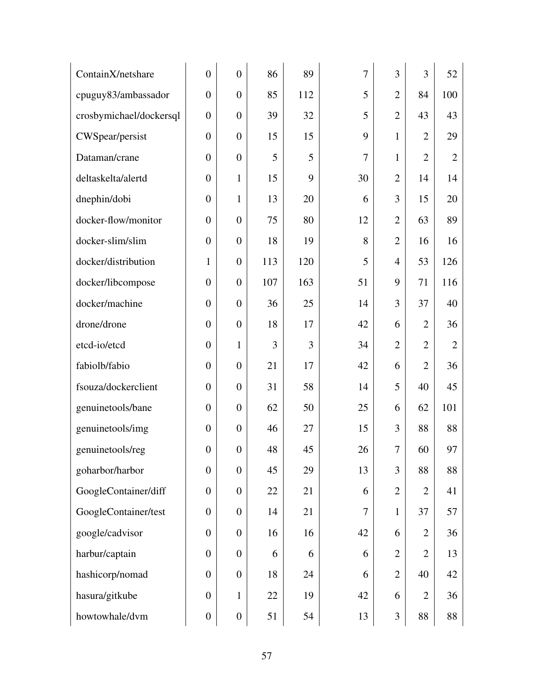| ContainX/netshare       | $\overline{0}$   | $\overline{0}$   | 86  | 89  | 7  | 3              | 3              | 52             |
|-------------------------|------------------|------------------|-----|-----|----|----------------|----------------|----------------|
| cpuguy83/ambassador     | $\boldsymbol{0}$ | $\boldsymbol{0}$ | 85  | 112 | 5  | $\overline{2}$ | 84             | 100            |
| crosbymichael/dockersql | $\boldsymbol{0}$ | $\boldsymbol{0}$ | 39  | 32  | 5  | $\overline{2}$ | 43             | 43             |
| CWSpear/persist         | $\overline{0}$   | $\boldsymbol{0}$ | 15  | 15  | 9  | $\mathbf{1}$   | $\overline{2}$ | 29             |
| Dataman/crane           | $\boldsymbol{0}$ | $\boldsymbol{0}$ | 5   | 5   | 7  | $\mathbf{1}$   | $\overline{2}$ | $\overline{2}$ |
| deltaskelta/alertd      | $\overline{0}$   | 1                | 15  | 9   | 30 | $\overline{2}$ | 14             | 14             |
| dnephin/dobi            | $\boldsymbol{0}$ | 1                | 13  | 20  | 6  | 3              | 15             | 20             |
| docker-flow/monitor     | $\boldsymbol{0}$ | $\boldsymbol{0}$ | 75  | 80  | 12 | $\overline{2}$ | 63             | 89             |
| docker-slim/slim        | $\overline{0}$   | $\boldsymbol{0}$ | 18  | 19  | 8  | $\overline{2}$ | 16             | 16             |
| docker/distribution     | 1                | $\boldsymbol{0}$ | 113 | 120 | 5  | 4              | 53             | 126            |
| docker/libcompose       | $\overline{0}$   | $\boldsymbol{0}$ | 107 | 163 | 51 | 9              | 71             | 116            |
| docker/machine          | $\overline{0}$   | $\boldsymbol{0}$ | 36  | 25  | 14 | 3              | 37             | 40             |
| drone/drone             | $\boldsymbol{0}$ | $\boldsymbol{0}$ | 18  | 17  | 42 | 6              | $\overline{2}$ | 36             |
| etcd-io/etcd            | $\boldsymbol{0}$ | $\mathbf{1}$     | 3   | 3   | 34 | $\overline{2}$ | $\overline{2}$ | $\overline{2}$ |
| fabiolb/fabio           | $\boldsymbol{0}$ | $\boldsymbol{0}$ | 21  | 17  | 42 | 6              | $\overline{2}$ | 36             |
| fsouza/dockerclient     | $\boldsymbol{0}$ | $\boldsymbol{0}$ | 31  | 58  | 14 | 5              | 40             | 45             |
| genuinetools/bane       | $\boldsymbol{0}$ | $\boldsymbol{0}$ | 62  | 50  | 25 | 6              | 62             | 101            |
| genuinetools/img        | $\boldsymbol{0}$ | $\boldsymbol{0}$ | 46  | 27  | 15 | 3              | 88             | 88             |
| genuinetools/reg        | $\boldsymbol{0}$ | $\boldsymbol{0}$ | 48  | 45  | 26 | 7              | 60             | 97             |
| goharbor/harbor         | $\overline{0}$   | $\boldsymbol{0}$ | 45  | 29  | 13 | 3              | 88             | 88             |
| GoogleContainer/diff    | $\boldsymbol{0}$ | $\boldsymbol{0}$ | 22  | 21  | 6  | $\overline{2}$ | $\overline{2}$ | 41             |
| GoogleContainer/test    | $\overline{0}$   | $\overline{0}$   | 14  | 21  | 7  | $\mathbf{1}$   | 37             | 57             |
| google/cadvisor         | $\overline{0}$   | $\overline{0}$   | 16  | 16  | 42 | 6              | $\overline{2}$ | 36             |
| harbur/captain          | $\overline{0}$   | $\overline{0}$   | 6   | 6   | 6  | $\overline{2}$ | $\overline{2}$ | 13             |
| hashicorp/nomad         | $\boldsymbol{0}$ | $\overline{0}$   | 18  | 24  | 6  | $\overline{2}$ | 40             | 42             |
| hasura/gitkube          | $\boldsymbol{0}$ | 1                | 22  | 19  | 42 | 6              | $\overline{2}$ | 36             |
| howtowhale/dvm          | $\boldsymbol{0}$ | $\boldsymbol{0}$ | 51  | 54  | 13 | 3              | 88             | 88             |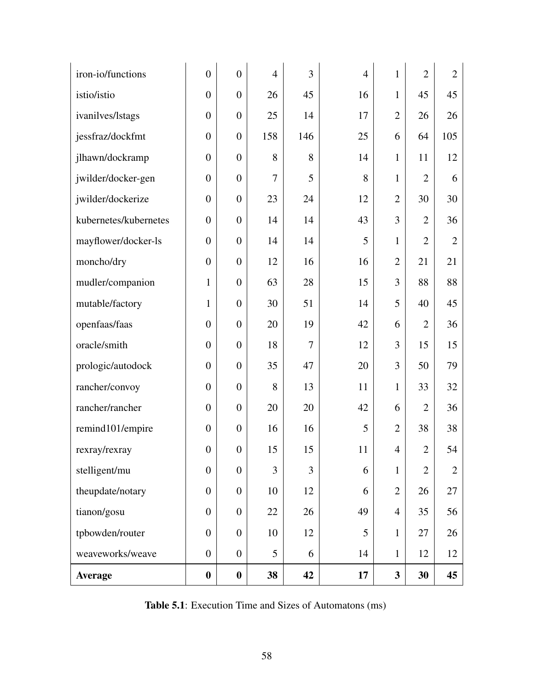| iron-io/functions     | $\overline{0}$   | $\overline{0}$   | $\overline{4}$ | 3              | $\overline{4}$ | $\mathbf{1}$            | $\overline{2}$ | $\overline{2}$ |
|-----------------------|------------------|------------------|----------------|----------------|----------------|-------------------------|----------------|----------------|
| istio/istio           | $\boldsymbol{0}$ | $\overline{0}$   | 26             | 45             | 16             | $\mathbf{1}$            | 45             | 45             |
| ivanilves/lstags      | $\boldsymbol{0}$ | $\overline{0}$   | 25             | 14             | 17             | $\overline{2}$          | 26             | 26             |
| jessfraz/dockfmt      | $\boldsymbol{0}$ | $\boldsymbol{0}$ | 158            | 146            | 25             | 6                       | 64             | 105            |
| jlhawn/dockramp       | $\boldsymbol{0}$ | $\overline{0}$   | 8              | 8              | 14             | $\mathbf{1}$            | 11             | 12             |
| jwilder/docker-gen    | $\boldsymbol{0}$ | $\boldsymbol{0}$ | $\tau$         | 5              | 8              | $\mathbf{1}$            | $\overline{2}$ | 6              |
| jwilder/dockerize     | $\boldsymbol{0}$ | $\boldsymbol{0}$ | 23             | 24             | 12             | $\mathbf{2}$            | 30             | 30             |
| kubernetes/kubernetes | $\boldsymbol{0}$ | $\overline{0}$   | 14             | 14             | 43             | 3                       | $\overline{2}$ | 36             |
| mayflower/docker-ls   | $\boldsymbol{0}$ | $\overline{0}$   | 14             | 14             | 5              | $\mathbf{1}$            | $\overline{2}$ | $\mathbf{2}$   |
| moncho/dry            | $\boldsymbol{0}$ | $\boldsymbol{0}$ | 12             | 16             | 16             | $\mathbf{2}$            | 21             | 21             |
| mudler/companion      | $\mathbf{1}$     | $\boldsymbol{0}$ | 63             | 28             | 15             | 3                       | 88             | 88             |
| mutable/factory       | $\mathbf{1}$     | $\boldsymbol{0}$ | 30             | 51             | 14             | 5                       | 40             | 45             |
| openfaas/faas         | $\overline{0}$   | $\boldsymbol{0}$ | 20             | 19             | 42             | 6                       | $\overline{2}$ | 36             |
| oracle/smith          | $\boldsymbol{0}$ | $\boldsymbol{0}$ | 18             | $\tau$         | 12             | 3                       | 15             | 15             |
| prologic/autodock     | $\boldsymbol{0}$ | $\boldsymbol{0}$ | 35             | 47             | 20             | 3                       | 50             | 79             |
| rancher/convoy        | $\boldsymbol{0}$ | $\boldsymbol{0}$ | 8              | 13             | 11             | 1                       | 33             | 32             |
| rancher/rancher       | $\boldsymbol{0}$ | $\boldsymbol{0}$ | 20             | 20             | 42             | 6                       | $\overline{2}$ | 36             |
| remind101/empire      | $\boldsymbol{0}$ | $\boldsymbol{0}$ | 16             | 16             | 5              | $\overline{2}$          | 38             | 38             |
| rexray/rexray         | $\boldsymbol{0}$ | $\boldsymbol{0}$ | 15             | 15             | 11             | $\overline{4}$          | $\overline{2}$ | 54             |
| stelligent/mu         | $\overline{0}$   | $\overline{0}$   | 3              | $\overline{3}$ | 6              | $\mathbf{1}$            | $\overline{2}$ | $\overline{2}$ |
| theupdate/notary      | $\overline{0}$   | $\boldsymbol{0}$ | 10             | 12             | 6              | $\overline{2}$          | 26             | 27             |
| tianon/gosu           | $\overline{0}$   | $\boldsymbol{0}$ | 22             | 26             | 49             | $\overline{4}$          | 35             | 56             |
| tpbowden/router       | $\overline{0}$   | $\boldsymbol{0}$ | 10             | 12             | 5              | $\mathbf{1}$            | 27             | 26             |
| weaveworks/weave      | $\boldsymbol{0}$ | $\boldsymbol{0}$ | 5              | 6              | 14             | $\mathbf{1}$            | 12             | 12             |
| <b>Average</b>        | $\boldsymbol{0}$ | $\boldsymbol{0}$ | 38             | 42             | 17             | $\overline{\mathbf{3}}$ | 30             | 45             |

Table 5.1: Execution Time and Sizes of Automatons (ms)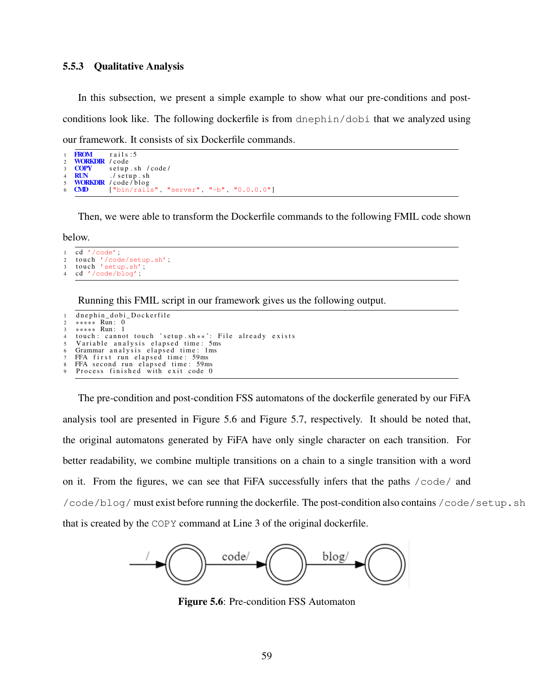## 5.5.3 Qualitative Analysis

In this subsection, we present a simple example to show what our pre-conditions and postconditions look like. The following dockerfile is from dnephin/dobi that we analyzed using our framework. It consists of six Dockerfile commands.

```
FROM rails:5
   WORKDIR / code<br>COPY setup
3 COPY setup sh / code/<br>4 RUN / setup sh
4 RUN ./setup.sh<br>5 WORKDIR /code/blog
6 \text{CMD} ["bin/rails", "server", "-b", "0.0.0.0"]
```
Then, we were able to transform the Dockerfile commands to the following FMIL code shown

below.

```
1 cd '/code' ;
2 touch '/code/setup.sh';<br>3 touch 'setup.sh';
3 touch 'setup.sh';<br>4 cd '/code/blog':
    cd '/code/blog';
```
Running this FMIL script in our framework gives us the following output.

```
\begin{array}{cc}\n 1 & \text{dnephin\_dobi\_Dockerfile} \\
 2 & \text{***} & \text{Run:} & 0\n \end{array}2 ***** Run: 0<br>3 ***** Run: 1
    ***** Run: 1
4 touch: cannot touch 'setup sh**': File already exists<br>5 Variable analysis elapsed time: 5ms
    Variable analysis elapsed time: 5ms
6 Grammar analysis elapsed time: 1ms
   FFA first run elapsed time: 59ms
8 FFA second run elapsed time: 59ms
9 Process finished with exit code 0
```
The pre-condition and post-condition FSS automatons of the dockerfile generated by our FiFA analysis tool are presented in Figure [5.6](#page-68-0) and Figure [5.7,](#page-69-0) respectively. It should be noted that, the original automatons generated by FiFA have only single character on each transition. For better readability, we combine multiple transitions on a chain to a single transition with a word on it. From the figures, we can see that FiFA successfully infers that the paths  $\sqrt{\text{code}}$  and /code/blog/ must exist before running the dockerfile. The post-condition also contains /code/setup.sh that is created by the COPY command at Line 3 of the original dockerfile.

<span id="page-68-0"></span>

Figure 5.6: Pre-condition FSS Automaton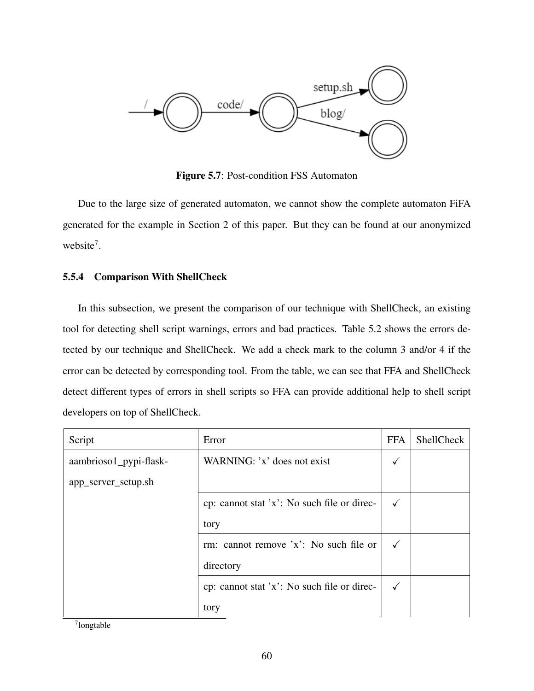<span id="page-69-0"></span>

Figure 5.7: Post-condition FSS Automaton

Due to the large size of generated automaton, we cannot show the complete automaton FiFA generated for the example in Section 2 of this paper. But they can be found at our anonymized website<sup>[7](#page-69-1)</sup>.

#### 5.5.4 Comparison With ShellCheck

In this subsection, we present the comparison of our technique with ShellCheck, an existing tool for detecting shell script warnings, errors and bad practices. Table [5.2](#page-69-2) shows the errors detected by our technique and ShellCheck. We add a check mark to the column 3 and/or 4 if the error can be detected by corresponding tool. From the table, we can see that FFA and ShellCheck detect different types of errors in shell scripts so FFA can provide additional help to shell script developers on top of ShellCheck.

<span id="page-69-2"></span>

| Script                 | Error                                       | <b>FFA</b>   | ShellCheck |
|------------------------|---------------------------------------------|--------------|------------|
| aambrioso1_pypi-flask- | WARNING: 'x' does not exist                 | √            |            |
| app_server_setup.sh    |                                             |              |            |
|                        | cp: cannot stat 'x': No such file or direc- | $\checkmark$ |            |
|                        | tory                                        |              |            |
|                        | rm: cannot remove $x$ : No such file or     | $\checkmark$ |            |
|                        | directory                                   |              |            |
|                        | cp: cannot stat 'x': No such file or direc- | $\checkmark$ |            |
|                        | tory                                        |              |            |

<span id="page-69-1"></span>7 longtable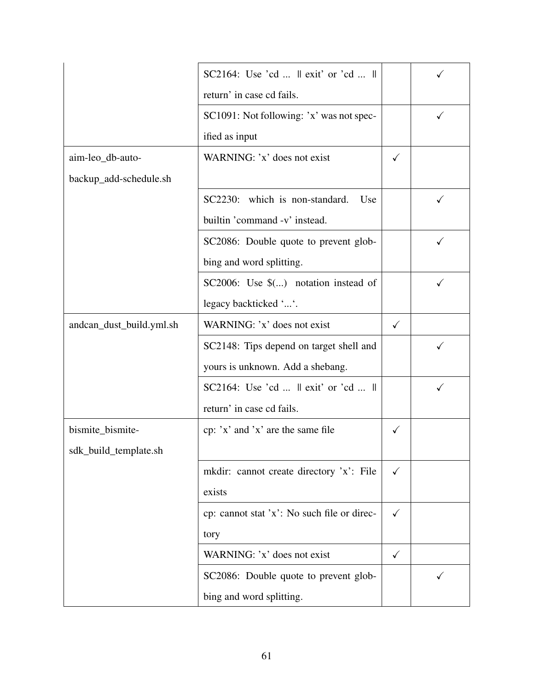|                          | SC2164: Use 'cd $\parallel$ exit' or 'cd $\parallel$ |              |              |
|--------------------------|------------------------------------------------------|--------------|--------------|
|                          | return' in case cd fails.                            |              |              |
|                          | SC1091: Not following: 'x' was not spec-             |              |              |
|                          | ified as input                                       |              |              |
| aim-leo_db-auto-         | WARNING: 'x' does not exist                          | $\checkmark$ |              |
| backup_add-schedule.sh   |                                                      |              |              |
|                          | SC2230: which is non-standard.<br>Use                |              | ✓            |
|                          | builtin 'command -v' instead.                        |              |              |
|                          | SC2086: Double quote to prevent glob-                |              | ✓            |
|                          | bing and word splitting.                             |              |              |
|                          | SC2006: Use $\$()$$ notation instead of              |              | $\checkmark$ |
|                          | legacy backticked ''.                                |              |              |
| andcan_dust_build.yml.sh | WARNING: 'x' does not exist                          | $\checkmark$ |              |
|                          | SC2148: Tips depend on target shell and              |              |              |
|                          | yours is unknown. Add a shebang.                     |              |              |
|                          | SC2164: Use 'cd $\parallel$ exit' or 'cd $\parallel$ |              | ✓            |
|                          | return' in case cd fails.                            |              |              |
| bismite_bismite-         | cp: 'x' and 'x' are the same file                    | $\checkmark$ |              |
| sdk_build_template.sh    |                                                      |              |              |
|                          | mkdir: cannot create directory 'x': File             |              |              |
|                          | exists                                               |              |              |
|                          | cp: cannot stat 'x': No such file or direc-          | ✓            |              |
|                          | tory                                                 |              |              |
|                          | WARNING: 'x' does not exist                          | $\checkmark$ |              |
|                          | SC2086: Double quote to prevent glob-                |              |              |
|                          | bing and word splitting.                             |              |              |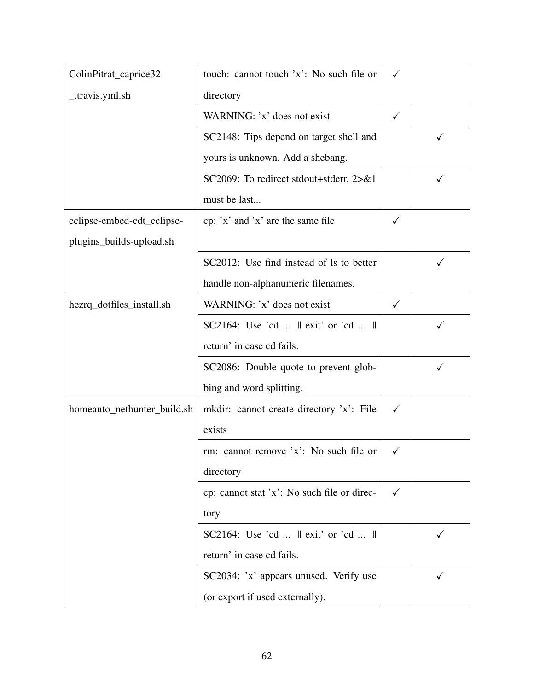| ColinPitrat_caprice32       | touch: cannot touch 'x': No such file or    | $\checkmark$ |   |
|-----------------------------|---------------------------------------------|--------------|---|
| _.travis.yml.sh             | directory                                   |              |   |
|                             | WARNING: 'x' does not exist                 | $\checkmark$ |   |
|                             | SC2148: Tips depend on target shell and     |              |   |
|                             | yours is unknown. Add a shebang.            |              |   |
|                             | SC2069: To redirect stdout+stderr, 2>&1     |              |   |
|                             | must be last                                |              |   |
| eclipse-embed-cdt_eclipse-  | cp: 'x' and 'x' are the same file           | $\checkmark$ |   |
| plugins_builds-upload.sh    |                                             |              |   |
|                             | SC2012: Use find instead of ls to better    |              |   |
|                             | handle non-alphanumeric filenames.          |              |   |
| hezrq_dotfiles_install.sh   | WARNING: 'x' does not exist                 | $\checkmark$ |   |
|                             | SC2164: Use 'cd     exit' or 'cd            |              | ✓ |
|                             | return' in case cd fails.                   |              |   |
|                             | SC2086: Double quote to prevent glob-       |              | ✓ |
|                             | bing and word splitting.                    |              |   |
| homeauto_nethunter_build.sh | mkdir: cannot create directory 'x': File    | $\checkmark$ |   |
|                             | exists                                      |              |   |
|                             | rm: cannot remove 'x': No such file or      | $\checkmark$ |   |
|                             | directory                                   |              |   |
|                             | cp: cannot stat 'x': No such file or direc- |              |   |
|                             | tory                                        |              |   |
|                             | SC2164: Use 'cd     exit' or 'cd            |              |   |
|                             | return' in case cd fails.                   |              |   |
|                             | SC2034: 'x' appears unused. Verify use      |              |   |
|                             | (or export if used externally).             |              |   |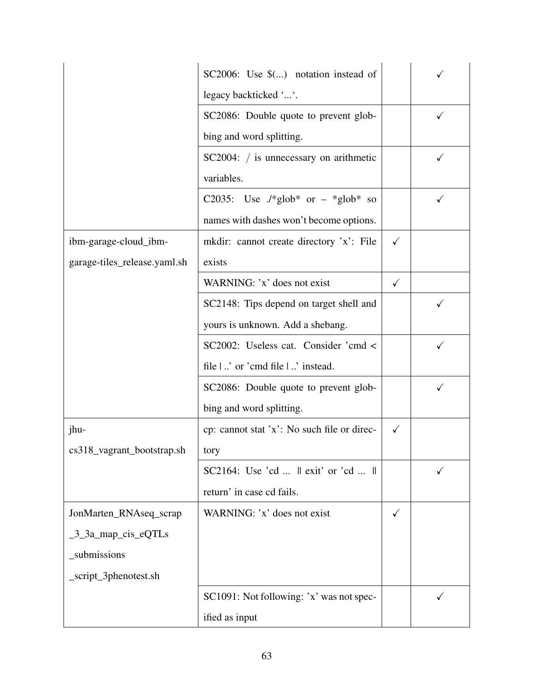|                              | SC2006: Use $\$()$$ notation instead of                                                 |              |   |
|------------------------------|-----------------------------------------------------------------------------------------|--------------|---|
|                              | legacy backticked ''.                                                                   |              |   |
|                              | SC2086: Double quote to prevent glob-                                                   |              |   |
|                              | bing and word splitting.                                                                |              |   |
|                              | $SC2004$ : / is unnecessary on arithmetic                                               |              |   |
|                              | variables.                                                                              |              |   |
|                              | C2035: Use $\ell$ <sup>*</sup> glob <sup>*</sup> or – <sup>*</sup> glob <sup>*</sup> so |              |   |
|                              | names with dashes won't become options.                                                 |              |   |
| ibm-garage-cloud_ibm-        | mkdir: cannot create directory 'x': File                                                | $\checkmark$ |   |
| garage-tiles_release.yaml.sh | exists                                                                                  |              |   |
|                              | WARNING: 'x' does not exist                                                             | $\checkmark$ |   |
|                              | SC2148: Tips depend on target shell and                                                 |              |   |
|                              | yours is unknown. Add a shebang.                                                        |              |   |
|                              | SC2002: Useless cat. Consider 'cmd <                                                    |              |   |
|                              | file $\vert \cdot \cdot \rangle$ or 'cmd file $\vert \cdot \rangle$ instead.            |              |   |
|                              | SC2086: Double quote to prevent glob-                                                   |              | ✓ |
|                              | bing and word splitting.                                                                |              |   |
| jhu-                         | cp: cannot stat 'x': No such file or direc-                                             | $\checkmark$ |   |
| cs318_vagrant_bootstrap.sh   | tory                                                                                    |              |   |
|                              | SC2164: Use 'cd $\parallel$ exit' or 'cd $\parallel$                                    |              |   |
|                              | return' in case cd fails.                                                               |              |   |
| JonMarten_RNAseq_scrap       | WARNING: 'x' does not exist                                                             |              |   |
| $_3_3a$ _map_cis_eQTLs       |                                                                                         |              |   |
| _submissions                 |                                                                                         |              |   |
| _script_3phenotest.sh        |                                                                                         |              |   |
|                              | SC1091: Not following: 'x' was not spec-                                                |              |   |
|                              | ified as input                                                                          |              |   |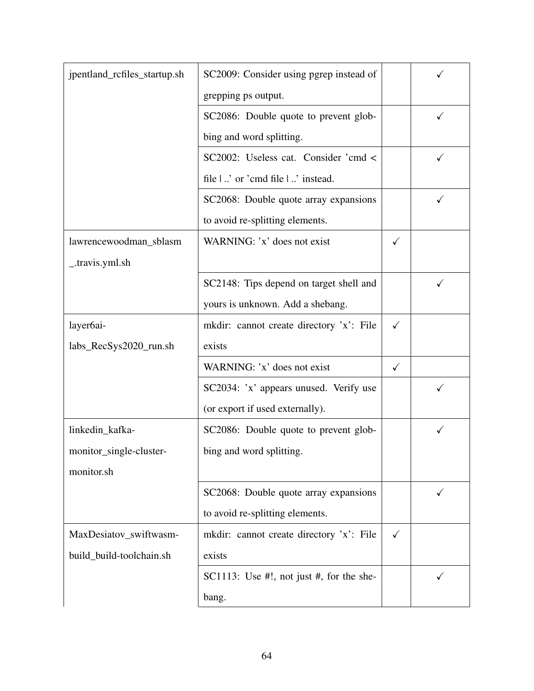| jpentland_rcfiles_startup.sh | SC2009: Consider using pgrep instead of  |              |  |
|------------------------------|------------------------------------------|--------------|--|
|                              | grepping ps output.                      |              |  |
|                              | SC2086: Double quote to prevent glob-    |              |  |
|                              | bing and word splitting.                 |              |  |
|                              | SC2002: Useless cat. Consider 'cmd <     |              |  |
|                              | file   ' or 'cmd file   ' instead.       |              |  |
|                              | SC2068: Double quote array expansions    |              |  |
|                              | to avoid re-splitting elements.          |              |  |
| lawrencewoodman_sblasm       | WARNING: 'x' does not exist              | $\checkmark$ |  |
| _.travis.yml.sh              |                                          |              |  |
|                              | SC2148: Tips depend on target shell and  |              |  |
|                              | yours is unknown. Add a shebang.         |              |  |
| layer <sub>6ai</sub> -       | mkdir: cannot create directory 'x': File | $\checkmark$ |  |
| labs_RecSys2020_run.sh       | exists                                   |              |  |
|                              | WARNING: 'x' does not exist              | $\checkmark$ |  |
|                              | SC2034: 'x' appears unused. Verify use   |              |  |
|                              | (or export if used externally).          |              |  |
| linkedin_kafka-              | SC2086: Double quote to prevent glob-    |              |  |
| monitor_single-cluster-      | bing and word splitting.                 |              |  |
| monitor.sh                   |                                          |              |  |
|                              | SC2068: Double quote array expansions    |              |  |
|                              | to avoid re-splitting elements.          |              |  |
| MaxDesiatov_swiftwasm-       | mkdir: cannot create directory 'x': File |              |  |
| build_build-toolchain.sh     | exists                                   |              |  |
|                              | SC1113: Use #!, not just #, for the she- |              |  |
|                              | bang.                                    |              |  |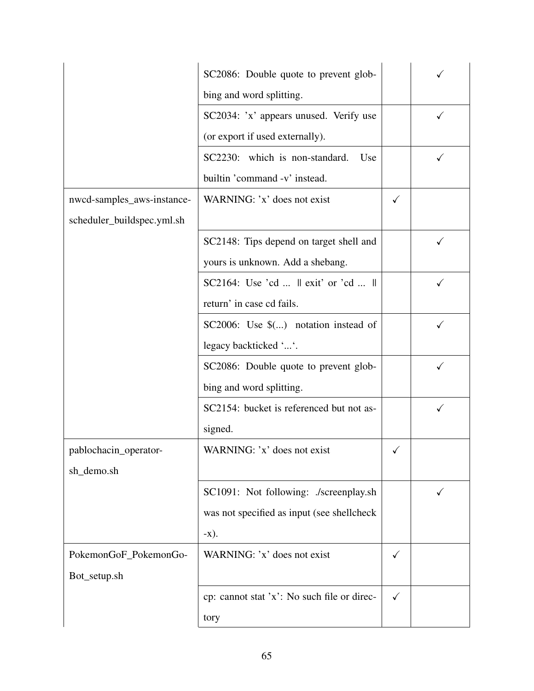|                            | SC2086: Double quote to prevent glob-                |              |   |
|----------------------------|------------------------------------------------------|--------------|---|
|                            | bing and word splitting.                             |              |   |
|                            | SC2034: 'x' appears unused. Verify use               |              |   |
|                            | (or export if used externally).                      |              |   |
|                            | SC2230: which is non-standard.<br>Use                |              |   |
|                            | builtin 'command -v' instead.                        |              |   |
| nwcd-samples_aws-instance- | WARNING: 'x' does not exist                          | ✓            |   |
| scheduler_buildspec.yml.sh |                                                      |              |   |
|                            | SC2148: Tips depend on target shell and              |              | ✓ |
|                            | yours is unknown. Add a shebang.                     |              |   |
|                            | SC2164: Use 'cd $\parallel$ exit' or 'cd $\parallel$ |              |   |
|                            | return' in case cd fails.                            |              |   |
|                            | SC2006: Use $\$()$$ notation instead of              |              | ✓ |
|                            | legacy backticked ''.                                |              |   |
|                            | SC2086: Double quote to prevent glob-                |              |   |
|                            | bing and word splitting.                             |              |   |
|                            | SC2154: bucket is referenced but not as-             |              | ✓ |
|                            | signed.                                              |              |   |
| pablochacin_operator-      | WARNING: 'x' does not exist                          | $\checkmark$ |   |
| sh_demo.sh                 |                                                      |              |   |
|                            | SC1091: Not following: ./screenplay.sh               |              |   |
|                            | was not specified as input (see shellcheck           |              |   |
|                            | $-x$ ).                                              |              |   |
| PokemonGoF_PokemonGo-      | WARNING: 'x' does not exist                          |              |   |
| Bot_setup.sh               |                                                      |              |   |
|                            | cp: cannot stat 'x': No such file or direc-          |              |   |
|                            | tory                                                 |              |   |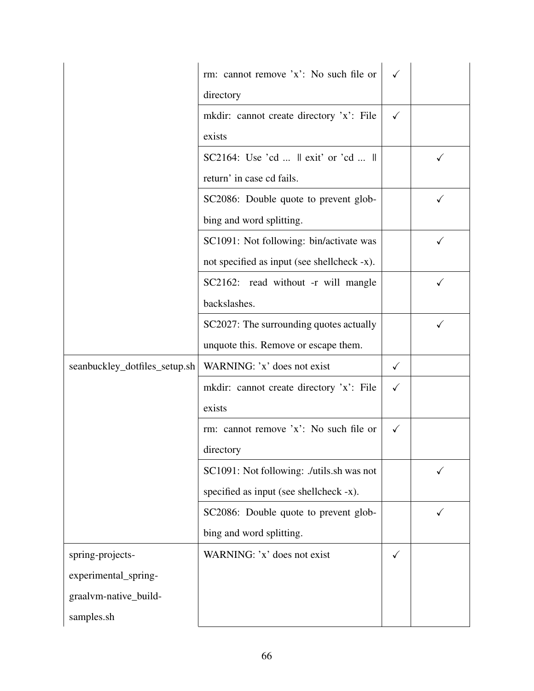|                               | rm: cannot remove 'x': No such file or               |              |   |
|-------------------------------|------------------------------------------------------|--------------|---|
|                               | directory                                            |              |   |
|                               | mkdir: cannot create directory 'x': File             | $\checkmark$ |   |
|                               | exists                                               |              |   |
|                               | SC2164: Use 'cd $\parallel$ exit' or 'cd $\parallel$ |              |   |
|                               | return' in case cd fails.                            |              |   |
|                               | SC2086: Double quote to prevent glob-                |              | ✓ |
|                               | bing and word splitting.                             |              |   |
|                               | SC1091: Not following: bin/activate was              |              |   |
|                               | not specified as input (see shellcheck -x).          |              |   |
|                               | SC2162: read without -r will mangle                  |              |   |
|                               | backslashes.                                         |              |   |
|                               | SC2027: The surrounding quotes actually              |              | ✓ |
|                               | unquote this. Remove or escape them.                 |              |   |
| seanbuckley_dotfiles_setup.sh | WARNING: 'x' does not exist                          | $\checkmark$ |   |
|                               | mkdir: cannot create directory 'x': File             | $\checkmark$ |   |
|                               | exists                                               |              |   |
|                               | rm: cannot remove 'x': No such file or               | ✓            |   |
|                               | directory                                            |              |   |
|                               | SC1091: Not following: ./utils.sh was not            |              |   |
|                               | specified as input (see shellcheck -x).              |              |   |
|                               | SC2086: Double quote to prevent glob-                |              |   |
|                               | bing and word splitting.                             |              |   |
| spring-projects-              | WARNING: 'x' does not exist                          |              |   |
| experimental_spring-          |                                                      |              |   |
| graalvm-native_build-         |                                                      |              |   |
| samples.sh                    |                                                      |              |   |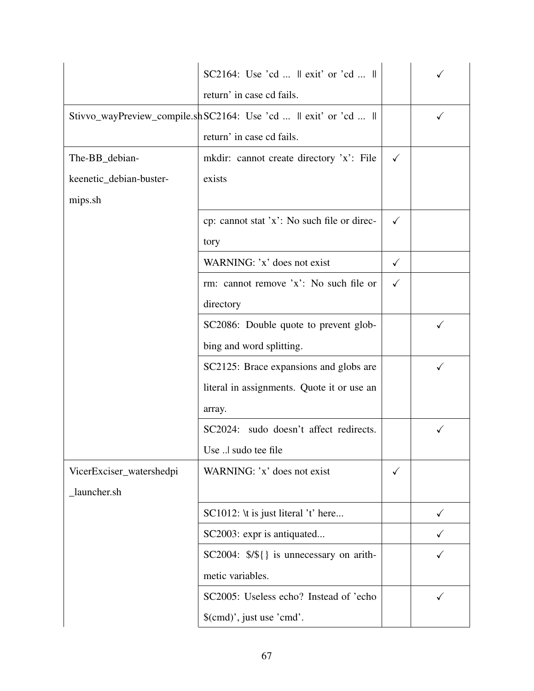|                          | SC2164: Use 'cd $\parallel$ exit' or 'cd $\parallel$             |              |   |
|--------------------------|------------------------------------------------------------------|--------------|---|
|                          | return' in case cd fails.                                        |              |   |
|                          | Stivvo_wayPreview_compile.shSC2164: Use 'cd  Il exit' or 'cd  Il |              |   |
|                          | return' in case cd fails.                                        |              |   |
| The-BB_debian-           | mkdir: cannot create directory 'x': File                         | $\checkmark$ |   |
| keenetic_debian-buster-  | exists                                                           |              |   |
| mips.sh                  |                                                                  |              |   |
|                          | cp: cannot stat 'x': No such file or direc-                      | $\checkmark$ |   |
|                          | tory                                                             |              |   |
|                          | WARNING: 'x' does not exist                                      | $\checkmark$ |   |
|                          | rm: cannot remove 'x': No such file or                           | $\checkmark$ |   |
|                          | directory                                                        |              |   |
|                          | SC2086: Double quote to prevent glob-                            |              | ✓ |
|                          | bing and word splitting.                                         |              |   |
|                          | SC2125: Brace expansions and globs are                           |              | ✓ |
|                          | literal in assignments. Quote it or use an                       |              |   |
|                          | array.                                                           |              |   |
|                          | SC2024: sudo doesn't affect redirects.                           |              | ✓ |
|                          | Use  sudo tee file                                               |              |   |
| VicerExciser_watershedpi | WARNING: 'x' does not exist                                      | ✓            |   |
| launcher.sh              |                                                                  |              |   |
|                          | SC1012: \t is just literal 't' here                              |              |   |
|                          | SC2003: expr is antiquated                                       |              |   |
|                          | SC2004: \$/\${} is unnecessary on arith-                         |              |   |
|                          | metic variables.                                                 |              |   |
|                          | SC2005: Useless echo? Instead of 'echo                           |              |   |
|                          | \$(cmd)', just use 'cmd'.                                        |              |   |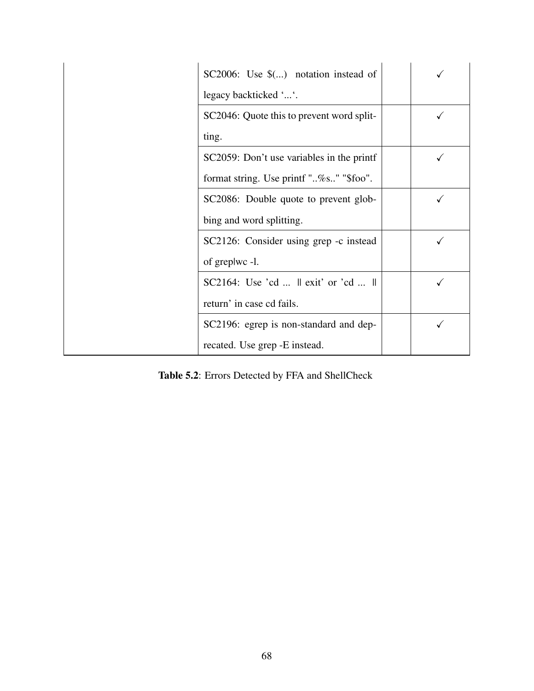| SC2006: Use $\$()$$ notation instead of              |  |
|------------------------------------------------------|--|
| legacy backticked ''.                                |  |
| SC2046: Quote this to prevent word split-            |  |
| ting.                                                |  |
| SC2059: Don't use variables in the printf            |  |
| format string. Use printf "%s" "\$foo".              |  |
| SC2086: Double quote to prevent glob-                |  |
| bing and word splitting.                             |  |
| SC2126: Consider using grep -c instead               |  |
| of greplwc -l.                                       |  |
| SC2164: Use 'cd $\parallel$ exit' or 'cd $\parallel$ |  |
| return' in case cd fails.                            |  |
| SC2196: egrep is non-standard and dep-               |  |
| recated. Use grep -E instead.                        |  |

Table 5.2: Errors Detected by FFA and ShellCheck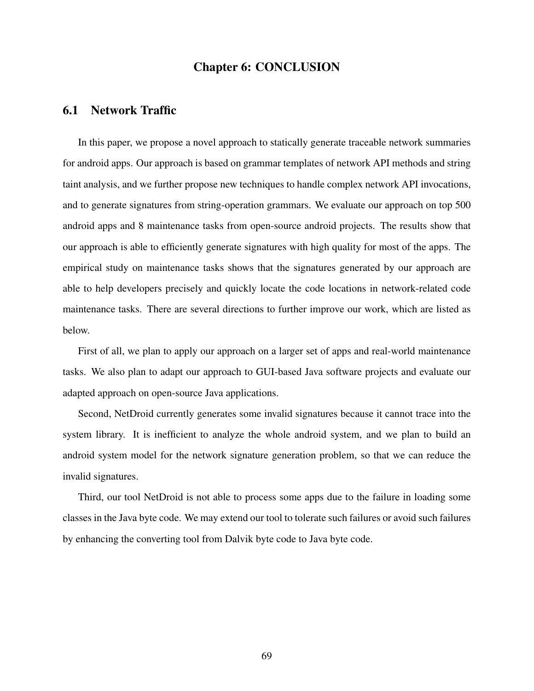### Chapter 6: CONCLUSION

# 6.1 Network Traffic

In this paper, we propose a novel approach to statically generate traceable network summaries for android apps. Our approach is based on grammar templates of network API methods and string taint analysis, and we further propose new techniques to handle complex network API invocations, and to generate signatures from string-operation grammars. We evaluate our approach on top 500 android apps and 8 maintenance tasks from open-source android projects. The results show that our approach is able to efficiently generate signatures with high quality for most of the apps. The empirical study on maintenance tasks shows that the signatures generated by our approach are able to help developers precisely and quickly locate the code locations in network-related code maintenance tasks. There are several directions to further improve our work, which are listed as below.

First of all, we plan to apply our approach on a larger set of apps and real-world maintenance tasks. We also plan to adapt our approach to GUI-based Java software projects and evaluate our adapted approach on open-source Java applications.

Second, NetDroid currently generates some invalid signatures because it cannot trace into the system library. It is inefficient to analyze the whole android system, and we plan to build an android system model for the network signature generation problem, so that we can reduce the invalid signatures.

Third, our tool NetDroid is not able to process some apps due to the failure in loading some classes in the Java byte code. We may extend our tool to tolerate such failures or avoid such failures by enhancing the converting tool from Dalvik byte code to Java byte code.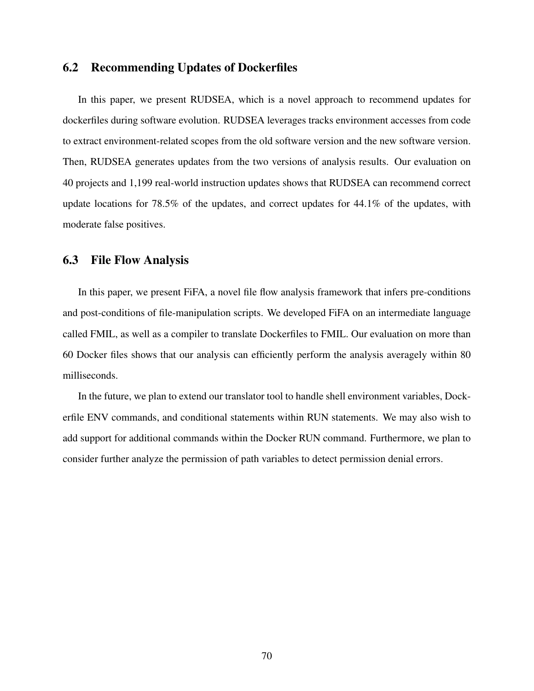# 6.2 Recommending Updates of Dockerfiles

In this paper, we present RUDSEA, which is a novel approach to recommend updates for dockerfiles during software evolution. RUDSEA leverages tracks environment accesses from code to extract environment-related scopes from the old software version and the new software version. Then, RUDSEA generates updates from the two versions of analysis results. Our evaluation on 40 projects and 1,199 real-world instruction updates shows that RUDSEA can recommend correct update locations for 78.5% of the updates, and correct updates for 44.1% of the updates, with moderate false positives.

# 6.3 File Flow Analysis

In this paper, we present FiFA, a novel file flow analysis framework that infers pre-conditions and post-conditions of file-manipulation scripts. We developed FiFA on an intermediate language called FMIL, as well as a compiler to translate Dockerfiles to FMIL. Our evaluation on more than 60 Docker files shows that our analysis can efficiently perform the analysis averagely within 80 milliseconds.

In the future, we plan to extend our translator tool to handle shell environment variables, Dockerfile ENV commands, and conditional statements within RUN statements. We may also wish to add support for additional commands within the Docker RUN command. Furthermore, we plan to consider further analyze the permission of path variables to detect permission denial errors.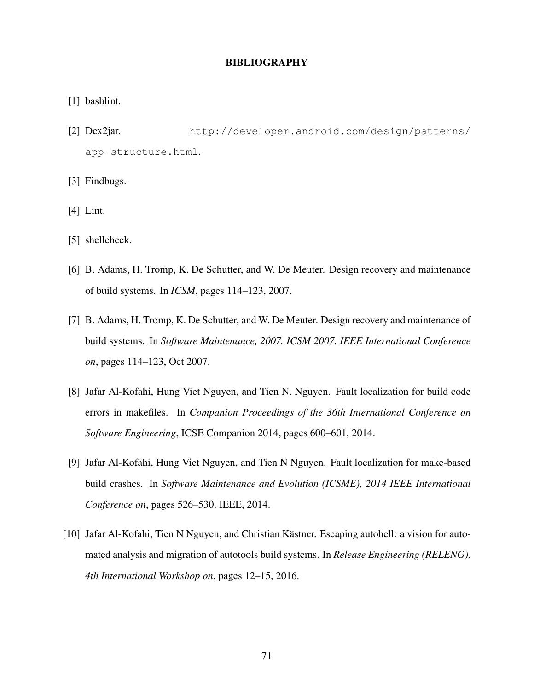#### BIBLIOGRAPHY

- [1] bashlint.
- [2] Dex2jar, [http://developer.android.com/design/patterns/](http://developer.android.com/design/patterns/app-structure.html) [app-structure.html](http://developer.android.com/design/patterns/app-structure.html).
- [3] Findbugs.
- [4] Lint.
- [5] shellcheck.
- [6] B. Adams, H. Tromp, K. De Schutter, and W. De Meuter. Design recovery and maintenance of build systems. In *ICSM*, pages 114–123, 2007.
- [7] B. Adams, H. Tromp, K. De Schutter, and W. De Meuter. Design recovery and maintenance of build systems. In *Software Maintenance, 2007. ICSM 2007. IEEE International Conference on*, pages 114–123, Oct 2007.
- [8] Jafar Al-Kofahi, Hung Viet Nguyen, and Tien N. Nguyen. Fault localization for build code errors in makefiles. In *Companion Proceedings of the 36th International Conference on Software Engineering*, ICSE Companion 2014, pages 600–601, 2014.
- [9] Jafar Al-Kofahi, Hung Viet Nguyen, and Tien N Nguyen. Fault localization for make-based build crashes. In *Software Maintenance and Evolution (ICSME), 2014 IEEE International Conference on*, pages 526–530. IEEE, 2014.
- [10] Jafar Al-Kofahi, Tien N Nguyen, and Christian Kästner. Escaping autohell: a vision for automated analysis and migration of autotools build systems. In *Release Engineering (RELENG), 4th International Workshop on*, pages 12–15, 2016.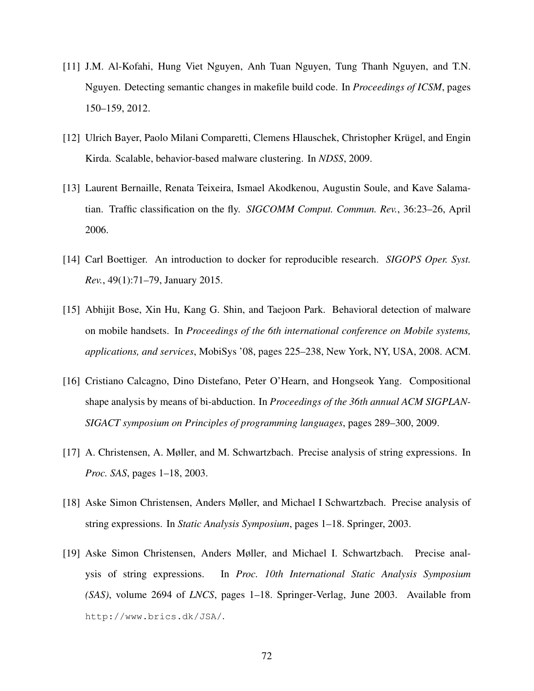- [11] J.M. Al-Kofahi, Hung Viet Nguyen, Anh Tuan Nguyen, Tung Thanh Nguyen, and T.N. Nguyen. Detecting semantic changes in makefile build code. In *Proceedings of ICSM*, pages 150–159, 2012.
- [12] Ulrich Bayer, Paolo Milani Comparetti, Clemens Hlauschek, Christopher Krügel, and Engin Kirda. Scalable, behavior-based malware clustering. In *NDSS*, 2009.
- [13] Laurent Bernaille, Renata Teixeira, Ismael Akodkenou, Augustin Soule, and Kave Salamatian. Traffic classification on the fly. *SIGCOMM Comput. Commun. Rev.*, 36:23–26, April 2006.
- [14] Carl Boettiger. An introduction to docker for reproducible research. *SIGOPS Oper. Syst. Rev.*, 49(1):71–79, January 2015.
- [15] Abhijit Bose, Xin Hu, Kang G. Shin, and Taejoon Park. Behavioral detection of malware on mobile handsets. In *Proceedings of the 6th international conference on Mobile systems, applications, and services*, MobiSys '08, pages 225–238, New York, NY, USA, 2008. ACM.
- [16] Cristiano Calcagno, Dino Distefano, Peter O'Hearn, and Hongseok Yang. Compositional shape analysis by means of bi-abduction. In *Proceedings of the 36th annual ACM SIGPLAN-SIGACT symposium on Principles of programming languages*, pages 289–300, 2009.
- [17] A. Christensen, A. Møller, and M. Schwartzbach. Precise analysis of string expressions. In *Proc. SAS*, pages 1–18, 2003.
- [18] Aske Simon Christensen, Anders Møller, and Michael I Schwartzbach. Precise analysis of string expressions. In *Static Analysis Symposium*, pages 1–18. Springer, 2003.
- [19] Aske Simon Christensen, Anders Møller, and Michael I. Schwartzbach. Precise analysis of string expressions. In *Proc. 10th International Static Analysis Symposium (SAS)*, volume 2694 of *LNCS*, pages 1–18. Springer-Verlag, June 2003. Available from http://www.brics.dk/JSA/.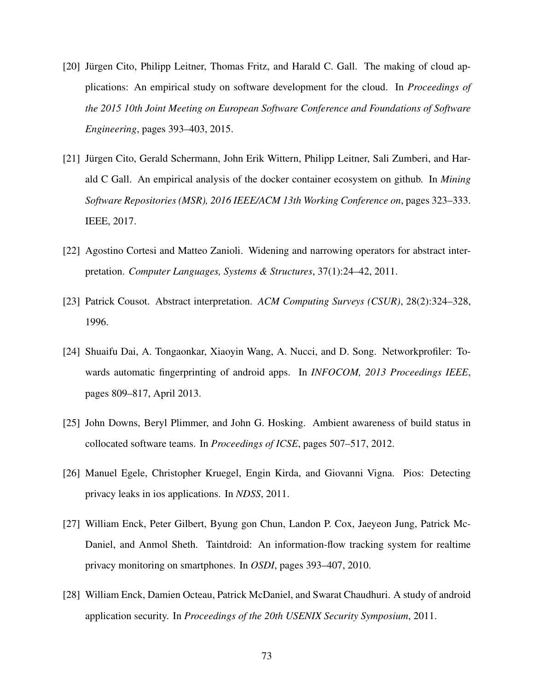- [20] Jürgen Cito, Philipp Leitner, Thomas Fritz, and Harald C. Gall. The making of cloud applications: An empirical study on software development for the cloud. In *Proceedings of the 2015 10th Joint Meeting on European Software Conference and Foundations of Software Engineering*, pages 393–403, 2015.
- [21] Jürgen Cito, Gerald Schermann, John Erik Wittern, Philipp Leitner, Sali Zumberi, and Harald C Gall. An empirical analysis of the docker container ecosystem on github. In *Mining Software Repositories (MSR), 2016 IEEE/ACM 13th Working Conference on*, pages 323–333. IEEE, 2017.
- [22] Agostino Cortesi and Matteo Zanioli. Widening and narrowing operators for abstract interpretation. *Computer Languages, Systems & Structures*, 37(1):24–42, 2011.
- [23] Patrick Cousot. Abstract interpretation. *ACM Computing Surveys (CSUR)*, 28(2):324–328, 1996.
- [24] Shuaifu Dai, A. Tongaonkar, Xiaoyin Wang, A. Nucci, and D. Song. Networkprofiler: Towards automatic fingerprinting of android apps. In *INFOCOM, 2013 Proceedings IEEE*, pages 809–817, April 2013.
- [25] John Downs, Beryl Plimmer, and John G. Hosking. Ambient awareness of build status in collocated software teams. In *Proceedings of ICSE*, pages 507–517, 2012.
- [26] Manuel Egele, Christopher Kruegel, Engin Kirda, and Giovanni Vigna. Pios: Detecting privacy leaks in ios applications. In *NDSS*, 2011.
- [27] William Enck, Peter Gilbert, Byung gon Chun, Landon P. Cox, Jaeyeon Jung, Patrick Mc-Daniel, and Anmol Sheth. Taintdroid: An information-flow tracking system for realtime privacy monitoring on smartphones. In *OSDI*, pages 393–407, 2010.
- [28] William Enck, Damien Octeau, Patrick McDaniel, and Swarat Chaudhuri. A study of android application security. In *Proceedings of the 20th USENIX Security Symposium*, 2011.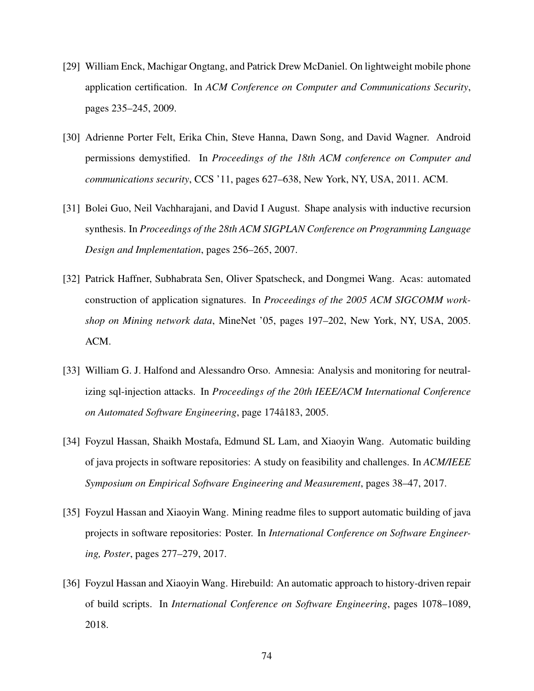- [29] William Enck, Machigar Ongtang, and Patrick Drew McDaniel. On lightweight mobile phone application certification. In *ACM Conference on Computer and Communications Security*, pages 235–245, 2009.
- [30] Adrienne Porter Felt, Erika Chin, Steve Hanna, Dawn Song, and David Wagner. Android permissions demystified. In *Proceedings of the 18th ACM conference on Computer and communications security*, CCS '11, pages 627–638, New York, NY, USA, 2011. ACM.
- [31] Bolei Guo, Neil Vachharajani, and David I August. Shape analysis with inductive recursion synthesis. In *Proceedings of the 28th ACM SIGPLAN Conference on Programming Language Design and Implementation*, pages 256–265, 2007.
- [32] Patrick Haffner, Subhabrata Sen, Oliver Spatscheck, and Dongmei Wang. Acas: automated construction of application signatures. In *Proceedings of the 2005 ACM SIGCOMM workshop on Mining network data*, MineNet '05, pages 197–202, New York, NY, USA, 2005. ACM.
- [33] William G. J. Halfond and Alessandro Orso. Amnesia: Analysis and monitoring for neutralizing sql-injection attacks. In *Proceedings of the 20th IEEE/ACM International Conference on Automated Software Engineering*, page 174â183, 2005.
- [34] Foyzul Hassan, Shaikh Mostafa, Edmund SL Lam, and Xiaoyin Wang. Automatic building of java projects in software repositories: A study on feasibility and challenges. In *ACM/IEEE Symposium on Empirical Software Engineering and Measurement*, pages 38–47, 2017.
- [35] Foyzul Hassan and Xiaoyin Wang. Mining readme files to support automatic building of java projects in software repositories: Poster. In *International Conference on Software Engineering, Poster*, pages 277–279, 2017.
- [36] Foyzul Hassan and Xiaoyin Wang. Hirebuild: An automatic approach to history-driven repair of build scripts. In *International Conference on Software Engineering*, pages 1078–1089, 2018.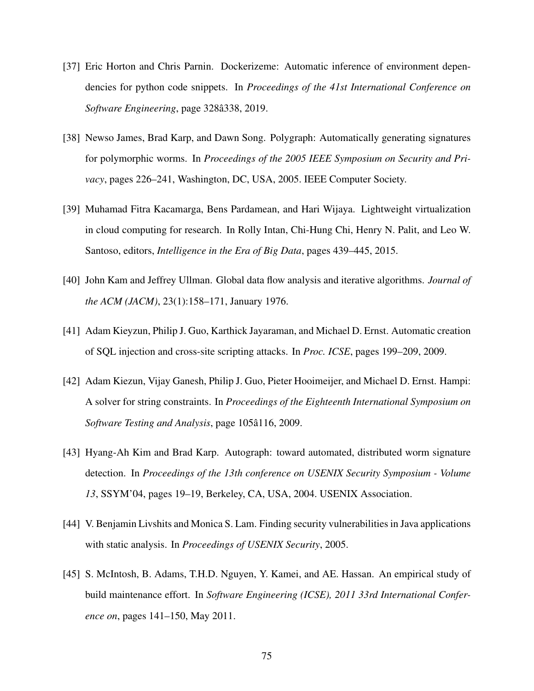- [37] Eric Horton and Chris Parnin. Dockerizeme: Automatic inference of environment dependencies for python code snippets. In *Proceedings of the 41st International Conference on Software Engineering*, page 328â338, 2019.
- [38] Newso James, Brad Karp, and Dawn Song. Polygraph: Automatically generating signatures for polymorphic worms. In *Proceedings of the 2005 IEEE Symposium on Security and Privacy*, pages 226–241, Washington, DC, USA, 2005. IEEE Computer Society.
- [39] Muhamad Fitra Kacamarga, Bens Pardamean, and Hari Wijaya. Lightweight virtualization in cloud computing for research. In Rolly Intan, Chi-Hung Chi, Henry N. Palit, and Leo W. Santoso, editors, *Intelligence in the Era of Big Data*, pages 439–445, 2015.
- [40] John Kam and Jeffrey Ullman. Global data flow analysis and iterative algorithms. *Journal of the ACM (JACM)*, 23(1):158–171, January 1976.
- [41] Adam Kieyzun, Philip J. Guo, Karthick Jayaraman, and Michael D. Ernst. Automatic creation of SQL injection and cross-site scripting attacks. In *Proc. ICSE*, pages 199–209, 2009.
- [42] Adam Kiezun, Vijay Ganesh, Philip J. Guo, Pieter Hooimeijer, and Michael D. Ernst. Hampi: A solver for string constraints. In *Proceedings of the Eighteenth International Symposium on Software Testing and Analysis*, page 105â116, 2009.
- [43] Hyang-Ah Kim and Brad Karp. Autograph: toward automated, distributed worm signature detection. In *Proceedings of the 13th conference on USENIX Security Symposium - Volume 13*, SSYM'04, pages 19–19, Berkeley, CA, USA, 2004. USENIX Association.
- [44] V. Benjamin Livshits and Monica S. Lam. Finding security vulnerabilities in Java applications with static analysis. In *Proceedings of USENIX Security*, 2005.
- [45] S. McIntosh, B. Adams, T.H.D. Nguyen, Y. Kamei, and AE. Hassan. An empirical study of build maintenance effort. In *Software Engineering (ICSE), 2011 33rd International Conference on*, pages 141–150, May 2011.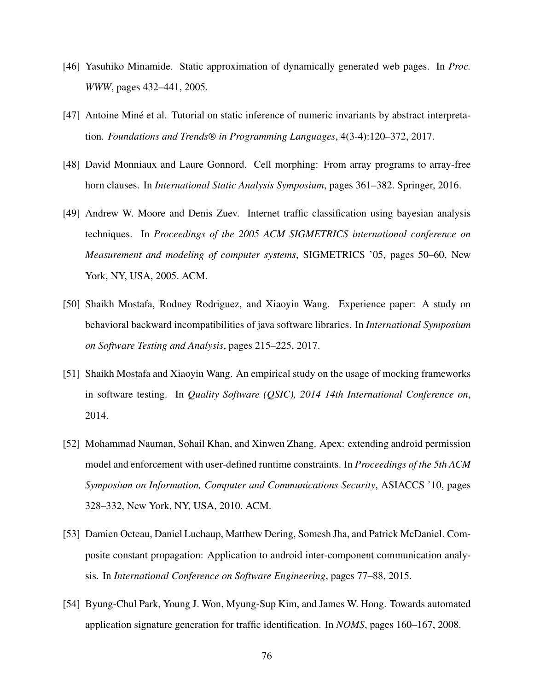- [46] Yasuhiko Minamide. Static approximation of dynamically generated web pages. In *Proc. WWW*, pages 432–441, 2005.
- [47] Antoine Miné et al. Tutorial on static inference of numeric invariants by abstract interpretation. *Foundations and Trends® in Programming Languages*, 4(3-4):120–372, 2017.
- [48] David Monniaux and Laure Gonnord. Cell morphing: From array programs to array-free horn clauses. In *International Static Analysis Symposium*, pages 361–382. Springer, 2016.
- [49] Andrew W. Moore and Denis Zuev. Internet traffic classification using bayesian analysis techniques. In *Proceedings of the 2005 ACM SIGMETRICS international conference on Measurement and modeling of computer systems*, SIGMETRICS '05, pages 50–60, New York, NY, USA, 2005. ACM.
- [50] Shaikh Mostafa, Rodney Rodriguez, and Xiaoyin Wang. Experience paper: A study on behavioral backward incompatibilities of java software libraries. In *International Symposium on Software Testing and Analysis*, pages 215–225, 2017.
- [51] Shaikh Mostafa and Xiaoyin Wang. An empirical study on the usage of mocking frameworks in software testing. In *Quality Software (QSIC), 2014 14th International Conference on*, 2014.
- [52] Mohammad Nauman, Sohail Khan, and Xinwen Zhang. Apex: extending android permission model and enforcement with user-defined runtime constraints. In *Proceedings of the 5th ACM Symposium on Information, Computer and Communications Security*, ASIACCS '10, pages 328–332, New York, NY, USA, 2010. ACM.
- [53] Damien Octeau, Daniel Luchaup, Matthew Dering, Somesh Jha, and Patrick McDaniel. Composite constant propagation: Application to android inter-component communication analysis. In *International Conference on Software Engineering*, pages 77–88, 2015.
- [54] Byung-Chul Park, Young J. Won, Myung-Sup Kim, and James W. Hong. Towards automated application signature generation for traffic identification. In *NOMS*, pages 160–167, 2008.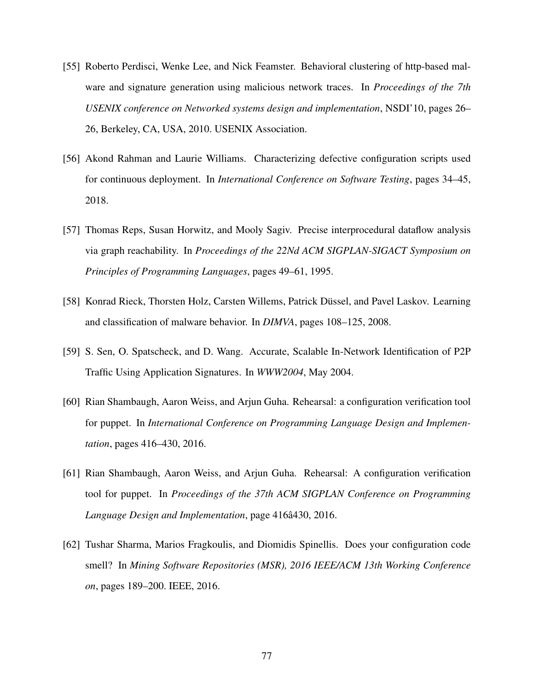- [55] Roberto Perdisci, Wenke Lee, and Nick Feamster. Behavioral clustering of http-based malware and signature generation using malicious network traces. In *Proceedings of the 7th USENIX conference on Networked systems design and implementation*, NSDI'10, pages 26– 26, Berkeley, CA, USA, 2010. USENIX Association.
- [56] Akond Rahman and Laurie Williams. Characterizing defective configuration scripts used for continuous deployment. In *International Conference on Software Testing*, pages 34–45, 2018.
- [57] Thomas Reps, Susan Horwitz, and Mooly Sagiv. Precise interprocedural dataflow analysis via graph reachability. In *Proceedings of the 22Nd ACM SIGPLAN-SIGACT Symposium on Principles of Programming Languages*, pages 49–61, 1995.
- [58] Konrad Rieck, Thorsten Holz, Carsten Willems, Patrick Düssel, and Pavel Laskov. Learning and classification of malware behavior. In *DIMVA*, pages 108–125, 2008.
- [59] S. Sen, O. Spatscheck, and D. Wang. Accurate, Scalable In-Network Identification of P2P Traffic Using Application Signatures. In *WWW2004*, May 2004.
- [60] Rian Shambaugh, Aaron Weiss, and Arjun Guha. Rehearsal: a configuration verification tool for puppet. In *International Conference on Programming Language Design and Implementation*, pages 416–430, 2016.
- [61] Rian Shambaugh, Aaron Weiss, and Arjun Guha. Rehearsal: A configuration verification tool for puppet. In *Proceedings of the 37th ACM SIGPLAN Conference on Programming Language Design and Implementation*, page 416â430, 2016.
- [62] Tushar Sharma, Marios Fragkoulis, and Diomidis Spinellis. Does your configuration code smell? In *Mining Software Repositories (MSR), 2016 IEEE/ACM 13th Working Conference on*, pages 189–200. IEEE, 2016.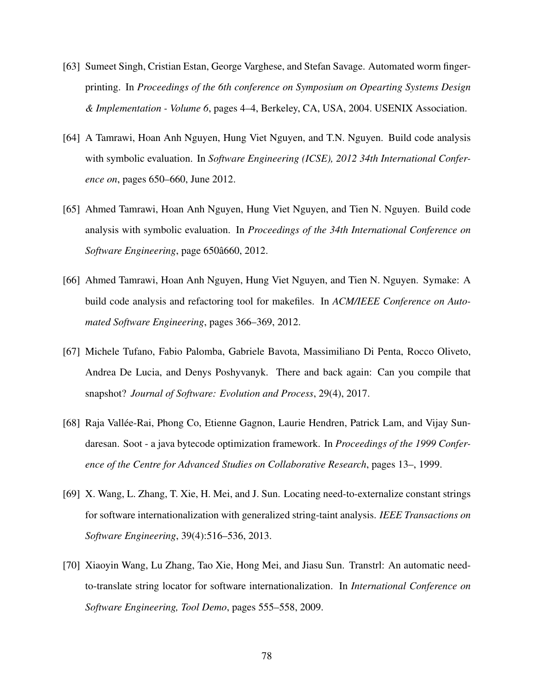- [63] Sumeet Singh, Cristian Estan, George Varghese, and Stefan Savage. Automated worm fingerprinting. In *Proceedings of the 6th conference on Symposium on Opearting Systems Design & Implementation - Volume 6*, pages 4–4, Berkeley, CA, USA, 2004. USENIX Association.
- [64] A Tamrawi, Hoan Anh Nguyen, Hung Viet Nguyen, and T.N. Nguyen. Build code analysis with symbolic evaluation. In *Software Engineering (ICSE), 2012 34th International Conference on*, pages 650–660, June 2012.
- [65] Ahmed Tamrawi, Hoan Anh Nguyen, Hung Viet Nguyen, and Tien N. Nguyen. Build code analysis with symbolic evaluation. In *Proceedings of the 34th International Conference on Software Engineering*, page 650â660, 2012.
- [66] Ahmed Tamrawi, Hoan Anh Nguyen, Hung Viet Nguyen, and Tien N. Nguyen. Symake: A build code analysis and refactoring tool for makefiles. In *ACM/IEEE Conference on Automated Software Engineering*, pages 366–369, 2012.
- [67] Michele Tufano, Fabio Palomba, Gabriele Bavota, Massimiliano Di Penta, Rocco Oliveto, Andrea De Lucia, and Denys Poshyvanyk. There and back again: Can you compile that snapshot? *Journal of Software: Evolution and Process*, 29(4), 2017.
- [68] Raja Vallée-Rai, Phong Co, Etienne Gagnon, Laurie Hendren, Patrick Lam, and Vijay Sundaresan. Soot - a java bytecode optimization framework. In *Proceedings of the 1999 Conference of the Centre for Advanced Studies on Collaborative Research*, pages 13–, 1999.
- [69] X. Wang, L. Zhang, T. Xie, H. Mei, and J. Sun. Locating need-to-externalize constant strings for software internationalization with generalized string-taint analysis. *IEEE Transactions on Software Engineering*, 39(4):516–536, 2013.
- [70] Xiaoyin Wang, Lu Zhang, Tao Xie, Hong Mei, and Jiasu Sun. Transtrl: An automatic needto-translate string locator for software internationalization. In *International Conference on Software Engineering, Tool Demo*, pages 555–558, 2009.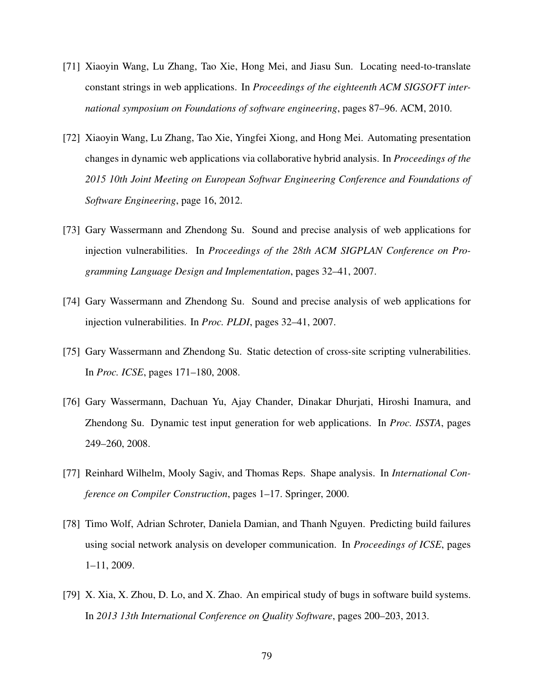- [71] Xiaoyin Wang, Lu Zhang, Tao Xie, Hong Mei, and Jiasu Sun. Locating need-to-translate constant strings in web applications. In *Proceedings of the eighteenth ACM SIGSOFT international symposium on Foundations of software engineering*, pages 87–96. ACM, 2010.
- [72] Xiaoyin Wang, Lu Zhang, Tao Xie, Yingfei Xiong, and Hong Mei. Automating presentation changes in dynamic web applications via collaborative hybrid analysis. In *Proceedings of the 2015 10th Joint Meeting on European Softwar Engineering Conference and Foundations of Software Engineering*, page 16, 2012.
- [73] Gary Wassermann and Zhendong Su. Sound and precise analysis of web applications for injection vulnerabilities. In *Proceedings of the 28th ACM SIGPLAN Conference on Programming Language Design and Implementation*, pages 32–41, 2007.
- [74] Gary Wassermann and Zhendong Su. Sound and precise analysis of web applications for injection vulnerabilities. In *Proc. PLDI*, pages 32–41, 2007.
- [75] Gary Wassermann and Zhendong Su. Static detection of cross-site scripting vulnerabilities. In *Proc. ICSE*, pages 171–180, 2008.
- [76] Gary Wassermann, Dachuan Yu, Ajay Chander, Dinakar Dhurjati, Hiroshi Inamura, and Zhendong Su. Dynamic test input generation for web applications. In *Proc. ISSTA*, pages 249–260, 2008.
- [77] Reinhard Wilhelm, Mooly Sagiv, and Thomas Reps. Shape analysis. In *International Conference on Compiler Construction*, pages 1–17. Springer, 2000.
- [78] Timo Wolf, Adrian Schroter, Daniela Damian, and Thanh Nguyen. Predicting build failures using social network analysis on developer communication. In *Proceedings of ICSE*, pages 1–11, 2009.
- [79] X. Xia, X. Zhou, D. Lo, and X. Zhao. An empirical study of bugs in software build systems. In *2013 13th International Conference on Quality Software*, pages 200–203, 2013.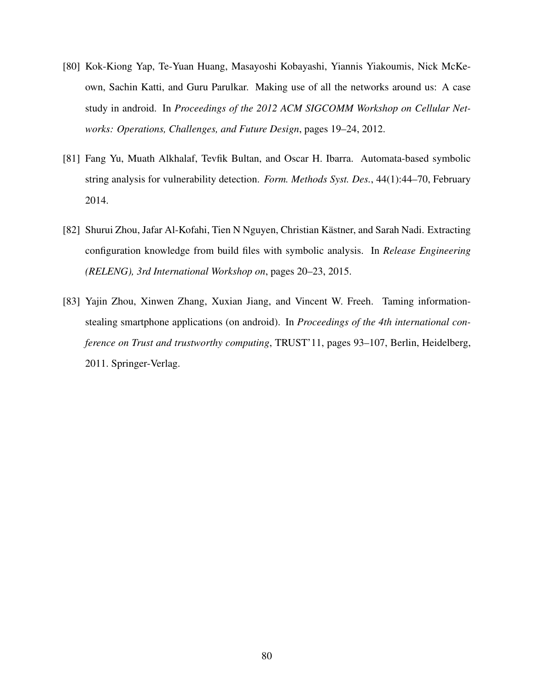- [80] Kok-Kiong Yap, Te-Yuan Huang, Masayoshi Kobayashi, Yiannis Yiakoumis, Nick McKeown, Sachin Katti, and Guru Parulkar. Making use of all the networks around us: A case study in android. In *Proceedings of the 2012 ACM SIGCOMM Workshop on Cellular Networks: Operations, Challenges, and Future Design*, pages 19–24, 2012.
- [81] Fang Yu, Muath Alkhalaf, Tevfik Bultan, and Oscar H. Ibarra. Automata-based symbolic string analysis for vulnerability detection. *Form. Methods Syst. Des.*, 44(1):44–70, February 2014.
- [82] Shurui Zhou, Jafar Al-Kofahi, Tien N Nguyen, Christian Kästner, and Sarah Nadi. Extracting configuration knowledge from build files with symbolic analysis. In *Release Engineering (RELENG), 3rd International Workshop on*, pages 20–23, 2015.
- [83] Yajin Zhou, Xinwen Zhang, Xuxian Jiang, and Vincent W. Freeh. Taming informationstealing smartphone applications (on android). In *Proceedings of the 4th international conference on Trust and trustworthy computing*, TRUST'11, pages 93–107, Berlin, Heidelberg, 2011. Springer-Verlag.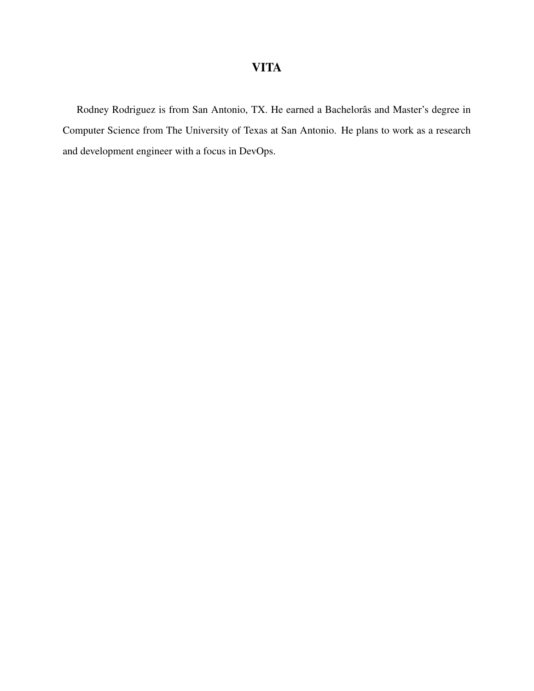Rodney Rodriguez is from San Antonio, TX. He earned a Bachelorâs and Master's degree in Computer Science from The University of Texas at San Antonio. He plans to work as a research and development engineer with a focus in DevOps.